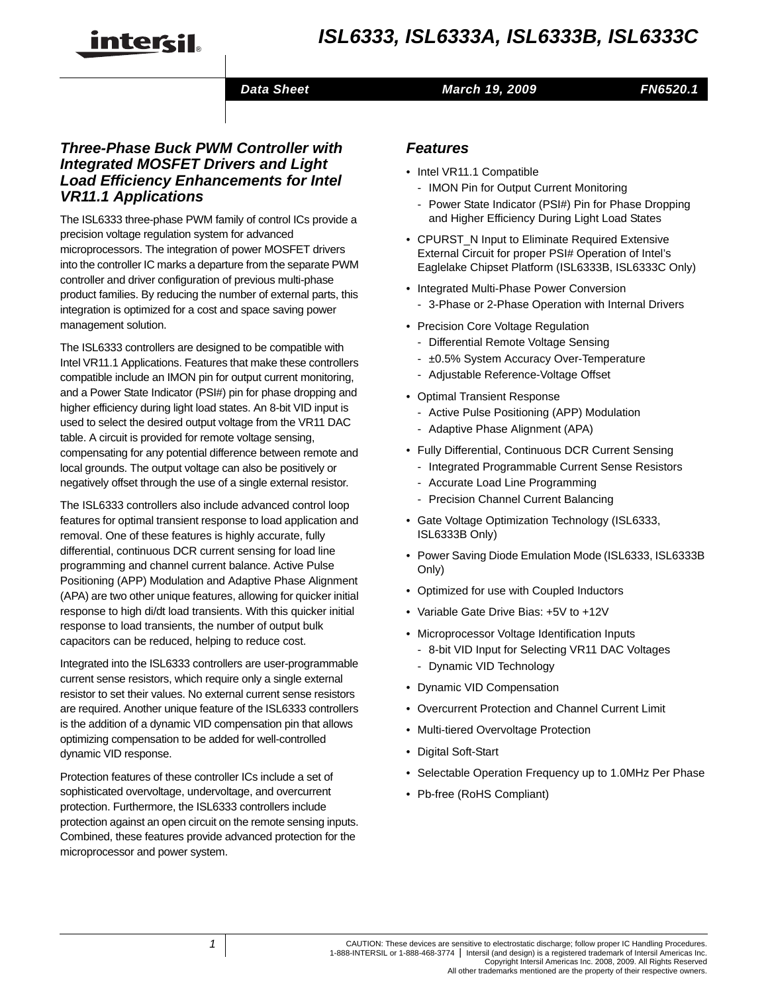

#### *Data Sheet*

#### *March 19, 2009*

```
FN6520.1
```
#### *Three-Phase Buck PWM Controller with Integrated MOSFET Drivers and Light Load Efficiency Enhancements for Intel VR11.1 Applications*

The ISL6333 three-phase PWM family of control ICs provide a precision voltage regulation system for advanced microprocessors. The integration of power MOSFET drivers into the controller IC marks a departure from the separate PWM controller and driver configuration of previous multi-phase product families. By reducing the number of external parts, this integration is optimized for a cost and space saving power management solution.

The ISL6333 controllers are designed to be compatible with Intel VR11.1 Applications. Features that make these controllers compatible include an IMON pin for output current monitoring, and a Power State Indicator (PSI#) pin for phase dropping and higher efficiency during light load states. An 8-bit VID input is used to select the desired output voltage from the VR11 DAC table. A circuit is provided for remote voltage sensing, compensating for any potential difference between remote and local grounds. The output voltage can also be positively or negatively offset through the use of a single external resistor.

The ISL6333 controllers also include advanced control loop features for optimal transient response to load application and removal. One of these features is highly accurate, fully differential, continuous DCR current sensing for load line programming and channel current balance. Active Pulse Positioning (APP) Modulation and Adaptive Phase Alignment (APA) are two other unique features, allowing for quicker initial response to high di/dt load transients. With this quicker initial response to load transients, the number of output bulk capacitors can be reduced, helping to reduce cost.

Integrated into the ISL6333 controllers are user-programmable current sense resistors, which require only a single external resistor to set their values. No external current sense resistors are required. Another unique feature of the ISL6333 controllers is the addition of a dynamic VID compensation pin that allows optimizing compensation to be added for well-controlled dynamic VID response.

Protection features of these controller ICs include a set of sophisticated overvoltage, undervoltage, and overcurrent protection. Furthermore, the ISL6333 controllers include protection against an open circuit on the remote sensing inputs. Combined, these features provide advanced protection for the microprocessor and power system.

## *Features*

- Intel VR11.1 Compatible
	- IMON Pin for Output Current Monitoring
	- Power State Indicator (PSI#) Pin for Phase Dropping and Higher Efficiency During Light Load States
- CPURST\_N Input to Eliminate Required Extensive External Circuit for proper PSI# Operation of Intel's Eaglelake Chipset Platform (ISL6333B, ISL6333C Only)
- Integrated Multi-Phase Power Conversion - 3-Phase or 2-Phase Operation with Internal Drivers
- Precision Core Voltage Regulation
	- Differential Remote Voltage Sensing
	- ±0.5% System Accuracy Over-Temperature
	- Adjustable Reference-Voltage Offset
- Optimal Transient Response
	- Active Pulse Positioning (APP) Modulation
	- Adaptive Phase Alignment (APA)
- Fully Differential, Continuous DCR Current Sensing
	- Integrated Programmable Current Sense Resistors
	- Accurate Load Line Programming
	- Precision Channel Current Balancing
- Gate Voltage Optimization Technology (ISL6333, ISL6333B Only)
- Power Saving Diode Emulation Mode (ISL6333, ISL6333B Only)
- Optimized for use with Coupled Inductors
- Variable Gate Drive Bias: +5V to +12V
- Microprocessor Voltage Identification Inputs
	- 8-bit VID Input for Selecting VR11 DAC Voltages
	- Dynamic VID Technology
- Dynamic VID Compensation
- Overcurrent Protection and Channel Current Limit
- Multi-tiered Overvoltage Protection
- Digital Soft-Start
- Selectable Operation Frequency up to 1.0MHz Per Phase
- Pb-free (RoHS Compliant)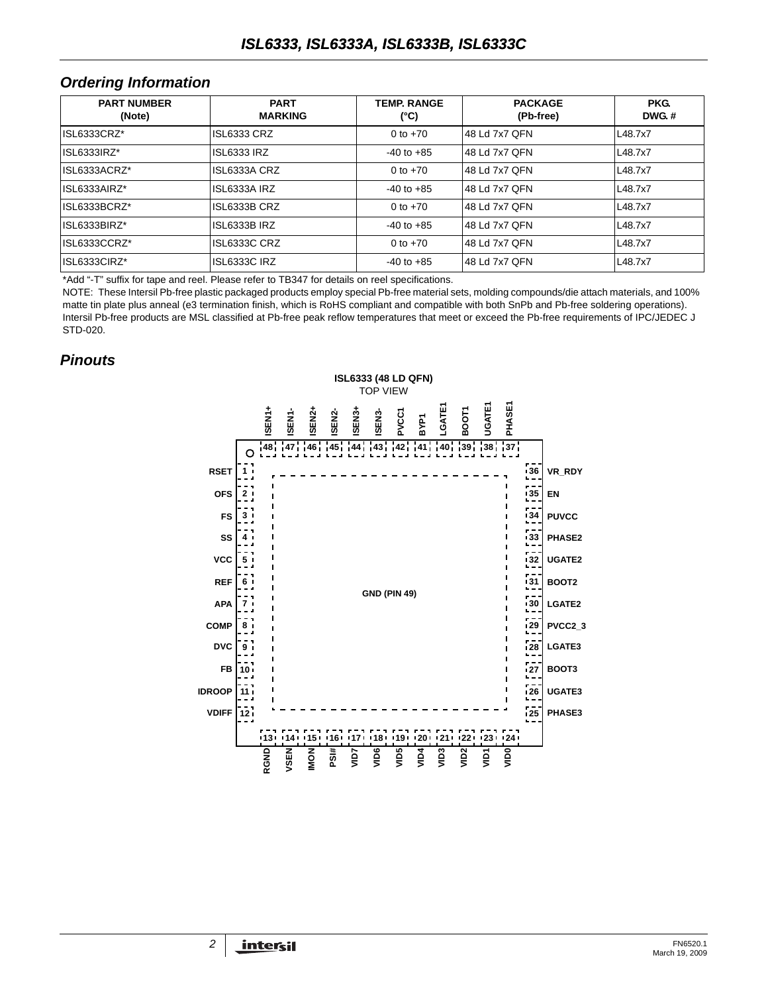#### *Ordering Information*

| <b>PART NUMBER</b><br>(Note) | <b>PART</b><br><b>MARKING</b> | <b>TEMP RANGE</b><br>(°C) | <b>PACKAGE</b><br>(Pb-free) | <b>PKG.</b><br>$DWG.$ # |
|------------------------------|-------------------------------|---------------------------|-----------------------------|-------------------------|
| ISL6333CRZ*                  | <b>ISL6333 CRZ</b>            | 0 to $+70$                | 48 Ld 7x7 QFN               | L48.7x7                 |
| ISL6333IRZ*                  | <b>ISL6333 IRZ</b>            | $-40$ to $+85$            | 48 Ld 7x7 QFN               | L48.7x7                 |
| ISL6333ACRZ*                 | ISL6333A CRZ                  | 0 to $+70$                | 48 Ld 7x7 QFN               | L48.7x7                 |
| ISL6333AIRZ*                 | ISL6333A IRZ                  | $-40$ to $+85$            | 48 Ld 7x7 OFN               | L48.7x7                 |
| ISL6333BCRZ*                 | ISL6333B CRZ                  | 0 to $+70$                | 48 Ld 7x7 QFN               | L48.7x7                 |
| ISL6333BIRZ*                 | <b>ISL6333B IRZ</b>           | $-40$ to $+85$            | 48 Ld 7x7 OFN               | L48.7x7                 |
| ISL6333CCRZ*                 | ISL6333C CRZ                  | 0 to $+70$                | 48 Ld 7x7 QFN               | L48.7x7                 |
| ISL6333CIRZ*                 | <b>ISL6333C IRZ</b>           | $-40$ to $+85$            | 48 Ld 7x7 QFN               | L48.7x7                 |

[\\*Add "-T" suffix for tape and reel. Please refer to TB347 for details on reel specifications.](http://www.intersil.com/data/tb/tb347.pdf)

NOTE: These Intersil Pb-free plastic packaged products employ special Pb-free material sets, molding compounds/die attach materials, and 100% matte tin plate plus anneal (e3 termination finish, which is RoHS compliant and compatible with both SnPb and Pb-free soldering operations). Intersil Pb-free products are MSL classified at Pb-free peak reflow temperatures that meet or exceed the Pb-free requirements of IPC/JEDEC J STD-020.

### *Pinouts*

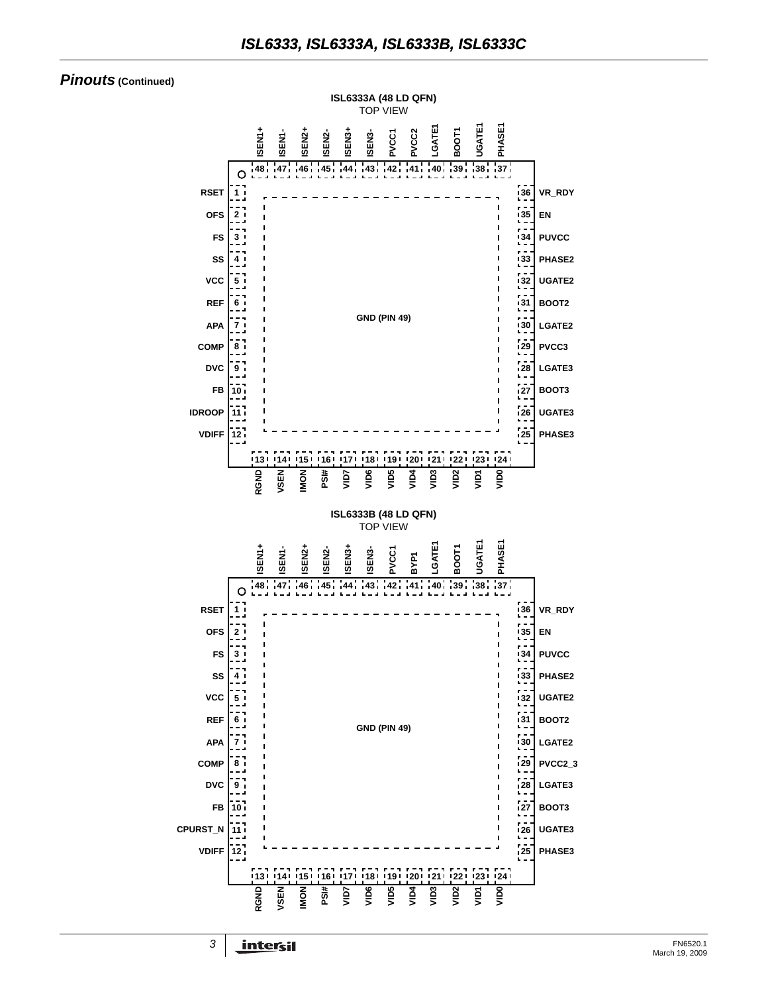#### *Pinouts* **(Continued)**

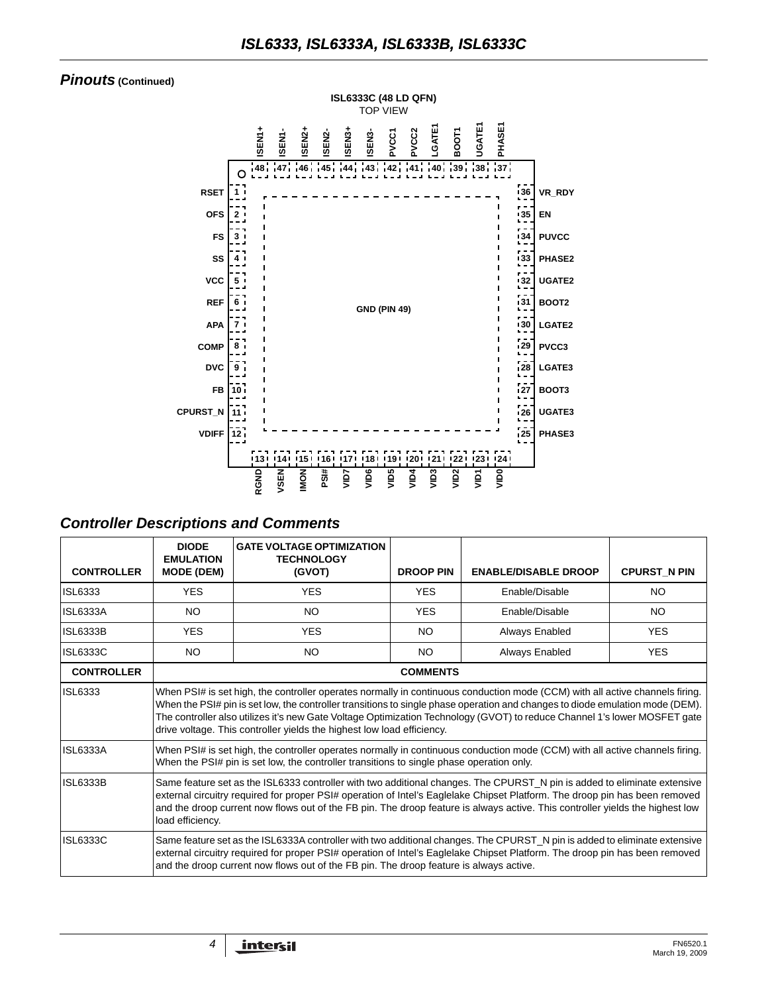#### *Pinouts* **(Continued)**



### *Controller Descriptions and Comments*

| <b>CONTROLLER</b> | <b>DIODE</b><br><b>EMULATION</b><br><b>MODE (DEM)</b>                                                                                                                                                                                                                                                                                                                                                                                                                | <b>GATE VOLTAGE OPTIMIZATION</b><br><b>TECHNOLOGY</b><br>(GVOT) | <b>DROOP PIN</b> | <b>ENABLE/DISABLE DROOP</b> | <b>CPURST N PIN</b> |  |  |  |
|-------------------|----------------------------------------------------------------------------------------------------------------------------------------------------------------------------------------------------------------------------------------------------------------------------------------------------------------------------------------------------------------------------------------------------------------------------------------------------------------------|-----------------------------------------------------------------|------------------|-----------------------------|---------------------|--|--|--|
| ISL6333           | <b>YES</b>                                                                                                                                                                                                                                                                                                                                                                                                                                                           | <b>YES</b>                                                      | <b>YES</b>       | Enable/Disable              | <b>NO</b>           |  |  |  |
| <b>ISL6333A</b>   | NO.                                                                                                                                                                                                                                                                                                                                                                                                                                                                  | NO.                                                             | <b>YES</b>       | Enable/Disable              | NO.                 |  |  |  |
| <b>ISL6333B</b>   | <b>YES</b>                                                                                                                                                                                                                                                                                                                                                                                                                                                           | <b>YES</b>                                                      | NO.              | Always Enabled              | <b>YES</b>          |  |  |  |
| <b>ISL6333C</b>   | <b>NO</b>                                                                                                                                                                                                                                                                                                                                                                                                                                                            | NO.                                                             | NO.              | Always Enabled              | <b>YES</b>          |  |  |  |
| <b>CONTROLLER</b> |                                                                                                                                                                                                                                                                                                                                                                                                                                                                      | <b>COMMENTS</b>                                                 |                  |                             |                     |  |  |  |
| <b>ISL6333</b>    | When PSI# is set high, the controller operates normally in continuous conduction mode (CCM) with all active channels firing.<br>When the PSI# pin is set low, the controller transitions to single phase operation and changes to diode emulation mode (DEM).<br>The controller also utilizes it's new Gate Voltage Optimization Technology (GVOT) to reduce Channel 1's lower MOSFET gate<br>drive voltage. This controller yields the highest low load efficiency. |                                                                 |                  |                             |                     |  |  |  |
| <b>ISL6333A</b>   | When PSI# is set high, the controller operates normally in continuous conduction mode (CCM) with all active channels firing.<br>When the PSI# pin is set low, the controller transitions to single phase operation only.                                                                                                                                                                                                                                             |                                                                 |                  |                             |                     |  |  |  |
| <b>ISL6333B</b>   | Same feature set as the ISL6333 controller with two additional changes. The CPURST_N pin is added to eliminate extensive<br>external circuitry required for proper PSI# operation of Intel's Eaglelake Chipset Platform. The droop pin has been removed<br>and the droop current now flows out of the FB pin. The droop feature is always active. This controller yields the highest low<br>load efficiency.                                                         |                                                                 |                  |                             |                     |  |  |  |
| <b>ISL6333C</b>   | Same feature set as the ISL6333A controller with two additional changes. The CPURST_N pin is added to eliminate extensive<br>external circuitry required for proper PSI# operation of Intel's Eaglelake Chipset Platform. The droop pin has been removed<br>and the droop current now flows out of the FB pin. The droop feature is always active.                                                                                                                   |                                                                 |                  |                             |                     |  |  |  |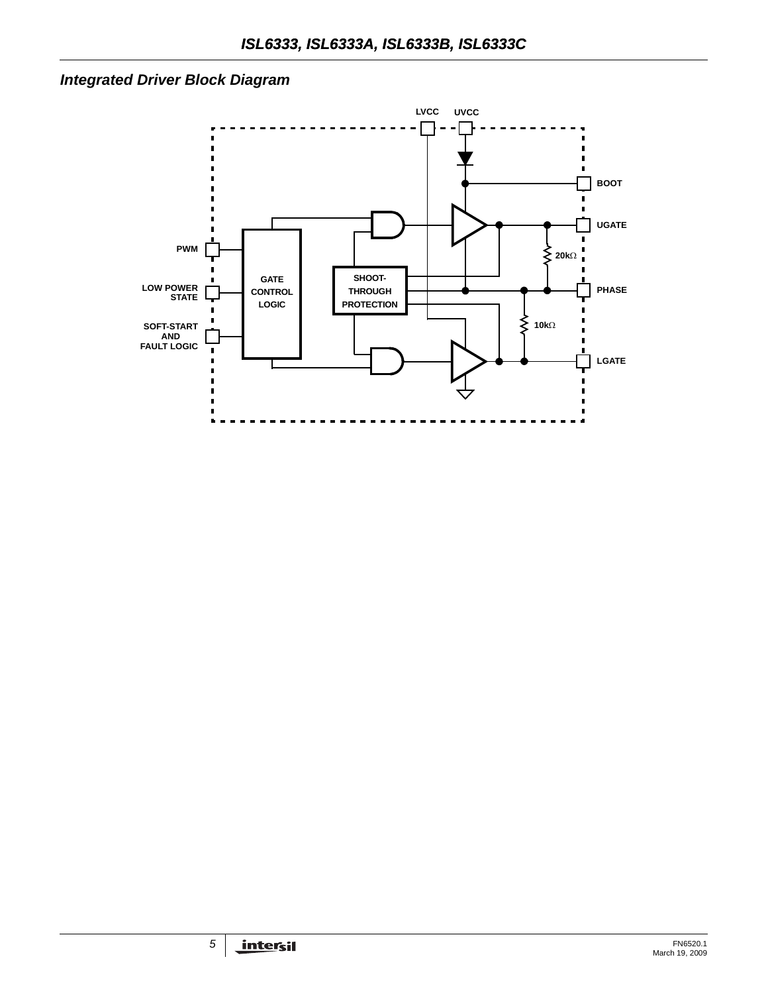## *Integrated Driver Block Diagram*

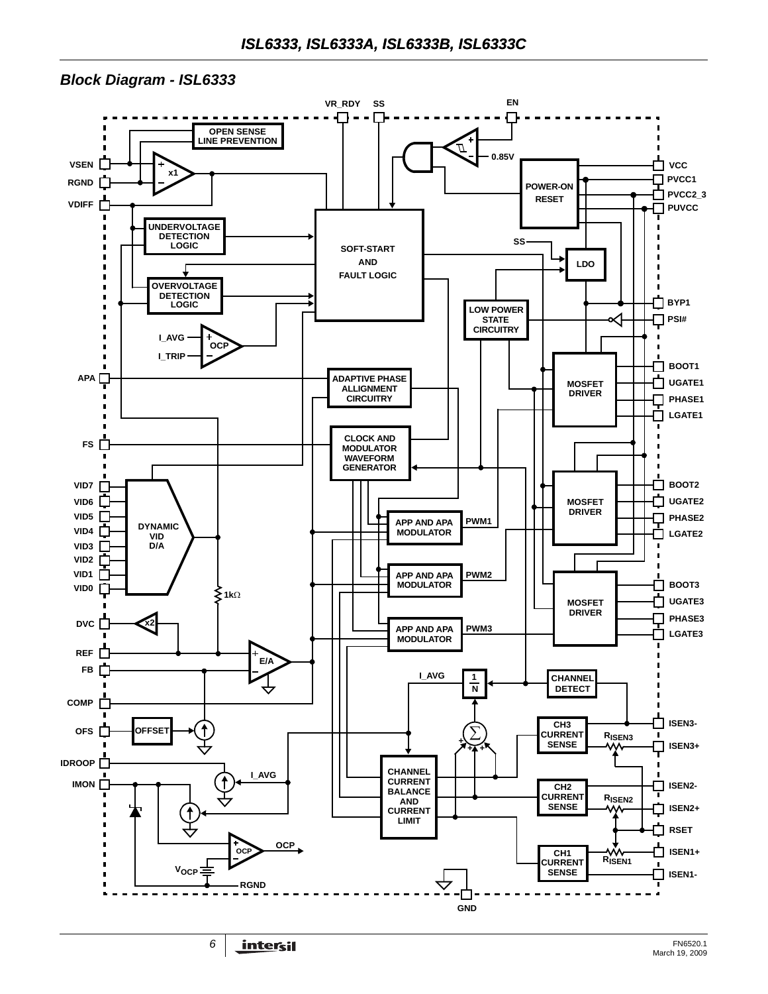#### *Block Diagram - ISL6333*

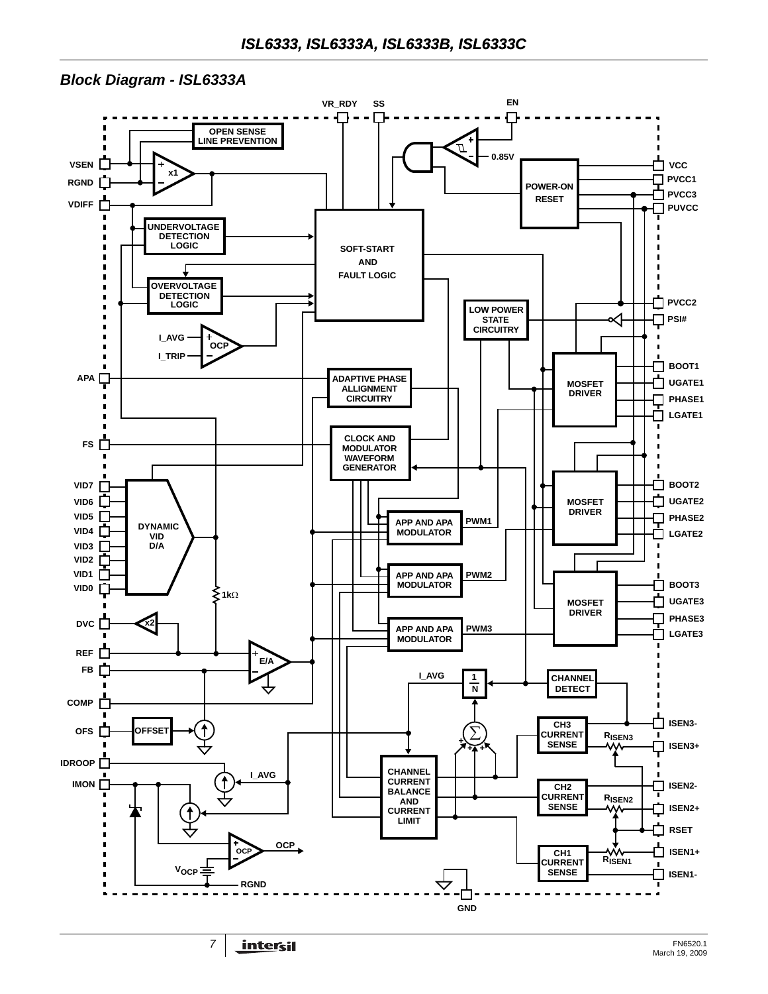### *Block Diagram - ISL6333A*

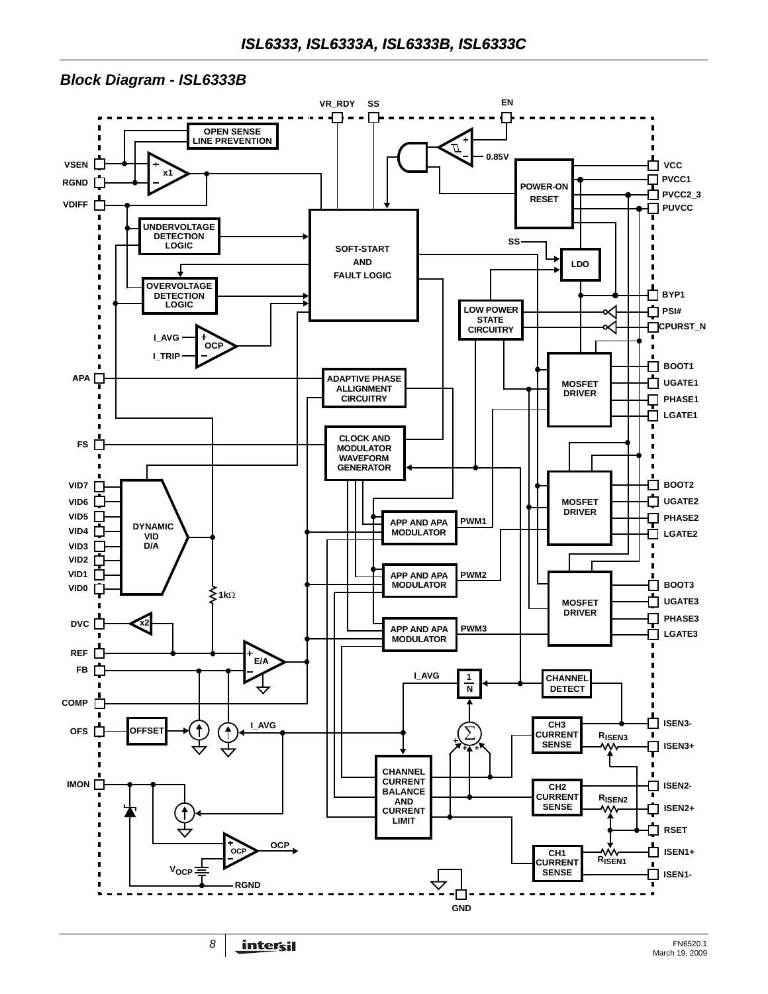### *Block Diagram - ISL6333B*

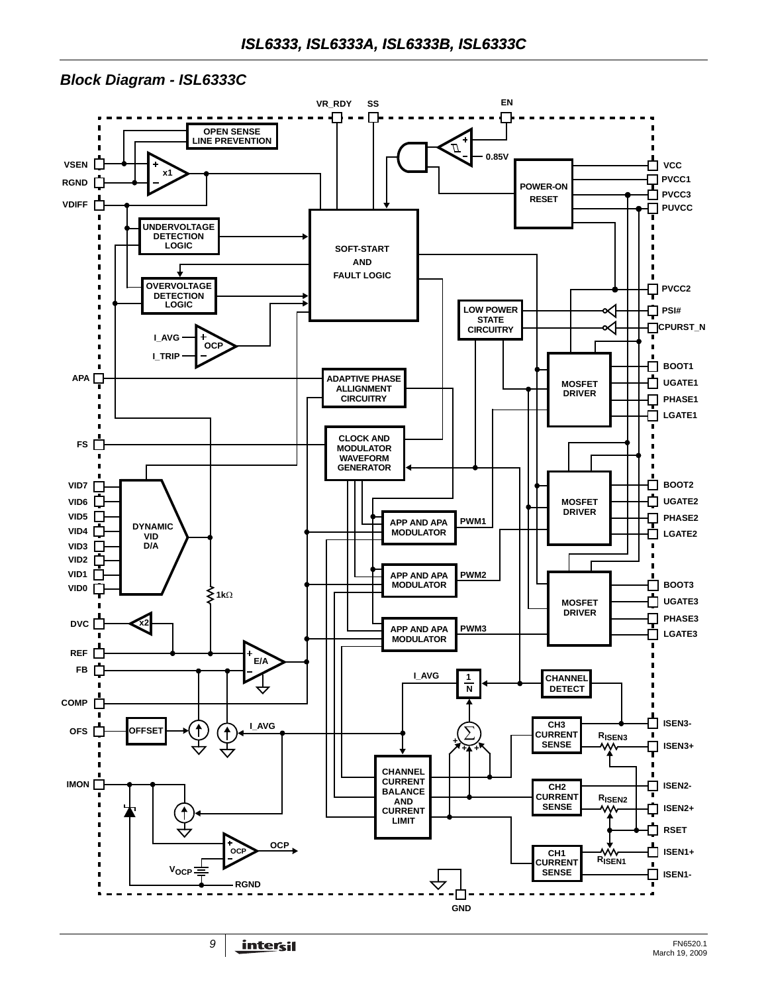### *Block Diagram - ISL6333C*

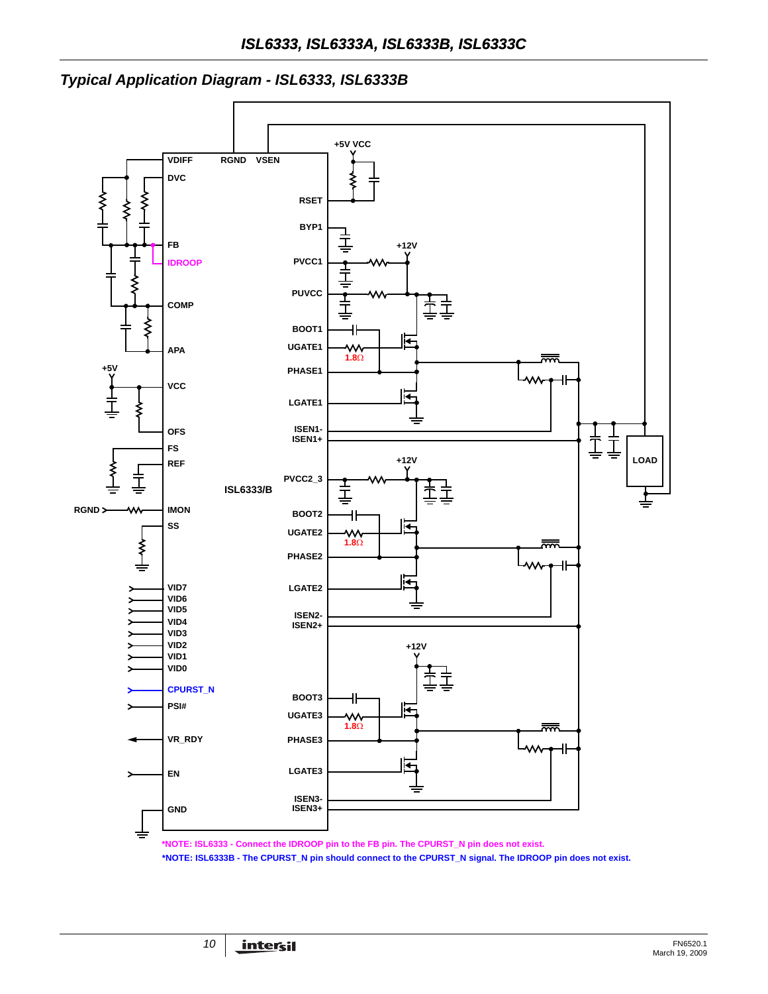## *Typical Application Diagram - ISL6333, ISL6333B*



**\*NOTE: ISL6333 - Connect the IDROOP pin to the FB pin. The CPURST\_N pin does not exist.**

**\*NOTE: ISL6333B - The CPURST\_N pin should connect to the CPURST\_N signal. The IDROOP pin does not exist.**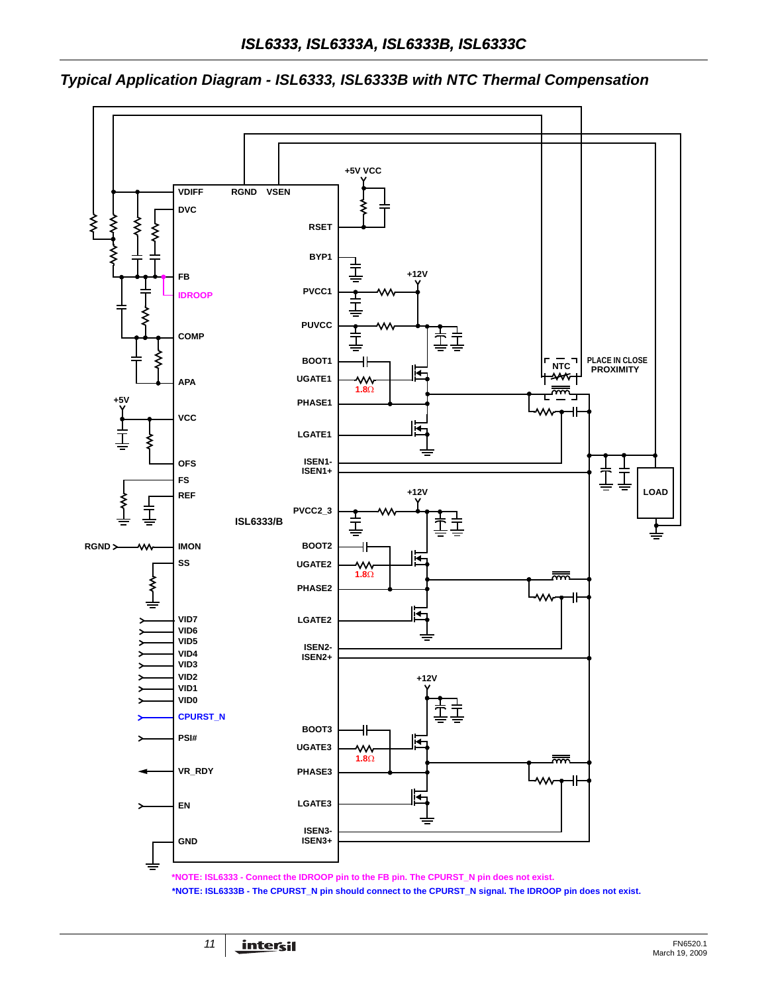

*Typical Application Diagram - ISL6333, ISL6333B with NTC Thermal Compensation*

**\*NOTE: ISL6333B - The CPURST\_N pin should connect to the CPURST\_N signal. The IDROOP pin does not exist.**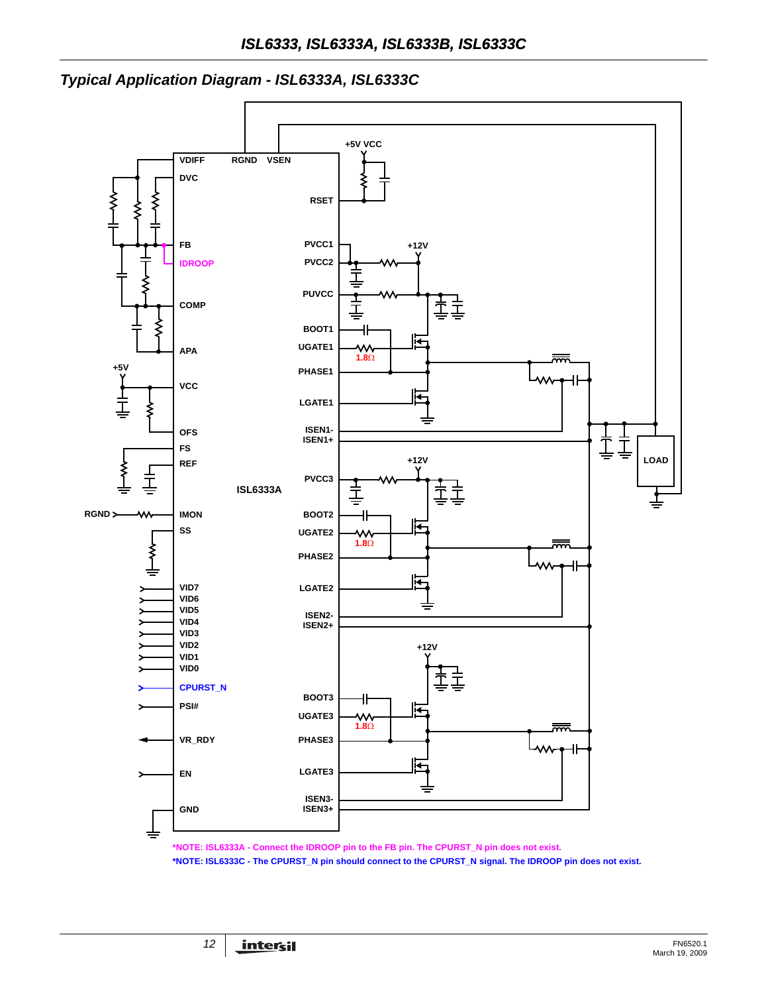



**\*NOTE: ISL6333A - Connect the IDROOP pin to the FB pin. The CPURST\_N pin does not exist.**

**\*NOTE: ISL6333C - The CPURST\_N pin should connect to the CPURST\_N signal. The IDROOP pin does not exist.**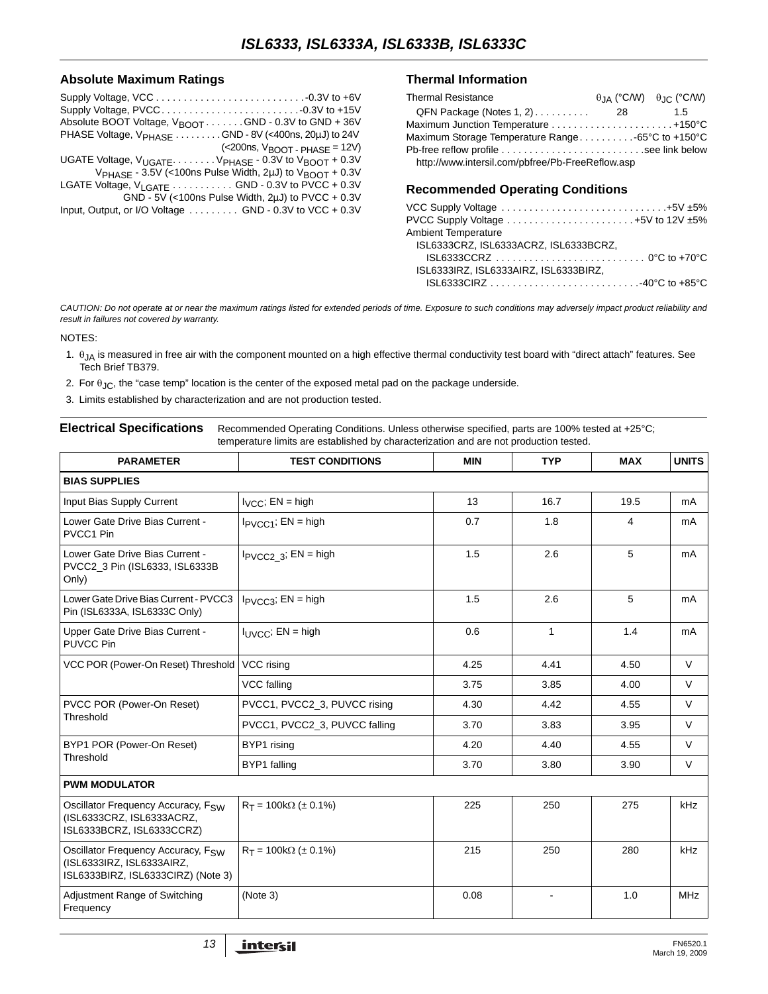#### **Absolute Maximum Ratings**

| Absolute BOOT Voltage, $V_{\text{BOOT}} \dots \dots \dots$ GND - 0.3V to GND + 36V        |
|-------------------------------------------------------------------------------------------|
| PHASE Voltage, V <sub>PHASE</sub> GND - 8V (<400ns, 20µJ) to 24V                          |
| $(<$ 200ns, $V_{\text{BOOT}}$ - PHASE = 12V)                                              |
| UGATE Voltage, V <sub>UGATE</sub> . V <sub>PHASE</sub> - 0.3V to V <sub>BOOT</sub> + 0.3V |
| V <sub>PHASE</sub> - 3.5V (<100ns Pulse Width, 2µJ) to V <sub>BOOT</sub> + 0.3V           |
| LGATE Voltage, $V_{LGATE}$ GND - 0.3V to PVCC + 0.3V                                      |
| GND - 5V (<100ns Pulse Width, 2 $\mu$ J) to PVCC + 0.3V                                   |
| Input, Output, or I/O Voltage GND - 0.3V to VCC + 0.3V                                    |
|                                                                                           |

#### **Thermal Information**

| <b>Thermal Resistance</b>                         |    | $\theta$ JA (°C/W) $\theta$ JC (°C/W) |
|---------------------------------------------------|----|---------------------------------------|
| $QFN$ Package (Notes 1, 2) $\ldots \ldots \ldots$ | 28 | 1.5                                   |
| Maximum Junction Temperature +150°C               |    |                                       |
| Maximum Storage Temperature Range65°C to +150°C   |    |                                       |
|                                                   |    |                                       |
| http://www.intersil.com/pbfree/Pb-FreeReflow.asp  |    |                                       |

#### **Recommended Operating Conditions**

| VCC Supply Voltage +5V ±5%                                                                  |
|---------------------------------------------------------------------------------------------|
| PVCC Supply Voltage $\ldots \ldots \ldots \ldots \ldots \ldots \ldots +5V$ to 12V $\pm 5\%$ |
| <b>Ambient Temperature</b>                                                                  |
| ISL6333CRZ. ISL6333ACRZ. ISL6333BCRZ.                                                       |
| $ISL6333CCRZ$ 0 °C to +70 °C                                                                |
| ISL6333IRZ. ISL6333AIRZ. ISL6333BIRZ.                                                       |
|                                                                                             |
|                                                                                             |

*CAUTION: Do not operate at or near the maximum ratings listed for extended periods of time. Exposure to such conditions may adversely impact product reliability and result in failures not covered by warranty.*

#### NOTES:

- <span id="page-12-0"></span>1. θJA is measured in free air with the component mounted on a high effective thermal conductivity test board with "direct attach" features. See Tech Brief TB379.
- <span id="page-12-1"></span>2. For  $\theta_{\text{JC}}$ , the "case temp" location is the center of the exposed metal pad on the package underside.
- 3. Limits established by characterization and are not production tested.

<span id="page-12-4"></span>

| Electrical Specifications Recommended Operating Conditions. Unless otherwise specified, parts are 100% tested at +25°C; |
|-------------------------------------------------------------------------------------------------------------------------|
| temperature limits are established by characterization and are not production tested.                                   |

<span id="page-12-3"></span><span id="page-12-2"></span>

| <b>PARAMETER</b>                                                                                                  | <b>TEST CONDITIONS</b>        | <b>MIN</b> | <b>TYP</b>   | <b>MAX</b> | <b>UNITS</b> |
|-------------------------------------------------------------------------------------------------------------------|-------------------------------|------------|--------------|------------|--------------|
| <b>BIAS SUPPLIES</b>                                                                                              |                               |            |              |            |              |
| Input Bias Supply Current                                                                                         | $I_{VCC}$ ; EN = high         | 13         | 16.7         | 19.5       | mA           |
| Lower Gate Drive Bias Current -<br>PVCC1 Pin                                                                      | $I_{PVCC1}$ ; EN = high       | 0.7        | 1.8          | 4          | mA           |
| Lower Gate Drive Bias Current -<br>PVCC2_3 Pin (ISL6333, ISL6333B<br>Only)                                        | $I_{PVCC2}$ 3; EN = high      | 1.5        | 2.6          | 5          | mA           |
| Lower Gate Drive Bias Current - PVCC3<br>Pin (ISL6333A, ISL6333C Only)                                            | $I_{PVCC3}$ ; EN = high       | 1.5        | 2.6          | 5          | mA           |
| Upper Gate Drive Bias Current -<br>PUVCC Pin                                                                      | $I_{\text{UVCC}}$ ; EN = high | 0.6        | $\mathbf{1}$ | 1.4        | mA           |
| VCC POR (Power-On Reset) Threshold                                                                                | VCC rising                    | 4.25       | 4.41         | 4.50       | V            |
|                                                                                                                   | VCC falling                   | 3.75       | 3.85         | 4.00       | $\vee$       |
| PVCC POR (Power-On Reset)                                                                                         | PVCC1, PVCC2_3, PUVCC rising  | 4.30       | 4.42         | 4.55       | V            |
| Threshold                                                                                                         | PVCC1, PVCC2 3, PUVCC falling | 3.70       | 3.83         | 3.95       | $\vee$       |
| BYP1 POR (Power-On Reset)                                                                                         | BYP1 rising                   | 4.20       | 4.40         | 4.55       | $\vee$       |
| Threshold                                                                                                         | BYP1 falling                  | 3.70       | 3.80         | 3.90       | $\vee$       |
| <b>PWM MODULATOR</b>                                                                                              |                               |            |              |            |              |
| Oscillator Frequency Accuracy, FSW<br>(ISL6333CRZ, ISL6333ACRZ,<br>ISL6333BCRZ, ISL6333CCRZ)                      | $R_T = 100k\Omega$ (± 0.1%)   | 225        | 250          | 275        | kHz          |
| Oscillator Frequency Accuracy, F <sub>SW</sub><br>(ISL6333IRZ, ISL6333AIRZ,<br>ISL6333BIRZ, ISL6333CIRZ) (Note 3) | $R_T = 100k\Omega$ (± 0.1%)   | 215        | 250          | 280        | kHz          |
| Adjustment Range of Switching<br>Frequency                                                                        | (Note 3)                      | 0.08       |              | 1.0        | <b>MHz</b>   |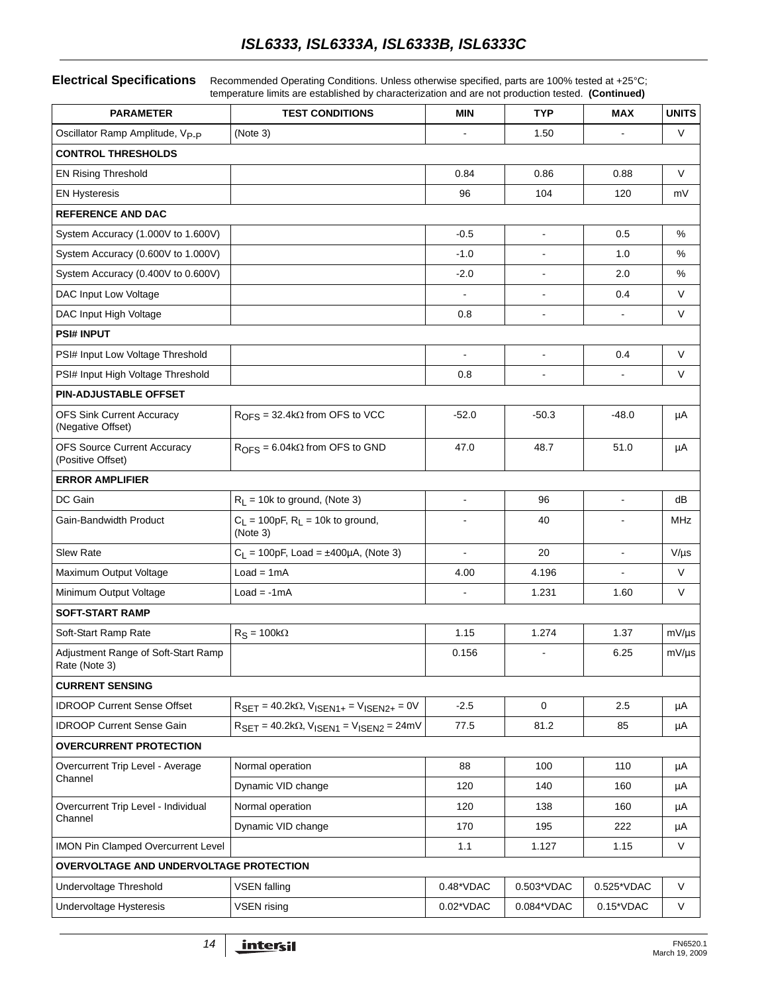## *ISL6333, ISL6333A, ISL6333B, ISL6333C*

#### **Electrical Specifications** Recommended Operating Conditions. Unless otherwise specified, parts are 100% tested at +25°C;

temperature limits are established by characterization and are not production tested. **(Continued)**

| <b>PARAMETER</b>                                        | <b>TEST CONDITIONS</b>                                                                        | <b>MIN</b>     | <b>TYP</b>               | <b>MAX</b>               | <b>UNITS</b> |
|---------------------------------------------------------|-----------------------------------------------------------------------------------------------|----------------|--------------------------|--------------------------|--------------|
| Oscillator Ramp Amplitude, Vp <sub>-P</sub>             | (Note 3)                                                                                      |                | 1.50                     |                          | V            |
| <b>CONTROL THRESHOLDS</b>                               |                                                                                               |                |                          |                          |              |
| <b>EN Rising Threshold</b>                              |                                                                                               | 0.84           | 0.86                     | 0.88                     | $\vee$       |
| <b>EN Hysteresis</b>                                    |                                                                                               | 96             | 104                      | 120                      | mV           |
| <b>REFERENCE AND DAC</b>                                |                                                                                               |                |                          |                          |              |
| System Accuracy (1.000V to 1.600V)                      |                                                                                               | $-0.5$         | $\blacksquare$           | 0.5                      | %            |
| System Accuracy (0.600V to 1.000V)                      |                                                                                               | $-1.0$         | $\blacksquare$           | 1.0                      | %            |
| System Accuracy (0.400V to 0.600V)                      |                                                                                               | $-2.0$         |                          | 2.0                      | %            |
| DAC Input Low Voltage                                   |                                                                                               |                | $\blacksquare$           | 0.4                      | V            |
| DAC Input High Voltage                                  |                                                                                               | 0.8            | $\overline{\phantom{a}}$ |                          | V            |
| <b>PSI# INPUT</b>                                       |                                                                                               |                |                          |                          |              |
| PSI# Input Low Voltage Threshold                        |                                                                                               | $\blacksquare$ | $\overline{\phantom{a}}$ | 0.4                      | V            |
| PSI# Input High Voltage Threshold                       |                                                                                               | 0.8            |                          |                          | V            |
| PIN-ADJUSTABLE OFFSET                                   |                                                                                               |                |                          |                          |              |
| <b>OFS Sink Current Accuracy</b><br>(Negative Offset)   | $ROFS = 32.4k\Omega$ from OFS to VCC                                                          | $-52.0$        | $-50.3$                  | $-48.0$                  | μA           |
| <b>OFS Source Current Accuracy</b><br>(Positive Offset) | $ROFS = 6.04k\Omega$ from OFS to GND                                                          | 47.0           | 48.7                     | 51.0                     | μA           |
| <b>ERROR AMPLIFIER</b>                                  |                                                                                               |                |                          |                          |              |
| DC Gain                                                 | $R_L$ = 10k to ground, (Note 3)                                                               |                | 96                       |                          | dB           |
| Gain-Bandwidth Product                                  | $C_L$ = 100pF, $R_L$ = 10k to ground,<br>(Note 3)                                             |                | 40                       |                          | MHz          |
| <b>Slew Rate</b>                                        | $C_L$ = 100pF, Load = ±400µA, (Note 3)                                                        |                | 20                       |                          | $V/\mu s$    |
| Maximum Output Voltage                                  | $Load = 1mA$                                                                                  | 4.00           | 4.196                    | $\overline{\phantom{a}}$ | V            |
| Minimum Output Voltage                                  | $Load = -1mA$                                                                                 |                | 1.231                    | 1.60                     | V            |
| <b>SOFT-START RAMP</b>                                  |                                                                                               |                |                          |                          |              |
| Soft-Start Ramp Rate                                    | $R_S = 100k\Omega$                                                                            | 1.15           | 1.274                    | 1.37                     | $mV/\mu s$   |
| Adjustment Range of Soft-Start Ramp<br>Rate (Note 3)    |                                                                                               | 0.156          |                          | 6.25                     | $mV/\mu s$   |
| <b>CURRENT SENSING</b>                                  |                                                                                               |                |                          |                          |              |
| <b>IDROOP Current Sense Offset</b>                      | $R_{\text{SET}} = 40.2 \text{k}\Omega, V_{\text{ISEN1+}} = V_{\text{ISEN2+}} = 0V$            | $-2.5$         | $\mathbf 0$              | 2.5                      | μA           |
| <b>IDROOP Current Sense Gain</b>                        | $R_{\text{SET}} = 40.2 \text{k}\Omega$ , $V_{\text{ISEN1}} = V_{\text{ISEN2}} = 24 \text{mV}$ | 77.5           | 81.2                     | 85                       | μA           |
| <b>OVERCURRENT PROTECTION</b>                           |                                                                                               |                |                          |                          |              |
| Overcurrent Trip Level - Average<br>Channel             | Normal operation                                                                              | 88             | 100                      | 110                      | μA           |
|                                                         | Dynamic VID change                                                                            | 120            | 140                      | 160                      | μA           |
| Overcurrent Trip Level - Individual<br>Channel          | Normal operation                                                                              | 120            | 138                      | 160                      | μA           |
|                                                         | Dynamic VID change                                                                            | 170            | 195                      | 222                      | μA           |
| <b>IMON Pin Clamped Overcurrent Level</b>               |                                                                                               | 1.1            | 1.127                    | 1.15                     | $\vee$       |
| OVERVOLTAGE AND UNDERVOLTAGE PROTECTION                 |                                                                                               |                |                          |                          |              |
| Undervoltage Threshold                                  | VSEN falling                                                                                  | 0.48*VDAC      | 0.503*VDAC               | 0.525*VDAC               | V            |
| Undervoltage Hysteresis                                 | <b>VSEN</b> rising                                                                            | 0.02*VDAC      | 0.084*VDAC               | $0.15*VDAC$              | V            |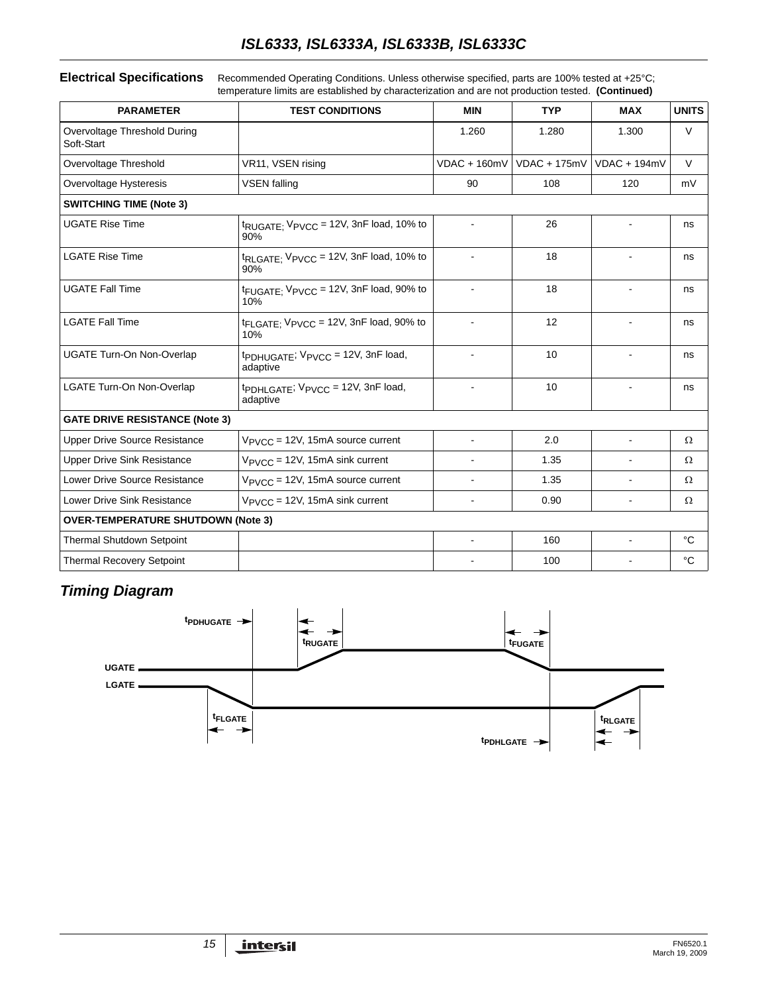## *ISL6333, ISL6333A, ISL6333B, ISL6333C*

#### **Electrical Specifications** Recommended Operating Conditions. Unless otherwise specified, parts are 100% tested at +25°C; temperature limits are established by characterization and are not production tested. **(Continued)**

| <b>PARAMETER</b>                           | <b>TEST CONDITIONS</b>                                                  | <b>MIN</b>               | <b>TYP</b>     | <b>MAX</b>     | <b>UNITS</b> |
|--------------------------------------------|-------------------------------------------------------------------------|--------------------------|----------------|----------------|--------------|
| Overvoltage Threshold During<br>Soft-Start |                                                                         | 1.260                    | 1.280          | 1.300          | $\vee$       |
| Overvoltage Threshold                      | VR11, VSEN rising                                                       | $VDAC + 160mV$           | $VDAC + 175mV$ | $VDAC + 194mV$ | $\vee$       |
| Overvoltage Hysteresis                     | <b>VSEN</b> falling                                                     | 90                       | 108            | 120            | mV           |
| <b>SWITCHING TIME (Note 3)</b>             |                                                                         |                          |                |                |              |
| <b>UGATE Rise Time</b>                     | $t_{\text{RUGATE}}$ ; $V_{\text{PVCC}} = 12V$ , 3nF load, 10% to<br>90% |                          | 26             |                | ns           |
| <b>LGATE Rise Time</b>                     | t <sub>RLGATE</sub> : V <sub>PVCC</sub> = 12V, 3nF load, 10% to<br>90%  | $\overline{\phantom{0}}$ | 18             |                | ns           |
| <b>UGATE Fall Time</b>                     | t <sub>FUGATE:</sub> V <sub>PVCC</sub> = 12V, 3nF load, 90% to<br>10%   | 18                       |                | $\blacksquare$ | ns           |
| <b>LGATE Fall Time</b>                     | tFLGATE: VPVCC = 12V, 3nF load, 90% to<br>10%                           |                          | 12             |                | ns           |
| <b>UGATE Turn-On Non-Overlap</b>           | $tpDHUGATE$ ; $VPVCC = 12V$ , $3nF$ load,<br>adaptive                   |                          | 10             |                | ns           |
| LGATE Turn-On Non-Overlap                  | tpDHLGATE; VPVCC = 12V, 3nF load,<br>adaptive                           |                          | 10             |                | ns           |
| <b>GATE DRIVE RESISTANCE (Note 3)</b>      |                                                                         |                          |                |                |              |
| <b>Upper Drive Source Resistance</b>       | $V_{\text{PVCC}}$ = 12V, 15mA source current                            | ä,                       | 2.0            | $\sim$         | Ω            |
| <b>Upper Drive Sink Resistance</b>         | $V_{\text{PVCC}}$ = 12V, 15mA sink current                              |                          | 1.35           |                | $\Omega$     |
| Lower Drive Source Resistance              | $V_{PVCC}$ = 12V, 15mA source current                                   |                          | 1.35           |                | Ω            |
| Lower Drive Sink Resistance                | $V_{\text{PVCC}}$ = 12V, 15mA sink current                              |                          | 0.90           |                | Ω            |
| <b>OVER-TEMPERATURE SHUTDOWN (Note 3)</b>  |                                                                         |                          |                |                |              |
| <b>Thermal Shutdown Setpoint</b>           |                                                                         | $\blacksquare$           | 160            | $\blacksquare$ | °C           |
| <b>Thermal Recovery Setpoint</b>           |                                                                         |                          | 100            |                | °C           |

## *Timing Diagram*

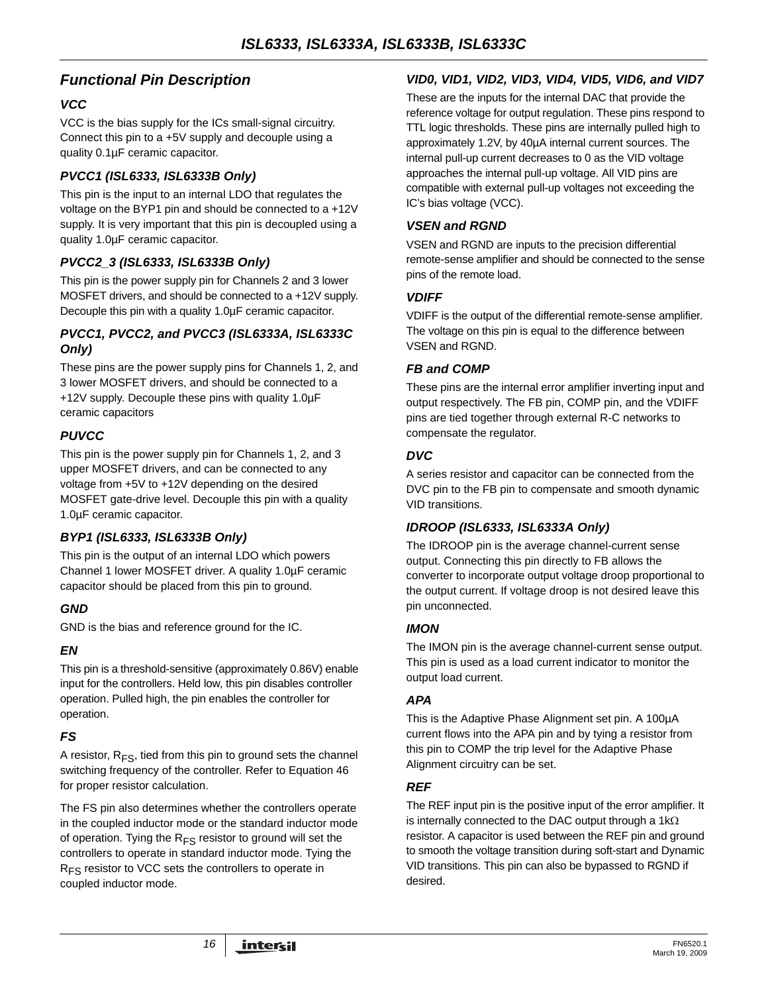## *Functional Pin Description*

#### *VCC*

VCC is the bias supply for the ICs small-signal circuitry. Connect this pin to a +5V supply and decouple using a quality 0.1µF ceramic capacitor.

#### *PVCC1 (ISL6333, ISL6333B Only)*

This pin is the input to an internal LDO that regulates the voltage on the BYP1 pin and should be connected to a +12V supply. It is very important that this pin is decoupled using a quality 1.0µF ceramic capacitor.

### *PVCC2\_3 (ISL6333, ISL6333B Only)*

This pin is the power supply pin for Channels 2 and 3 lower MOSFET drivers, and should be connected to a +12V supply. Decouple this pin with a quality 1.0µF ceramic capacitor.

#### *PVCC1, PVCC2, and PVCC3 (ISL6333A, ISL6333C Only)*

These pins are the power supply pins for Channels 1, 2, and 3 lower MOSFET drivers, and should be connected to a +12V supply. Decouple these pins with quality 1.0µF ceramic capacitors

## *PUVCC*

This pin is the power supply pin for Channels 1, 2, and 3 upper MOSFET drivers, and can be connected to any voltage from +5V to +12V depending on the desired MOSFET gate-drive level. Decouple this pin with a quality 1.0µF ceramic capacitor.

## *BYP1 (ISL6333, ISL6333B Only)*

This pin is the output of an internal LDO which powers Channel 1 lower MOSFET driver. A quality 1.0µF ceramic capacitor should be placed from this pin to ground.

#### *GND*

GND is the bias and reference ground for the IC.

#### *EN*

This pin is a threshold-sensitive (approximately 0.86V) enable input for the controllers. Held low, this pin disables controller operation. Pulled high, the pin enables the controller for operation.

## *FS*

A resistor,  $R_{FS}$ , tied from this pin to ground sets the channel switching frequency of the controller. Refer to Equation 46 for proper resistor calculation.

The FS pin also determines whether the controllers operate in the coupled inductor mode or the standard inductor mode of operation. Tying the  $R_{FS}$  resistor to ground will set the controllers to operate in standard inductor mode. Tying the R<sub>FS</sub> resistor to VCC sets the controllers to operate in coupled inductor mode.

### *VID0, VID1, VID2, VID3, VID4, VID5, VID6, and VID7*

These are the inputs for the internal DAC that provide the reference voltage for output regulation. These pins respond to TTL logic thresholds. These pins are internally pulled high to approximately 1.2V, by 40µA internal current sources. The internal pull-up current decreases to 0 as the VID voltage approaches the internal pull-up voltage. All VID pins are compatible with external pull-up voltages not exceeding the IC's bias voltage (VCC).

#### *VSEN and RGND*

VSEN and RGND are inputs to the precision differential remote-sense amplifier and should be connected to the sense pins of the remote load.

#### *VDIFF*

VDIFF is the output of the differential remote-sense amplifier. The voltage on this pin is equal to the difference between VSEN and RGND.

#### *FB and COMP*

These pins are the internal error amplifier inverting input and output respectively. The FB pin, COMP pin, and the VDIFF pins are tied together through external R-C networks to compensate the regulator.

#### *DVC*

A series resistor and capacitor can be connected from the DVC pin to the FB pin to compensate and smooth dynamic VID transitions.

#### *IDROOP (ISL6333, ISL6333A Only)*

The IDROOP pin is the average channel-current sense output. Connecting this pin directly to FB allows the converter to incorporate output voltage droop proportional to the output current. If voltage droop is not desired leave this pin unconnected.

#### *IMON*

The IMON pin is the average channel-current sense output. This pin is used as a load current indicator to monitor the output load current.

#### *APA*

This is the Adaptive Phase Alignment set pin. A 100µA current flows into the APA pin and by tying a resistor from this pin to COMP the trip level for the Adaptive Phase Alignment circuitry can be set.

#### *REF*

The REF input pin is the positive input of the error amplifier. It is internally connected to the DAC output through a 1kΩ resistor. A capacitor is used between the REF pin and ground to smooth the voltage transition during soft-start and Dynamic VID transitions. This pin can also be bypassed to RGND if desired.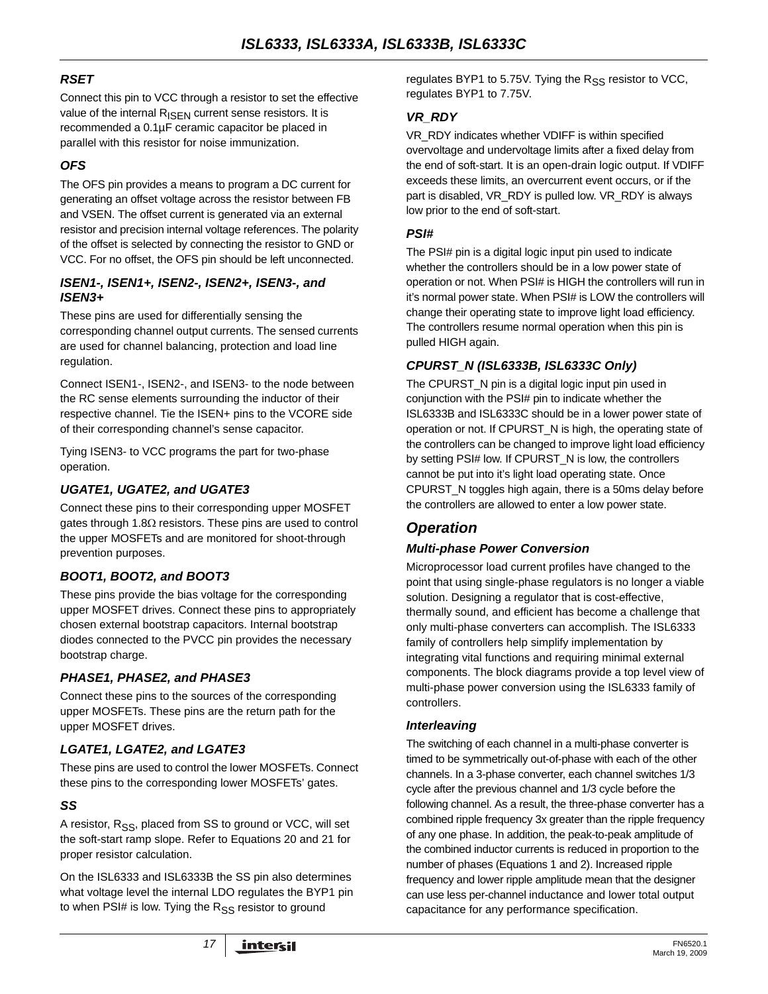### *RSET*

Connect this pin to VCC through a resistor to set the effective value of the internal  $R_{\text{ISEN}}$  current sense resistors. It is recommended a 0.1µF ceramic capacitor be placed in parallel with this resistor for noise immunization.

### *OFS*

The OFS pin provides a means to program a DC current for generating an offset voltage across the resistor between FB and VSEN. The offset current is generated via an external resistor and precision internal voltage references. The polarity of the offset is selected by connecting the resistor to GND or VCC. For no offset, the OFS pin should be left unconnected.

#### *ISEN1-, ISEN1+, ISEN2-, ISEN2+, ISEN3-, and ISEN3+*

These pins are used for differentially sensing the corresponding channel output currents. The sensed currents are used for channel balancing, protection and load line regulation.

Connect ISEN1-, ISEN2-, and ISEN3- to the node between the RC sense elements surrounding the inductor of their respective channel. Tie the ISEN+ pins to the VCORE side of their corresponding channel's sense capacitor.

Tying ISEN3- to VCC programs the part for two-phase operation.

### *UGATE1, UGATE2, and UGATE3*

Connect these pins to their corresponding upper MOSFET gates through 1.8 $\Omega$  resistors. These pins are used to control the upper MOSFETs and are monitored for shoot-through prevention purposes.

#### *BOOT1, BOOT2, and BOOT3*

These pins provide the bias voltage for the corresponding upper MOSFET drives. Connect these pins to appropriately chosen external bootstrap capacitors. Internal bootstrap diodes connected to the PVCC pin provides the necessary bootstrap charge.

#### *PHASE1, PHASE2, and PHASE3*

Connect these pins to the sources of the corresponding upper MOSFETs. These pins are the return path for the upper MOSFET drives.

#### *LGATE1, LGATE2, and LGATE3*

These pins are used to control the lower MOSFETs. Connect these pins to the corresponding lower MOSFETs' gates.

## *SS*

A resistor,  $R_{SS}$ , placed from SS to ground or VCC, will set the soft-start ramp slope. Refer to Equations 20 and 21 for proper resistor calculation.

On the ISL6333 and ISL6333B the SS pin also determines what voltage level the internal LDO regulates the BYP1 pin to when PSI# is low. Tying the  $R_{SS}$  resistor to ground

regulates BYP1 to 5.75V. Tying the  $R_{SS}$  resistor to VCC, regulates BYP1 to 7.75V.

#### *VR\_RDY*

VR\_RDY indicates whether VDIFF is within specified overvoltage and undervoltage limits after a fixed delay from the end of soft-start. It is an open-drain logic output. If VDIFF exceeds these limits, an overcurrent event occurs, or if the part is disabled, VR\_RDY is pulled low. VR\_RDY is always low prior to the end of soft-start.

#### *PSI#*

The PSI# pin is a digital logic input pin used to indicate whether the controllers should be in a low power state of operation or not. When PSI# is HIGH the controllers will run in it's normal power state. When PSI# is LOW the controllers will change their operating state to improve light load efficiency. The controllers resume normal operation when this pin is pulled HIGH again.

### *CPURST\_N (ISL6333B, ISL6333C Only)*

The CPURST\_N pin is a digital logic input pin used in conjunction with the PSI# pin to indicate whether the ISL6333B and ISL6333C should be in a lower power state of operation or not. If CPURST\_N is high, the operating state of the controllers can be changed to improve light load efficiency by setting PSI# low. If CPURST\_N is low, the controllers cannot be put into it's light load operating state. Once CPURST\_N toggles high again, there is a 50ms delay before the controllers are allowed to enter a low power state.

## *Operation*

#### *Multi-phase Power Conversion*

Microprocessor load current profiles have changed to the point that using single-phase regulators is no longer a viable solution. Designing a regulator that is cost-effective, thermally sound, and efficient has become a challenge that only multi-phase converters can accomplish. The ISL6333 family of controllers help simplify implementation by integrating vital functions and requiring minimal external components. The block diagrams provide a top level view of multi-phase power conversion using the ISL6333 family of controllers.

#### *Interleaving*

The switching of each channel in a multi-phase converter is timed to be symmetrically out-of-phase with each of the other channels. In a 3-phase converter, each channel switches 1/3 cycle after the previous channel and 1/3 cycle before the following channel. As a result, the three-phase converter has a combined ripple frequency 3x greater than the ripple frequency of any one phase. In addition, the peak-to-peak amplitude of the combined inductor currents is reduced in proportion to the number of phases (Equations 1 and 2). Increased ripple frequency and lower ripple amplitude mean that the designer can use less per-channel inductance and lower total output capacitance for any performance specification.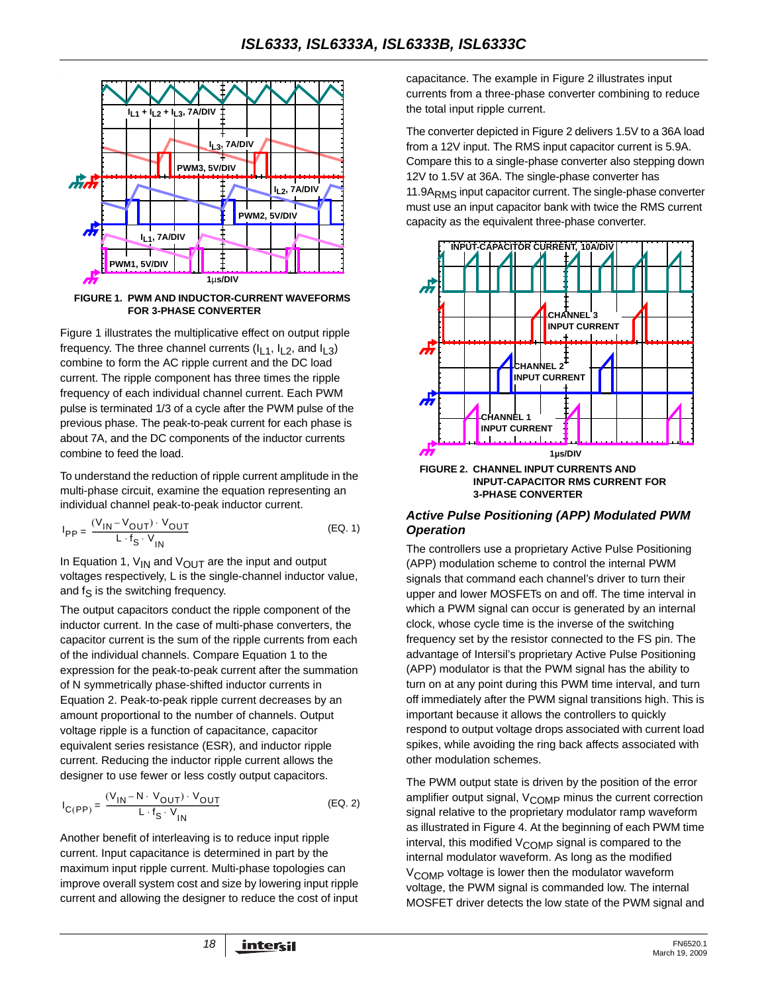

<span id="page-17-0"></span>**FIGURE 1. PWM AND INDUCTOR-CURRENT WAVEFORMS FOR 3-PHASE CONVERTER**

Figure [1](#page-17-0) illustrates the multiplicative effect on output ripple frequency. The three channel currents  $(I_1, I_2,$  and  $I_1, 3)$ combine to form the AC ripple current and the DC load current. The ripple component has three times the ripple frequency of each individual channel current. Each PWM pulse is terminated 1/3 of a cycle after the PWM pulse of the previous phase. The peak-to-peak current for each phase is about 7A, and the DC components of the inductor currents combine to feed the load.

To understand the reduction of ripple current amplitude in the multi-phase circuit, examine the equation representing an individual channel peak-to-peak inductor current.

$$
I_{PP} = \frac{(V_{IN} - V_{OUT}) \cdot V_{OUT}}{L \cdot f_S \cdot V_{IN}}
$$
 (EQ. 1)

In Equation 1,  $V_{IN}$  and  $V_{OUT}$  are the input and output voltages respectively, L is the single-channel inductor value, and  $f_S$  is the switching frequency.

The output capacitors conduct the ripple component of the inductor current. In the case of multi-phase converters, the capacitor current is the sum of the ripple currents from each of the individual channels. Compare Equation 1 to the expression for the peak-to-peak current after the summation of N symmetrically phase-shifted inductor currents in Equation 2. Peak-to-peak ripple current decreases by an amount proportional to the number of channels. Output voltage ripple is a function of capacitance, capacitor equivalent series resistance (ESR), and inductor ripple current. Reducing the inductor ripple current allows the designer to use fewer or less costly output capacitors.

$$
I_{C(PP)} = \frac{(V_{1N} - N \cdot V_{OUT}) \cdot V_{OUT}}{L \cdot f_S \cdot V_{IN}}
$$
 (EQ. 2)

Another benefit of interleaving is to reduce input ripple current. Input capacitance is determined in part by the maximum input ripple current. Multi-phase topologies can improve overall system cost and size by lowering input ripple current and allowing the designer to reduce the cost of input capacitance. The example in Figure 2 illustrates input currents from a three-phase converter combining to reduce the total input ripple current.

The converter depicted in Figure 2 delivers 1.5V to a 36A load from a 12V input. The RMS input capacitor current is 5.9A. Compare this to a single-phase converter also stepping down 12V to 1.5V at 36A. The single-phase converter has 11.9A<sub>RMS</sub> input capacitor current. The single-phase converter must use an input capacitor bank with twice the RMS current capacity as the equivalent three-phase converter.



#### *Active Pulse Positioning (APP) Modulated PWM Operation*

The controllers use a proprietary Active Pulse Positioning (APP) modulation scheme to control the internal PWM signals that command each channel's driver to turn their upper and lower MOSFETs on and off. The time interval in which a PWM signal can occur is generated by an internal clock, whose cycle time is the inverse of the switching frequency set by the resistor connected to the FS pin. The advantage of Intersil's proprietary Active Pulse Positioning (APP) modulator is that the PWM signal has the ability to turn on at any point during this PWM time interval, and turn off immediately after the PWM signal transitions high. This is important because it allows the controllers to quickly respond to output voltage drops associated with current load spikes, while avoiding the ring back affects associated with other modulation schemes.

The PWM output state is driven by the position of the error amplifier output signal, V<sub>COMP</sub> minus the current correction signal relative to the proprietary modulator ramp waveform as illustrated in Figure 4. At the beginning of each PWM time interval, this modified V<sub>COMP</sub> signal is compared to the internal modulator waveform. As long as the modified V<sub>COMP</sub> voltage is lower then the modulator waveform voltage, the PWM signal is commanded low. The internal MOSFET driver detects the low state of the PWM signal and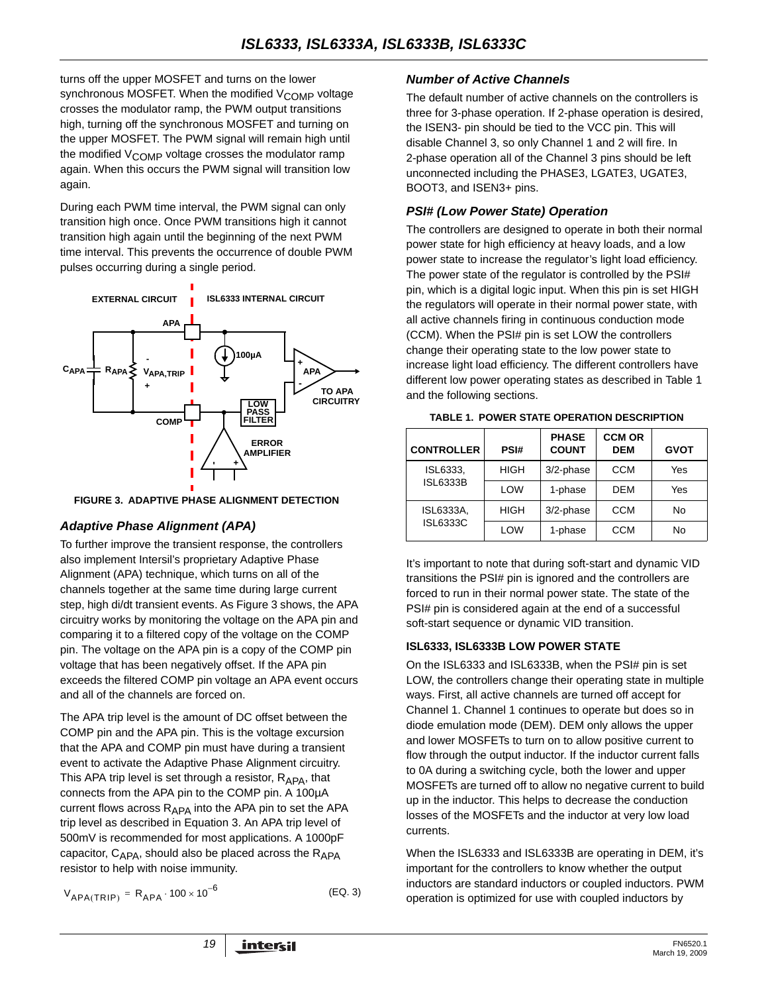turns off the upper MOSFET and turns on the lower synchronous MOSFET. When the modified  $V_{\text{COMP}}$  voltage crosses the modulator ramp, the PWM output transitions high, turning off the synchronous MOSFET and turning on the upper MOSFET. The PWM signal will remain high until the modified  $V_{\text{COMP}}$  voltage crosses the modulator ramp again. When this occurs the PWM signal will transition low again.

During each PWM time interval, the PWM signal can only transition high once. Once PWM transitions high it cannot transition high again until the beginning of the next PWM time interval. This prevents the occurrence of double PWM pulses occurring during a single period.



<span id="page-18-2"></span>**FIGURE 3. ADAPTIVE PHASE ALIGNMENT DETECTION**

#### *Adaptive Phase Alignment (APA)*

To further improve the transient response, the controllers also implement Intersil's proprietary Adaptive Phase Alignment (APA) technique, which turns on all of the channels together at the same time during large current step, high di/dt transient events. As Figure [3](#page-18-2) shows, the APA circuitry works by monitoring the voltage on the APA pin and comparing it to a filtered copy of the voltage on the COMP pin. The voltage on the APA pin is a copy of the COMP pin voltage that has been negatively offset. If the APA pin exceeds the filtered COMP pin voltage an APA event occurs and all of the channels are forced on.

The APA trip level is the amount of DC offset between the COMP pin and the APA pin. This is the voltage excursion that the APA and COMP pin must have during a transient event to activate the Adaptive Phase Alignment circuitry. This APA trip level is set through a resistor,  $R_{APA}$ , that connects from the APA pin to the COMP pin. A 100µA current flows across  $R_{APA}$  into the APA pin to set the APA trip level as described in Equation [3.](#page-18-1) An APA trip level of 500mV is recommended for most applications. A 1000pF capacitor,  $C_{APA}$ , should also be placed across the  $R_{APA}$ resistor to help with noise immunity.

$$
V_{APA(TRIP)} = R_{APA} \cdot 100 \times 10^{-6}
$$
 (EQ. 3)

<span id="page-18-1"></span>

#### *Number of Active Channels*

The default number of active channels on the controllers is three for 3-phase operation. If 2-phase operation is desired, the ISEN3- pin should be tied to the VCC pin. This will disable Channel 3, so only Channel 1 and 2 will fire. In 2-phase operation all of the Channel 3 pins should be left unconnected including the PHASE3, LGATE3, UGATE3, BOOT3, and ISEN3+ pins.

#### *PSI# (Low Power State) Operation*

The controllers are designed to operate in both their normal power state for high efficiency at heavy loads, and a low power state to increase the regulator's light load efficiency. The power state of the regulator is controlled by the PSI# pin, which is a digital logic input. When this pin is set HIGH the regulators will operate in their normal power state, with all active channels firing in continuous conduction mode (CCM). When the PSI# pin is set LOW the controllers change their operating state to the low power state to increase light load efficiency. The different controllers have different low power operating states as described in Table [1](#page-18-0)  and the following sections.

<span id="page-18-0"></span>

| <b>CONTROLLER</b> | PSI#        | <b>PHASE</b><br><b>COUNT</b> | <b>CCM OR</b><br><b>DEM</b> | <b>GVOT</b> |
|-------------------|-------------|------------------------------|-----------------------------|-------------|
| ISL6333,          | <b>HIGH</b> | 3/2-phase                    | <b>CCM</b>                  | Yes         |
| <b>ISL6333B</b>   | LOW         | 1-phase                      | <b>DEM</b>                  | Yes         |
| <b>ISL6333A.</b>  | HIGH        | 3/2-phase                    | <b>CCM</b>                  | No          |
| <b>ISL6333C</b>   | LOW         | 1-phase                      | <b>CCM</b>                  | No          |

**TABLE 1. POWER STATE OPERATION DESCRIPTION**

It's important to note that during soft-start and dynamic VID transitions the PSI# pin is ignored and the controllers are forced to run in their normal power state. The state of the PSI# pin is considered again at the end of a successful soft-start sequence or dynamic VID transition.

#### **ISL6333, ISL6333B LOW POWER STATE**

On the ISL6333 and ISL6333B, when the PSI# pin is set LOW, the controllers change their operating state in multiple ways. First, all active channels are turned off accept for Channel 1. Channel 1 continues to operate but does so in diode emulation mode (DEM). DEM only allows the upper and lower MOSFETs to turn on to allow positive current to flow through the output inductor. If the inductor current falls to 0A during a switching cycle, both the lower and upper MOSFETs are turned off to allow no negative current to build up in the inductor. This helps to decrease the conduction losses of the MOSFETs and the inductor at very low load currents.

When the ISL6333 and ISL6333B are operating in DEM, it's important for the controllers to know whether the output inductors are standard inductors or coupled inductors. PWM operation is optimized for use with coupled inductors by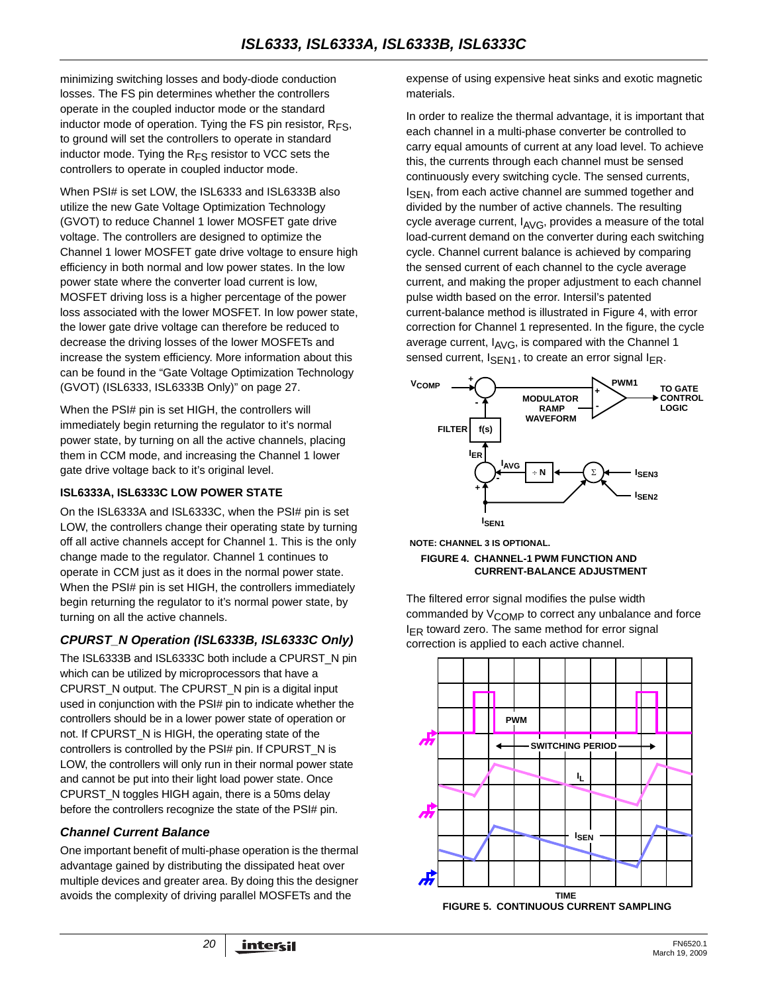minimizing switching losses and body-diode conduction losses. The FS pin determines whether the controllers operate in the coupled inductor mode or the standard inductor mode of operation. Tying the FS pin resistor,  $R_{FS}$ , to ground will set the controllers to operate in standard inductor mode. Tying the  $R_{FS}$  resistor to VCC sets the controllers to operate in coupled inductor mode.

When PSI# is set LOW, the ISL6333 and ISL6333B also utilize the new Gate Voltage Optimization Technology (GVOT) to reduce Channel 1 lower MOSFET gate drive voltage. The controllers are designed to optimize the Channel 1 lower MOSFET gate drive voltage to ensure high efficiency in both normal and low power states. In the low power state where the converter load current is low, MOSFET driving loss is a higher percentage of the power loss associated with the lower MOSFET. In low power state, the lower gate drive voltage can therefore be reduced to decrease the driving losses of the lower MOSFETs and increase the system efficiency. More information about this can be found in the ["Gate Voltage Optimization Technology](#page-26-0)  [\(GVOT\) \(ISL6333, ISL6333B Only\)" on page 27](#page-26-0).

When the PSI# pin is set HIGH, the controllers will immediately begin returning the regulator to it's normal power state, by turning on all the active channels, placing them in CCM mode, and increasing the Channel 1 lower gate drive voltage back to it's original level.

#### **ISL6333A, ISL6333C LOW POWER STATE**

On the ISL6333A and ISL6333C, when the PSI# pin is set LOW, the controllers change their operating state by turning off all active channels accept for Channel 1. This is the only change made to the regulator. Channel 1 continues to operate in CCM just as it does in the normal power state. When the PSI# pin is set HIGH, the controllers immediately begin returning the regulator to it's normal power state, by turning on all the active channels.

## *CPURST\_N Operation (ISL6333B, ISL6333C Only)*

The ISL6333B and ISL6333C both include a CPURST\_N pin which can be utilized by microprocessors that have a CPURST\_N output. The CPURST\_N pin is a digital input used in conjunction with the PSI# pin to indicate whether the controllers should be in a lower power state of operation or not. If CPURST\_N is HIGH, the operating state of the controllers is controlled by the PSI# pin. If CPURST\_N is LOW, the controllers will only run in their normal power state and cannot be put into their light load power state. Once CPURST\_N toggles HIGH again, there is a 50ms delay before the controllers recognize the state of the PSI# pin.

#### *Channel Current Balance*

One important benefit of multi-phase operation is the thermal advantage gained by distributing the dissipated heat over multiple devices and greater area. By doing this the designer avoids the complexity of driving parallel MOSFETs and the

expense of using expensive heat sinks and exotic magnetic materials.

In order to realize the thermal advantage, it is important that each channel in a multi-phase converter be controlled to carry equal amounts of current at any load level. To achieve this, the currents through each channel must be sensed continuously every switching cycle. The sensed currents, I<sub>SFN</sub>, from each active channel are summed together and divided by the number of active channels. The resulting cycle average current,  $I_{\text{AVG}}$ , provides a measure of the total load-current demand on the converter during each switching cycle. Channel current balance is achieved by comparing the sensed current of each channel to the cycle average current, and making the proper adjustment to each channel pulse width based on the error. Intersil's patented current-balance method is illustrated in Figure 4, with error correction for Channel 1 represented. In the figure, the cycle average current,  $I_{AVG}$ , is compared with the Channel 1 sensed current,  $I_{\text{SEN1}}$ , to create an error signal  $I_{\text{ER}}$ .



**NOTE: CHANNEL 3 IS OPTIONAL.**

**FIGURE 4. CHANNEL-1 PWM FUNCTION AND CURRENT-BALANCE ADJUSTMENT**

The filtered error signal modifies the pulse width commanded by V<sub>COMP</sub> to correct any unbalance and force  $I_{FR}$  toward zero. The same method for error signal correction is applied to each active channel.

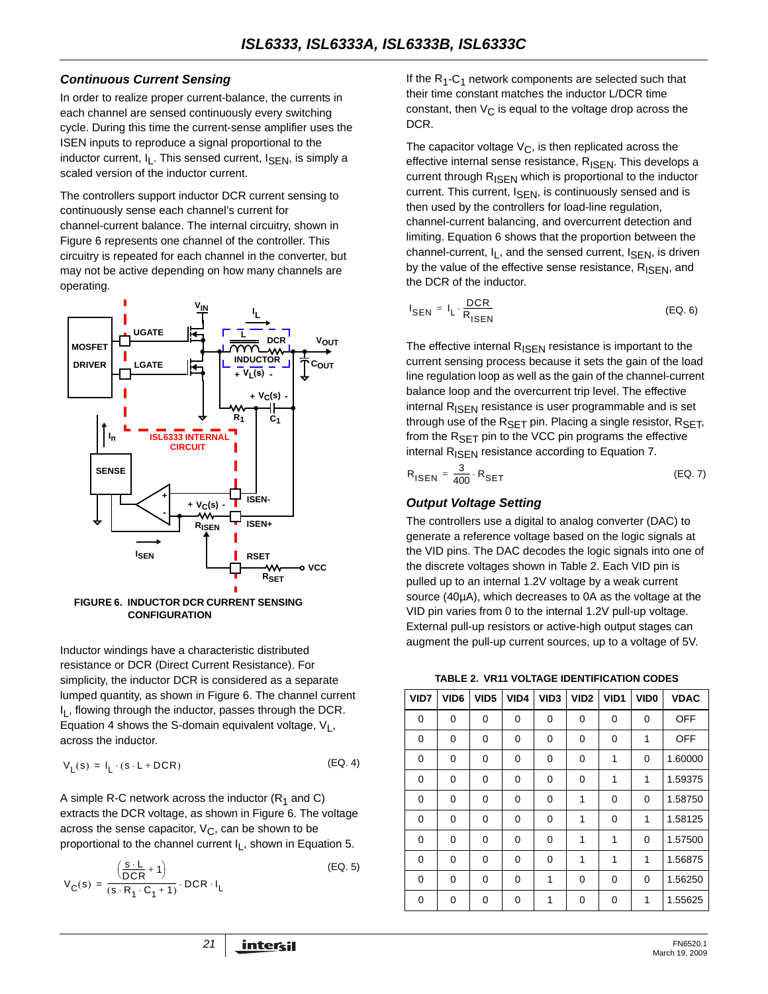#### *Continuous Current Sensing*

In order to realize proper current-balance, the currents in each channel are sensed continuously every switching cycle. During this time the current-sense amplifier uses the ISEN inputs to reproduce a signal proportional to the inductor current,  $I_L$ . This sensed current,  $I_{\text{SEN}}$ , is simply a scaled version of the inductor current.

The controllers support inductor DCR current sensing to continuously sense each channel's current for channel-current balance. The internal circuitry, shown in Figure 6 represents one channel of the controller. This circuitry is repeated for each channel in the converter, but may not be active depending on how many channels are operating.



**CONFIGURATION**

Inductor windings have a characteristic distributed resistance or DCR (Direct Current Resistance). For simplicity, the inductor DCR is considered as a separate lumped quantity, as shown in Figure 6. The channel current I<sub>I</sub>, flowing through the inductor, passes through the DCR. Equation 4 shows the S-domain equivalent voltage,  $V_L$ , across the inductor.

$$
V_{L}(s) = I_{L} \cdot (s \cdot L + DCR) \tag{Eq. 4}
$$

A simple R-C network across the inductor  $(R_1$  and C) extracts the DCR voltage, as shown in Figure 6. The voltage across the sense capacitor,  $V_C$ , can be shown to be proportional to the channel current  $I_1$ , shown in Equation 5.

$$
V_C(s) = \frac{\left(\frac{s \cdot L}{DCR} + 1\right)}{(s \cdot R_1 \cdot C_1 + 1)} \cdot DCR \cdot I_L
$$
 (EQ. 5)

If the  $R_1$ -C<sub>1</sub> network components are selected such that their time constant matches the inductor L/DCR time constant, then  $V_{\text{C}}$  is equal to the voltage drop across the DCR.

The capacitor voltage  $V_C$ , is then replicated across the effective internal sense resistance,  $R_{\text{ISEN}}$ . This develops a current through R<sub>ISEN</sub> which is proportional to the inductor current. This current, I<sub>SEN</sub>, is continuously sensed and is then used by the controllers for load-line regulation, channel-current balancing, and overcurrent detection and limiting. Equation 6 shows that the proportion between the channel-current,  $I_L$ , and the sensed current,  $I_{\text{SEN}}$ , is driven by the value of the effective sense resistance, R<sub>ISEN</sub>, and the DCR of the inductor.

$$
I_{\text{SEN}} = I_{\text{L}} \cdot \frac{\text{DCR}}{R_{\text{ISBN}}}
$$
 (EQ. 6)

The effective internal  $R_{\text{ISFN}}$  resistance is important to the current sensing process because it sets the gain of the load line regulation loop as well as the gain of the channel-current balance loop and the overcurrent trip level. The effective internal R<sub>ISEN</sub> resistance is user programmable and is set through use of the  $R_{\text{SET}}$  pin. Placing a single resistor,  $R_{\text{SET}}$ , from the  $R_{\text{SFT}}$  pin to the VCC pin programs the effective internal R<sub>ISEN</sub> resistance according to Equation [7.](#page-20-0)

<span id="page-20-0"></span>
$$
R_{\text{ISEN}} = \frac{3}{400} \cdot R_{\text{SET}} \tag{Eq. 7}
$$

#### *Output Voltage Setting*

The controllers use a digital to analog converter (DAC) to generate a reference voltage based on the logic signals at the VID pins. The DAC decodes the logic signals into one of the discrete voltages shown in Table 2. Each VID pin is pulled up to an internal 1.2V voltage by a weak current source (40µA), which decreases to 0A as the voltage at the VID pin varies from 0 to the internal 1.2V pull-up voltage. External pull-up resistors or active-high output stages can augment the pull-up current sources, up to a voltage of 5V.

**TABLE 2. VR11 VOLTAGE IDENTIFICATION CODES**

| VID7 | VID <sub>6</sub> | VID <sub>5</sub> | VID4     | VID <sub>3</sub> | VID <sub>2</sub> | VID1 | VID <sub>0</sub> | <b>VDAC</b> |
|------|------------------|------------------|----------|------------------|------------------|------|------------------|-------------|
| 0    | 0                | 0                | 0        | 0                | 0                | 0    | 0                | <b>OFF</b>  |
| 0    | 0                | 0                | 0        | 0                | 0                | 0    | 1                | <b>OFF</b>  |
| 0    | 0                | 0                | 0        | 0                | 0                | 1    | 0                | 1.60000     |
| 0    | 0                | 0                | 0        | 0                | 0                | 1    | 1                | 1.59375     |
| 0    | 0                | 0                | 0        | 0                | 1                | 0    | 0                | 1.58750     |
| 0    | $\Omega$         | 0                | $\Omega$ | 0                | 1                | 0    | 1                | 1.58125     |
| 0    | 0                | 0                | 0        | 0                | 1                | 1    | 0                | 1.57500     |
| 0    | 0                | 0                | 0        | 0                | 1                | 1    | 1                | 1.56875     |
| 0    | $\Omega$         | 0                | $\Omega$ | 1                | $\Omega$         | 0    | 0                | 1.56250     |
| 0    | 0                | 0                | 0        | 1                | 0                | 0    | 1                | 1.55625     |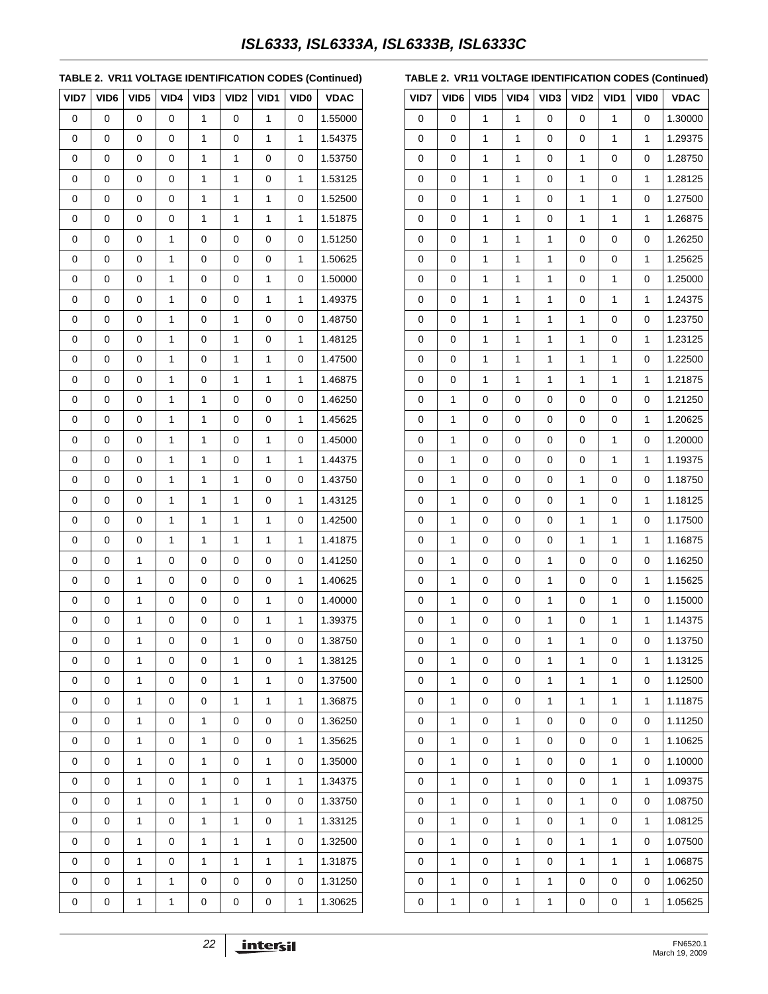## *ISL6333, ISL6333A, ISL6333B, ISL6333C*

#### **TABLE 2. VR11 VOLTAGE IDENTIFICATION CODES (Continued)**

| VID7 | VID <sub>6</sub> | VID <sub>5</sub> | VID4 | VID <sub>3</sub> | VID <sub>2</sub> | VID1 | <b>VID0</b> | <b>VDAC</b> |
|------|------------------|------------------|------|------------------|------------------|------|-------------|-------------|
| 0    | 0                | 0                | 0    | 1                | 0                | 1    | 0           | 1.55000     |
| 0    | 0                | 0                | 0    | 1                | 0                | 1    | 1           | 1.54375     |
| 0    | 0                | 0                | 0    | 1                | 1                | 0    | 0           | 1.53750     |
| 0    | 0                | 0                | 0    | 1                | 1                | 0    | 1           | 1.53125     |
| 0    | 0                | 0                | 0    | 1                | 1                | 1    | 0           | 1.52500     |
| 0    | 0                | 0                | 0    | 1                | 1                | 1    | 1           | 1.51875     |
| 0    | 0                | 0                | 1    | 0                | 0                | 0    | 0           | 1.51250     |
| 0    | 0                | 0                | 1    | 0                | 0                | 0    | 1           | 1.50625     |
| 0    | 0                | 0                | 1    | 0                | 0                | 1    | 0           | 1.50000     |
| 0    | 0                | 0                | 1    | 0                | 0                | 1    | 1           | 1.49375     |
| 0    | 0                | 0                | 1    | 0                | 1                | 0    | 0           | 1.48750     |
| 0    | 0                | 0                | 1    | 0                | 1                | 0    | 1           | 1.48125     |
| 0    | 0                | 0                | 1    | 0                | 1                | 1    | 0           | 1.47500     |
| 0    | 0                | 0                | 1    | 0                | 1                | 1    | 1           | 1.46875     |
| 0    | 0                | 0                | 1    | 1                | 0                | 0    | 0           | 1.46250     |
| 0    | 0                | 0                | 1    | 1                | 0                | 0    | 1           | 1.45625     |
| 0    | 0                | 0                | 1    | 1                | 0                | 1    | 0           | 1.45000     |
| 0    | 0                | 0                | 1    | 1                | 0                | 1    | 1           | 1.44375     |
| 0    | 0                | 0                | 1    | 1                | 1                | 0    | 0           | 1.43750     |
| 0    | 0                | 0                | 1    | 1                | 1                | 0    | 1           | 1.43125     |
| 0    | 0                | 0                | 1    | 1                | 1                | 1    | 0           | 1.42500     |
| 0    | 0                | 0                | 1    | 1                | 1                | 1    | 1           | 1.41875     |
| 0    | 0                | 1                | 0    | 0                | 0                | 0    | 0           | 1.41250     |
| 0    | 0                | 1                | 0    | 0                | 0                | 0    | 1           | 1.40625     |
| 0    | 0                | 1                | 0    | 0                | 0                | 1    | 0           | 1.40000     |
| 0    | 0                | 1                | 0    | 0                | 0                | 1    | 1           | 1.39375     |
| 0    | 0                | $\mathbf 1$      | 0    | 0                | $\mathbf 1$      | 0    | 0           | 1.38750     |
| 0    | 0                | 1                | 0    | 0                | 1                | 0    | 1           | 1.38125     |
| 0    | 0                | 1                | 0    | 0                | 1                | 1    | 0           | 1.37500     |
| 0    | 0                | 1                | 0    | 0                | 1                | 1    | 1           | 1.36875     |
| 0    | 0                | 1                | 0    | 1                | 0                | 0    | 0           | 1.36250     |
| 0    | 0                | 1                | 0    | 1                | 0                | 0    | 1           | 1.35625     |
| 0    | 0                | 1                | 0    | 1                | 0                | 1    | 0           | 1.35000     |
| 0    | 0                | 1                | 0    | 1                | 0                | 1    | 1           | 1.34375     |
| 0    | 0                | 1                | 0    | 1                | 1                | 0    | 0           | 1.33750     |
| 0    | 0                | 1                | 0    | 1                | 1                | 0    | 1           | 1.33125     |
| 0    | 0                | 1                | 0    | 1                | 1                | 1    | 0           | 1.32500     |
| 0    | 0                | 1                | 0    | 1                | 1                | 1    | 1           | 1.31875     |
| 0    | 0                | 1                | 1    | 0                | 0                | 0    | 0           | 1.31250     |
| 0    | 0                | 1                | 1    | 0                | 0                | 0    | 1           | 1.30625     |

|  |  |  |  |  |  | TABLE 2. VR11 VOLTAGE IDENTIFICATION CODES (Continued) |
|--|--|--|--|--|--|--------------------------------------------------------|
|--|--|--|--|--|--|--------------------------------------------------------|

| VID7 | VID6         | VID <sub>5</sub> | VID4 | VID <sub>3</sub> | VID <sub>2</sub> | VID1 | VID <sub>0</sub> | <b>VDAC</b> |
|------|--------------|------------------|------|------------------|------------------|------|------------------|-------------|
| 0    | 0            | 1                | 1    | 0                | 0                | 1    | 0                | 1.30000     |
| 0    | 0            | 1                | 1    | 0                | 0                | 1    | 1                | 1.29375     |
| 0    | 0            | $\mathbf{1}$     | 1    | 0                | 1                | 0    | 0                | 1.28750     |
| 0    | 0            | 1                | 1    | 0                | 1                | 0    | 1                | 1.28125     |
| 0    | 0            | 1                | 1    | 0                | 1                | 1    | 0                | 1.27500     |
| 0    | 0            | 1                | 1    | 0                | 1                | 1    | 1                | 1.26875     |
| 0    | 0            | 1                | 1    | 1                | 0                | 0    | 0                | 1.26250     |
| 0    | 0            | 1                | 1    | 1                | 0                | 0    | 1                | 1.25625     |
| 0    | 0            | 1                | 1    | $\mathbf{1}$     | 0                | 1    | 0                | 1.25000     |
| 0    | 0            | 1                | 1    | 1                | 0                | 1    | 1                | 1.24375     |
| 0    | 0            | 1                | 1    | 1                | 1                | 0    | 0                | 1.23750     |
| 0    | 0            | 1                | 1    | $\mathbf{1}$     | 1                | 0    | 1                | 1.23125     |
| 0    | 0            | 1                | 1    | 1                | 1                | 1    | 0                | 1.22500     |
| 0    | 0            | 1                | 1    | 1                | 1                | 1    | 1                | 1.21875     |
| 0    | 1            | 0                | 0    | 0                | 0                | 0    | 0                | 1.21250     |
| 0    | 1            | 0                | 0    | 0                | 0                | 0    | 1                | 1.20625     |
| 0    | 1            | 0                | 0    | 0                | 0                | 1    | 0                | 1.20000     |
| 0    | 1            | 0                | 0    | 0                | 0                | 1    | 1                | 1.19375     |
| 0    | 1            | 0                | 0    | 0                | 1                | 0    | 0                | 1.18750     |
| 0    | 1            | 0                | 0    | 0                | 1                | 0    | 1                | 1.18125     |
| 0    | 1            | 0                | 0    | 0                | 1                | 1    | 0                | 1.17500     |
| 0    | 1            | 0                | 0    | 0                | 1                | 1    | 1                | 1.16875     |
| 0    | 1            | 0                | 0    | 1                | 0                | 0    | 0                | 1.16250     |
| 0    | 1            | 0                | 0    | $\mathbf{1}$     | 0                | 0    | 1                | 1.15625     |
| 0    | 1            | 0                | 0    | 1                | 0                | 1    | 0                | 1.15000     |
| 0    | 1            | 0                | 0    | 1                | 0                | 1    | 1                | 1.14375     |
| 0    | $\mathbf{1}$ | 0                | 0    | $\mathbf 1$      | 1                | 0    | 0                | 1.13750     |
| 0    | 1            | 0                | 0    | 1                | 1                | 0    | 1                | 1.13125     |
| 0    | 1            | 0                | 0    | 1                | 1                | 1    | 0                | 1.12500     |
| 0    | 1            | 0                | 0    | 1                | 1                | 1    | 1                | 1.11875     |
| 0    | 1            | 0                | 1    | 0                | 0                | 0    | 0                | 1.11250     |
| 0    | 1            | 0                | 1    | 0                | 0                | 0    | 1                | 1.10625     |
| 0    | 1            | 0                | 1    | 0                | 0                | 1    | 0                | 1.10000     |
| 0    | 1            | 0                | 1    | 0                | 0                | 1    | 1                | 1.09375     |
| 0    | 1            | 0                | 1    | 0                | 1                | 0    | 0                | 1.08750     |
| 0    | 1            | 0                | 1    | 0                | 1                | 0    | 1                | 1.08125     |
| 0    | 1            | 0                | 1    | 0                | 1                | 1    | 0                | 1.07500     |
| 0    | 1            | 0                | 1    | 0                | 1                | 1    | 1                | 1.06875     |
| 0    | 1            | 0                | 1    | 1                | 0                | 0    | 0                | 1.06250     |
| 0    | 1            | 0                | 1    | 1                | 0                | 0    | 1                | 1.05625     |

22 **intersil**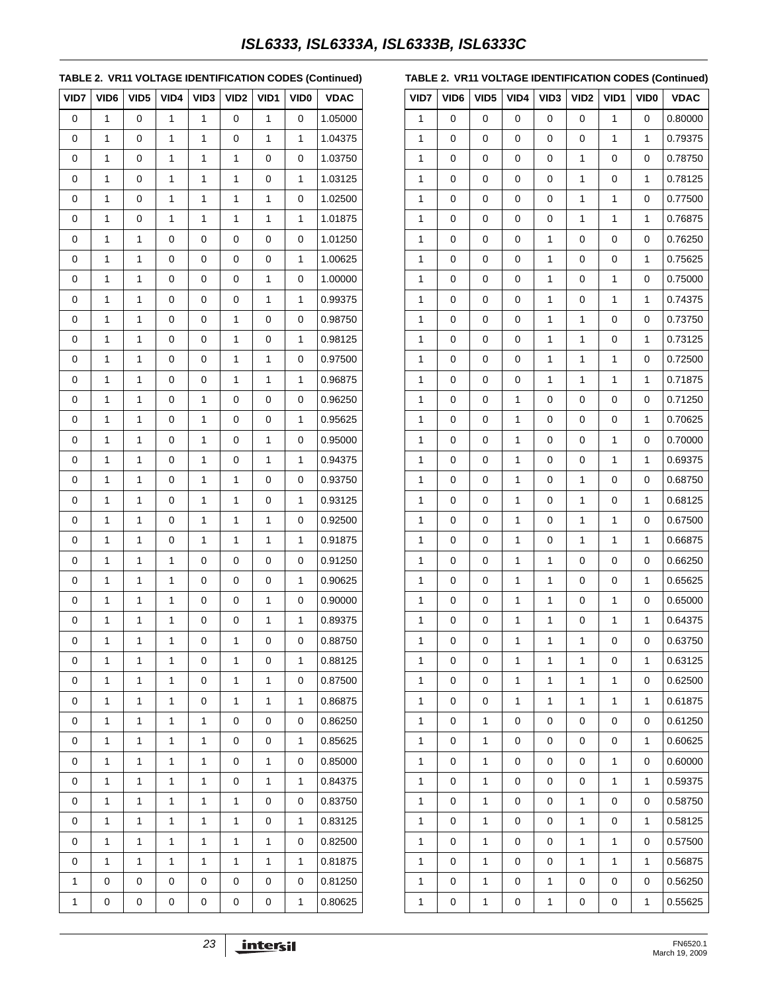## *ISL6333, ISL6333A, ISL6333B, ISL6333C*

#### **TABLE 2. VR11 VOLTAGE IDENTIFICATION CODES (Continued)**

| VID7 | VID <sub>6</sub> | VID5 | VID4         | VID <sub>3</sub> | VID <sub>2</sub> | VID1         | <b>VID0</b>  | <b>VDAC</b> |
|------|------------------|------|--------------|------------------|------------------|--------------|--------------|-------------|
| 0    | 1                | 0    | 1            | 1                | 0                | 1            | 0            | 1.05000     |
| 0    | 1                | 0    | 1            | 1                | 0                | 1            | 1            | 1.04375     |
| 0    | 1                | 0    | 1            | 1                | 1                | 0            | 0            | 1.03750     |
| 0    | 1                | 0    | $\mathbf{1}$ | 1                | 1                | 0            | 1            | 1.03125     |
| 0    | 1                | 0    | 1            | 1                | 1                | 1            | 0            | 1.02500     |
| 0    | 1                | 0    | 1            | 1                | 1                | $\mathbf{1}$ | 1            | 1.01875     |
| 0    | 1                | 1    | 0            | 0                | 0                | 0            | 0            | 1.01250     |
| 0    | 1                | 1    | 0            | 0                | 0                | 0            | 1            | 1.00625     |
| 0    | 1                | 1    | 0            | 0                | 0                | 1            | 0            | 1.00000     |
| 0    | 1                | 1    | 0            | 0                | 0                | 1            | 1            | 0.99375     |
| 0    | 1                | 1    | 0            | 0                | 1                | 0            | 0            | 0.98750     |
| 0    | 1                | 1    | 0            | 0                | 1                | 0            | 1            | 0.98125     |
| 0    | 1                | 1    | 0            | 0                | 1                | 1            | 0            | 0.97500     |
| 0    | 1                | 1    | 0            | 0                | 1                | 1            | 1            | 0.96875     |
| 0    | 1                | 1    | 0            | 1                | 0                | 0            | 0            | 0.96250     |
| 0    | 1                | 1    | 0            | 1                | 0                | 0            | 1            | 0.95625     |
| 0    | 1                | 1    | 0            | 1                | 0                | 1            | 0            | 0.95000     |
| 0    | 1                | 1    | 0            | 1                | 0                | 1            | 1            | 0.94375     |
| 0    | 1                | 1    | 0            | 1                | 1                | 0            | 0            | 0.93750     |
| 0    | 1                | 1    | 0            | 1                | 1                | 0            | 1            | 0.93125     |
| 0    | 1                | 1    | 0            | 1                | 1                | 1            | 0            | 0.92500     |
| 0    | 1                | 1    | 0            | 1                | 1                | 1            | 1            | 0.91875     |
| 0    | 1                | 1    | 1            | 0                | 0                | 0            | 0            | 0.91250     |
| 0    | 1                | 1    | 1            | 0                | 0                | 0            | 1            | 0.90625     |
| 0    | 1                | 1    | 1            | 0                | 0                | 1            | 0            | 0.90000     |
| 0    | 1                | 1    | $\mathbf{1}$ | 0                | 0                | 1            | 1            | 0.89375     |
| 0    | 1                | 1    | 1            | 0                | 1                | 0            | 0            | 0.88750     |
| 0    | 1                | 1    | 1            | 0                | 1                | 0            | 1            | 0.88125     |
| 0    | 1                | 1    | 1            | 0                | 1                | 1            | 0            | 0.87500     |
| 0    | 1                | 1    | $\mathbf{1}$ | 0                | $\mathbf{1}$     | 1            | $\mathbf{1}$ | 0.86875     |
| 0    | 1                | 1    | $\mathbf{1}$ | 1                | 0                | 0            | 0            | 0.86250     |
| 0    | 1                | 1    | 1            | 1                | 0                | 0            | 1            | 0.85625     |
| 0    | 1                | 1    | $\mathbf{1}$ | 1                | 0                | 1            | 0            | 0.85000     |
| 0    | 1                | 1    | $\mathbf{1}$ | 1                | 0                | 1            | 1            | 0.84375     |
| 0    | 1                | 1    | 1            | 1                | 1                | 0            | 0            | 0.83750     |
| 0    | 1                | 1    | $\mathbf{1}$ | 1                | $\mathbf{1}$     | 0            | 1            | 0.83125     |
| 0    | 1                | 1    | $\mathbf{1}$ | 1                | $\mathbf{1}$     | 1            | 0            | 0.82500     |
| 0    | 1                | 1    | 1            | 1                | 1                | 1            | 1            | 0.81875     |
| 1    | 0                | 0    | 0            | 0                | 0                | 0            | 0            | 0.81250     |
| 1    | 0                | 0    | 0            | 0                | 0                | 0            | 1            | 0.80625     |

#### **TABLE 2. VR11 VOLTAGE IDENTIFICATION CODES (Continued)**

| VID7         | VID <sub>6</sub> | VID <sub>5</sub> | VID4         | VID <sub>3</sub> | VID <sub>2</sub> | VID1 | VID <sub>0</sub> | <b>VDAC</b> |
|--------------|------------------|------------------|--------------|------------------|------------------|------|------------------|-------------|
| 1            | 0                | 0                | 0            | 0                | 0                | 1    | 0                | 0.80000     |
| 1            | 0                | 0                | 0            | 0                | $\mathbf 0$      | 1    | 1                | 0.79375     |
| 1            | 0                | 0                | 0            | 0                | 1                | 0    | 0                | 0.78750     |
| 1            | 0                | 0                | 0            | 0                | 1                | 0    | 1                | 0.78125     |
| 1            | 0                | 0                | 0            | 0                | 1                | 1    | 0                | 0.77500     |
| $\mathbf{1}$ | 0                | 0                | 0            | 0                | 1                | 1    | 1                | 0.76875     |
| 1            | 0                | 0                | 0            | 1                | 0                | 0    | 0                | 0.76250     |
| 1            | 0                | 0                | 0            | 1                | 0                | 0    | 1                | 0.75625     |
| $\mathbf{1}$ | 0                | 0                | 0            | $\mathbf 1$      | 0                | 1    | 0                | 0.75000     |
| 1            | 0                | 0                | 0            | 1                | 0                | 1    | 1                | 0.74375     |
| 1            | 0                | 0                | 0            | 1                | 1                | 0    | 0                | 0.73750     |
| $\mathbf{1}$ | 0                | 0                | 0            | $\mathbf 1$      | 1                | 0    | 1                | 0.73125     |
| 1            | 0                | 0                | 0            | 1                | 1                | 1    | 0                | 0.72500     |
| 1            | 0                | 0                | 0            | 1                | 1                | 1    | 1                | 0.71875     |
| 1            | 0                | 0                | $\mathbf{1}$ | 0                | $\mathbf 0$      | 0    | 0                | 0.71250     |
| 1            | 0                | 0                | 1            | 0                | 0                | 0    | 1                | 0.70625     |
| 1            | 0                | 0                | 1            | 0                | 0                | 1    | 0                | 0.70000     |
| $\mathbf{1}$ | 0                | 0                | $\mathbf{1}$ | 0                | 0                | 1    | 1                | 0.69375     |
| 1            | 0                | 0                | 1            | 0                | 1                | 0    | 0                | 0.68750     |
| 1            | 0                | 0                | 1            | 0                | 1                | 0    | 1                | 0.68125     |
| 1            | 0                | 0                | $\mathbf{1}$ | 0                | 1                | 1    | 0                | 0.67500     |
| 1            | 0                | 0                | 1            | 0                | 1                | 1    | 1                | 0.66875     |
| 1            | 0                | 0                | 1            | 1                | 0                | 0    | 0                | 0.66250     |
| 1            | 0                | 0                | $\mathbf{1}$ | $\mathbf 1$      | 0                | 0    | 1                | 0.65625     |
| 1            | 0                | 0                | 1            | 1                | 0                | 1    | 0                | 0.65000     |
| 1            | 0                | 0                | 1            | 1                | 0                | 1    | 1                | 0.64375     |
| $\mathbf{1}$ | 0                | 0                | $\mathbf 1$  | 1                | 1                | 0    | 0                | 0.63750     |
| 1            | 0                | 0                | 1            | 1                | 1                | 0    | 1                | 0.63125     |
| 1            | 0                | 0                | 1            | 1                | 1                | 1    | 0                | 0.62500     |
| 1            | 0                | 0                | $\mathbf{1}$ | 1                | 1                | 1    | 1                | 0.61875     |
| 1            | 0                | 1                | 0            | 0                | 0                | 0    | 0                | 0.61250     |
| 1            | 0                | 1                | 0            | 0                | 0                | 0    | 1                | 0.60625     |
| 1            | 0                | 1                | 0            | 0                | 0                | 1    | 0                | 0.60000     |
| 1            | 0                | 1                | 0            | 0                | 0                | 1    | 1                | 0.59375     |
| 1            | 0                | 1                | 0            | 0                | 1                | 0    | 0                | 0.58750     |
| 1            | 0                | 1                | 0            | 0                | 1                | 0    | 1                | 0.58125     |
| 1            | 0                | 1                | 0            | 0                | 1                | 1    | 0                | 0.57500     |
| 1            | 0                | 1                | 0            | 0                | 1                | 1    | 1                | 0.56875     |
| 1            | 0                | 1                | 0            | 1                | 0                | 0    | 0                | 0.56250     |
| 1            | 0                | 1                | 0            | 1                | 0                | 0    | 1                | 0.55625     |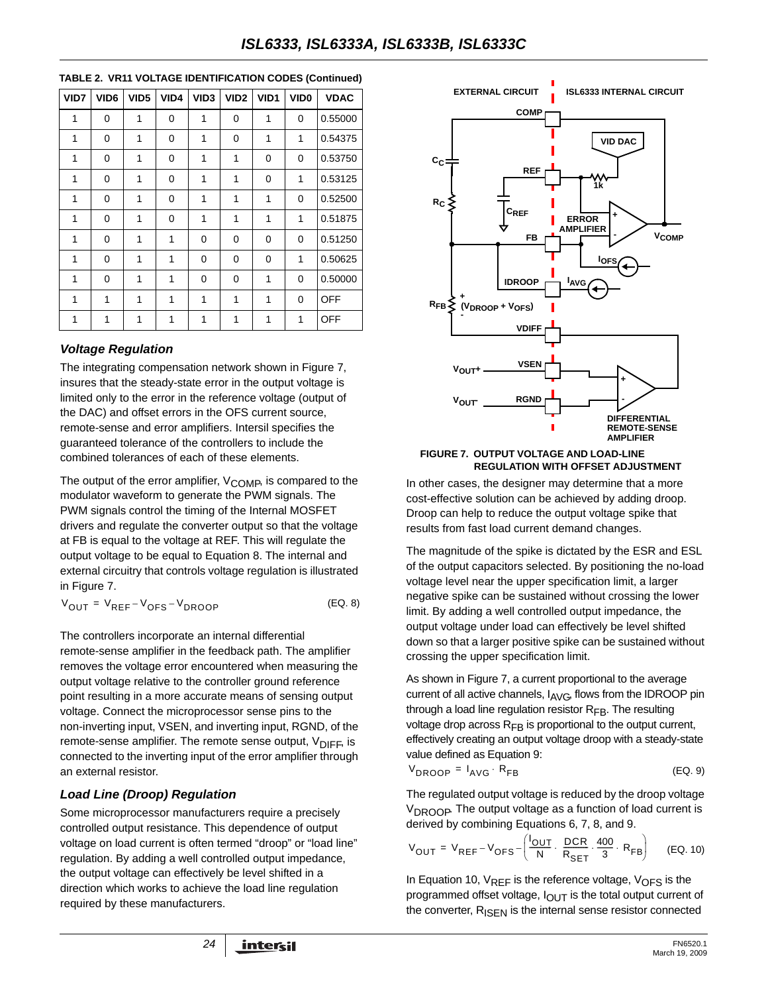| TABLE 2. VR11 VOLTAGE IDENTIFICATION CODES (Continued) |
|--------------------------------------------------------|
|                                                        |

| VID7 | VID <sub>6</sub> | VID <sub>5</sub> | VID4 | VID <sub>3</sub> | VID <sub>2</sub> | VID1 | VID <sub>0</sub> | <b>VDAC</b> |
|------|------------------|------------------|------|------------------|------------------|------|------------------|-------------|
| 1    | 0                | 1                | 0    | 1                | 0                | 1    | 0                | 0.55000     |
| 1    | $\Omega$         | 1                | 0    | 1                | 0                | 1    | 1                | 0.54375     |
| 1    | 0                | 1                | 0    | 1                | 1                | 0    | 0                | 0.53750     |
| 1    | 0                | 1                | 0    | 1                | 1                | 0    | 1                | 0.53125     |
| 1    | 0                | 1                | 0    | 1                | 1                | 1    | 0                | 0.52500     |
| 1    | $\Omega$         | 1                | 0    | 1                | 1                | 1    | 1                | 0.51875     |
| 1    | $\Omega$         | 1                | 1    | 0                | 0                | 0    | 0                | 0.51250     |
| 1    | $\Omega$         | 1                | 1    | 0                | 0                | 0    | 1                | 0.50625     |
| 1    | 0                | 1                | 1    | 0                | 0                | 1    | 0                | 0.50000     |
| 1    | 1                | 1                | 1    | 1                | 1                | 1    | 0                | OFF         |
| 1    | 1                | 1                | 1    | 1                | 1                | 1    | 1                | <b>OFF</b>  |

#### *Voltage Regulation*

The integrating compensation network shown in Figure [7,](#page-23-0) insures that the steady-state error in the output voltage is limited only to the error in the reference voltage (output of the DAC) and offset errors in the OFS current source, remote-sense and error amplifiers. Intersil specifies the guaranteed tolerance of the controllers to include the combined tolerances of each of these elements.

The output of the error amplifier,  $V_{\text{COMP}}$ , is compared to the modulator waveform to generate the PWM signals. The PWM signals control the timing of the Internal MOSFET drivers and regulate the converter output so that the voltage at FB is equal to the voltage at REF. This will regulate the output voltage to be equal to Equation 8. The internal and external circuitry that controls voltage regulation is illustrated in Figure [7](#page-23-0).

$$
V_{OUT} = V_{REF} - V_{OFS} - V_{DROOP}
$$
 (EQ. 8)

The controllers incorporate an internal differential remote-sense amplifier in the feedback path. The amplifier removes the voltage error encountered when measuring the output voltage relative to the controller ground reference point resulting in a more accurate means of sensing output voltage. Connect the microprocessor sense pins to the non-inverting input, VSEN, and inverting input, RGND, of the remote-sense amplifier. The remote sense output,  $V_{\text{DIFF}}$ , is connected to the inverting input of the error amplifier through an external resistor.

#### *Load Line (Droop) Regulation*

Some microprocessor manufacturers require a precisely controlled output resistance. This dependence of output voltage on load current is often termed "droop" or "load line" regulation. By adding a well controlled output impedance, the output voltage can effectively be level shifted in a direction which works to achieve the load line regulation required by these manufacturers.



<span id="page-23-0"></span>

In other cases, the designer may determine that a more cost-effective solution can be achieved by adding droop. Droop can help to reduce the output voltage spike that results from fast load current demand changes.

The magnitude of the spike is dictated by the ESR and ESL of the output capacitors selected. By positioning the no-load voltage level near the upper specification limit, a larger negative spike can be sustained without crossing the lower limit. By adding a well controlled output impedance, the output voltage under load can effectively be level shifted down so that a larger positive spike can be sustained without crossing the upper specification limit.

As shown in Figure [7](#page-23-0), a current proportional to the average current of all active channels,  $I_{\text{AVG}}$ , flows from the IDROOP pin through a load line regulation resistor  $R_{FB}$ . The resulting voltage drop across  $R_{FB}$  is proportional to the output current, effectively creating an output voltage droop with a steady-state value defined as Equation 9:

$$
V_{\text{DROOP}} = I_{\text{AVG}} \cdot R_{\text{FB}} \tag{EQ.9}
$$

The regulated output voltage is reduced by the droop voltage V<sub>DROOP</sub>. The output voltage as a function of load current is derived by combining Equations 6, [7](#page-20-0), 8, and 9.

$$
V_{OUT} = V_{REF} - V_{OTS} - \left(\frac{I_{OUT}}{N} \cdot \frac{DCR}{R_{SET}} \cdot \frac{400}{3} \cdot R_{FB}\right) \qquad (EQ. 10)
$$

In Equation 10,  $V_{REF}$  is the reference voltage,  $V_{OFF}$  is the programmed offset voltage,  $I_{\text{OUT}}$  is the total output current of the converter, R<sub>ISEN</sub> is the internal sense resistor connected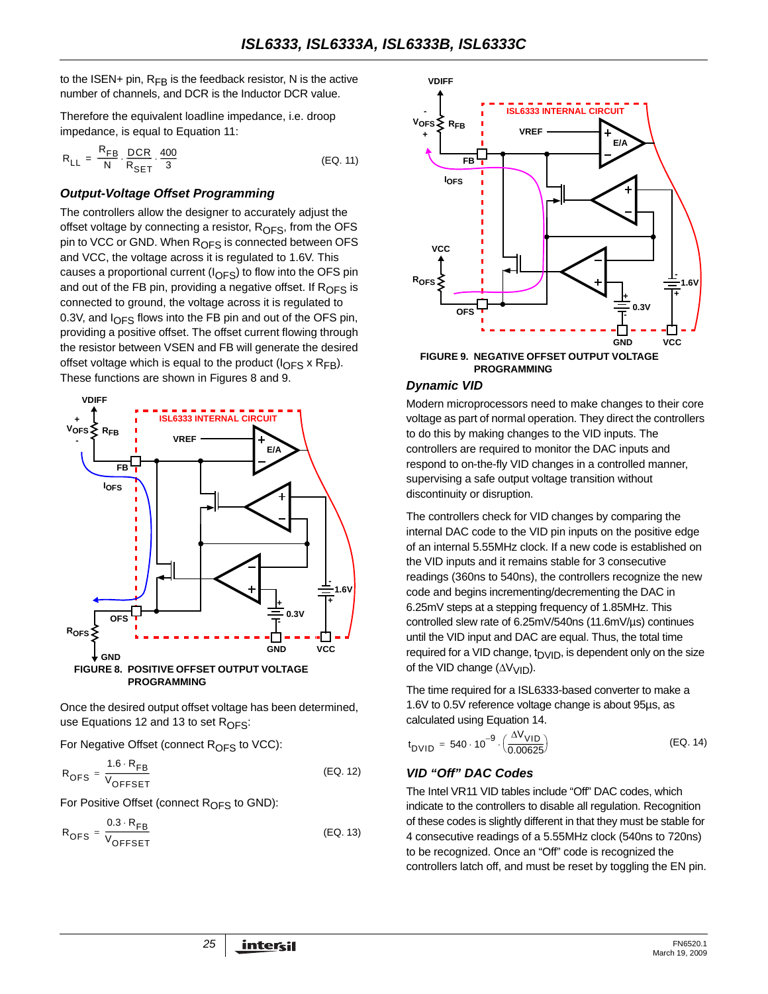to the ISEN+ pin,  $R_{FB}$  is the feedback resistor, N is the active number of channels, and DCR is the Inductor DCR value.

Therefore the equivalent loadline impedance, i.e. droop impedance, is equal to Equation [11:](#page-24-0)

$$
R_{LL} = \frac{R_{FB}}{N} \cdot \frac{DCR}{R_{SET}} \cdot \frac{400}{3}
$$
 (EQ. 11)

#### *Output-Voltage Offset Programming*

The controllers allow the designer to accurately adjust the offset voltage by connecting a resistor,  $R<sub>OFS</sub>$ , from the OFS pin to VCC or GND. When R<sub>OFS</sub> is connected between OFS and VCC, the voltage across it is regulated to 1.6V. This causes a proportional current ( $I_{\text{OFS}}$ ) to flow into the OFS pin and out of the FB pin, providing a negative offset. If  $R_{\text{OFS}}$  is connected to ground, the voltage across it is regulated to 0.3V, and  $I_{\text{OFS}}$  flows into the FB pin and out of the OFS pin, providing a positive offset. The offset current flowing through the resistor between VSEN and FB will generate the desired offset voltage which is equal to the product ( $I_{\text{OFS}}$  x  $R_{\text{FB}}$ ). These functions are shown in Figures [8](#page-24-1) and [9.](#page-24-2)



<span id="page-24-1"></span>Once the desired output offset voltage has been determined, use Equations [12](#page-24-3) and [13](#page-24-4) to set  $R_{\text{OFS}}$ :

For Negative Offset (connect  $R_{OFS}$  to VCC):

$$
R_{\text{OFS}} = \frac{1.6 \cdot R_{\text{FB}}}{V_{\text{OFFSET}}}
$$
 (EQ. 12)

For Positive Offset (connect  $R_{\text{OFS}}$  to GND):

$$
R_{\text{OFS}} = \frac{0.3 \cdot R_{\text{FB}}}{V_{\text{OFFSET}}}
$$
 (EQ. 13)

<span id="page-24-0"></span>

# <span id="page-24-2"></span>**PROGRAMMING**

#### *Dynamic VID*

Modern microprocessors need to make changes to their core voltage as part of normal operation. They direct the controllers to do this by making changes to the VID inputs. The controllers are required to monitor the DAC inputs and respond to on-the-fly VID changes in a controlled manner, supervising a safe output voltage transition without discontinuity or disruption.

The controllers check for VID changes by comparing the internal DAC code to the VID pin inputs on the positive edge of an internal 5.55MHz clock. If a new code is established on the VID inputs and it remains stable for 3 consecutive readings (360ns to 540ns), the controllers recognize the new code and begins incrementing/decrementing the DAC in 6.25mV steps at a stepping frequency of 1.85MHz. This controlled slew rate of 6.25mV/540ns (11.6mV/µs) continues until the VID input and DAC are equal. Thus, the total time required for a VID change,  $t<sub>D</sub>$ <sub>DVID</sub>, is dependent only on the size of the VID change  $(\Delta V_{VID})$ .

The time required for a ISL6333-based converter to make a 1.6V to 0.5V reference voltage change is about 95µs, as calculated using Equation [14.](#page-24-5)

<span id="page-24-5"></span>
$$
t_{\text{DVID}} = 540 \cdot 10^{-9} \cdot \left(\frac{\Delta V_{\text{VID}}}{0.00625}\right) \tag{EQ.14}
$$

#### <span id="page-24-3"></span>*VID "Off" DAC Codes*

<span id="page-24-4"></span>The Intel VR11 VID tables include "Off" DAC codes, which indicate to the controllers to disable all regulation. Recognition of these codes is slightly different in that they must be stable for 4 consecutive readings of a 5.55MHz clock (540ns to 720ns) to be recognized. Once an "Off" code is recognized the controllers latch off, and must be reset by toggling the EN pin.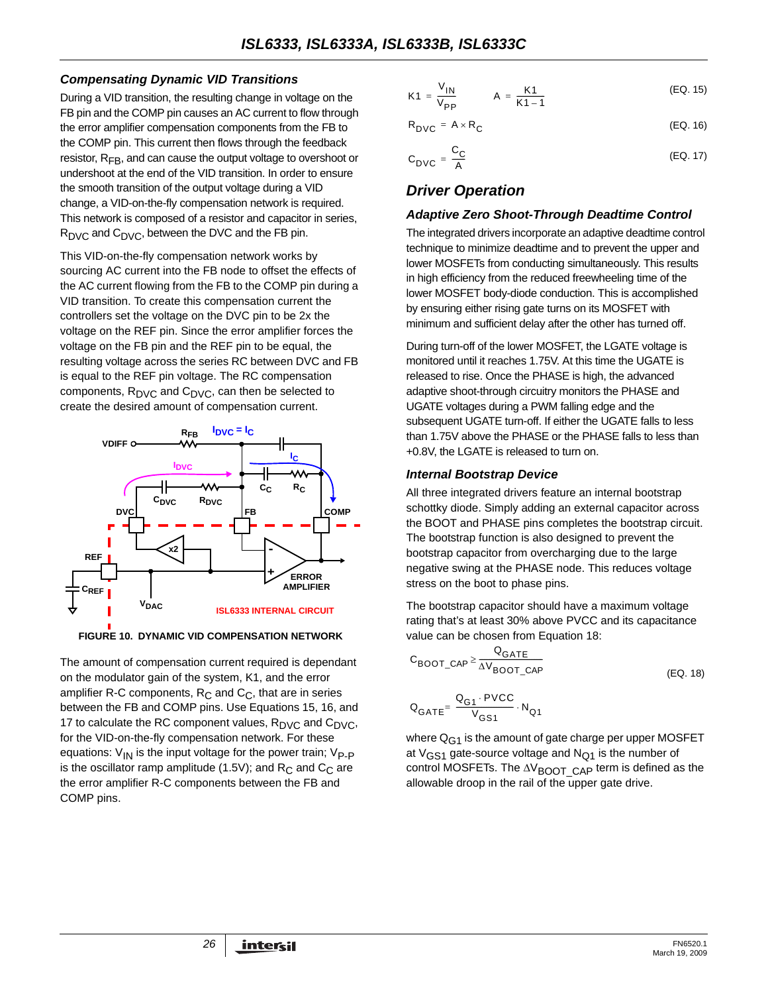#### *Compensating Dynamic VID Transitions*

During a VID transition, the resulting change in voltage on the FB pin and the COMP pin causes an AC current to flow through the error amplifier compensation components from the FB to the COMP pin. This current then flows through the feedback resistor, R<sub>FB</sub>, and can cause the output voltage to overshoot or undershoot at the end of the VID transition. In order to ensure the smooth transition of the output voltage during a VID change, a VID-on-the-fly compensation network is required. This network is composed of a resistor and capacitor in series,  $R_{\text{DVC}}$  and  $C_{\text{DVC}}$ , between the DVC and the FB pin.

This VID-on-the-fly compensation network works by sourcing AC current into the FB node to offset the effects of the AC current flowing from the FB to the COMP pin during a VID transition. To create this compensation current the controllers set the voltage on the DVC pin to be 2x the voltage on the REF pin. Since the error amplifier forces the voltage on the FB pin and the REF pin to be equal, the resulting voltage across the series RC between DVC and FB is equal to the REF pin voltage. The RC compensation components,  $R_{\text{DVC}}$  and  $C_{\text{DVC}}$ , can then be selected to create the desired amount of compensation current.



**FIGURE 10. DYNAMIC VID COMPENSATION NETWORK**

The amount of compensation current required is dependant on the modulator gain of the system, K1, and the error amplifier R-C components,  $R_C$  and  $C_C$ , that are in series between the FB and COMP pins. Use Equations [15](#page-25-0), [16,](#page-25-1) and [17](#page-25-2) to calculate the RC component values,  $R_{\text{DVC}}$  and  $C_{\text{DVC}}$ , for the VID-on-the-fly compensation network. For these equations:  $V_{IN}$  is the input voltage for the power train;  $V_{P-P}$ is the oscillator ramp amplitude (1.5V); and  $R<sub>C</sub>$  and  $C<sub>C</sub>$  are the error amplifier R-C components between the FB and COMP pins.

<span id="page-25-0"></span>
$$
K1 = \frac{V_{1N}}{V_{PP}} \qquad A = \frac{K1}{K1 - 1}
$$
 (EQ. 15)

<span id="page-25-1"></span>
$$
R_{\text{DVC}} = A \times R_{\text{C}} \tag{Eq. 16}
$$

<span id="page-25-2"></span>
$$
C_{\text{DVC}} = \frac{C_{\text{C}}}{A} \tag{EQ.17}
$$

## *Driver Operation*

#### *Adaptive Zero Shoot-Through Deadtime Control*

The integrated drivers incorporate an adaptive deadtime control technique to minimize deadtime and to prevent the upper and lower MOSFETs from conducting simultaneously. This results in high efficiency from the reduced freewheeling time of the lower MOSFET body-diode conduction. This is accomplished by ensuring either rising gate turns on its MOSFET with minimum and sufficient delay after the other has turned off.

During turn-off of the lower MOSFET, the LGATE voltage is monitored until it reaches 1.75V. At this time the UGATE is released to rise. Once the PHASE is high, the advanced adaptive shoot-through circuitry monitors the PHASE and UGATE voltages during a PWM falling edge and the subsequent UGATE turn-off. If either the UGATE falls to less than 1.75V above the PHASE or the PHASE falls to less than +0.8V, the LGATE is released to turn on.

#### *Internal Bootstrap Device*

All three integrated drivers feature an internal bootstrap schottky diode. Simply adding an external capacitor across the BOOT and PHASE pins completes the bootstrap circuit. The bootstrap function is also designed to prevent the bootstrap capacitor from overcharging due to the large negative swing at the PHASE node. This reduces voltage stress on the boot to phase pins.

The bootstrap capacitor should have a maximum voltage rating that's at least 30% above PVCC and its capacitance value can be chosen from Equation 18:

$$
C_{\text{BOOT}\_\text{CAP}} \ge \frac{Q_{\text{GATE}}}{\Delta V_{\text{BOOT}\_\text{CAP}}}
$$
\n(EQ. 18)\n
$$
Q_{\text{GATE}} = \frac{Q_{\text{G1}} \cdot \text{PVCC}}{V_{\text{GS1}}} \cdot N_{\text{Q1}}
$$

where  $Q_{G1}$  is the amount of gate charge per upper MOSFET at  $V_{GS1}$  gate-source voltage and  $N_{Q1}$  is the number of control MOSFETs. The  $\Delta V_{\text{BOOT}}$  CAP term is defined as the allowable droop in the rail of the upper gate drive.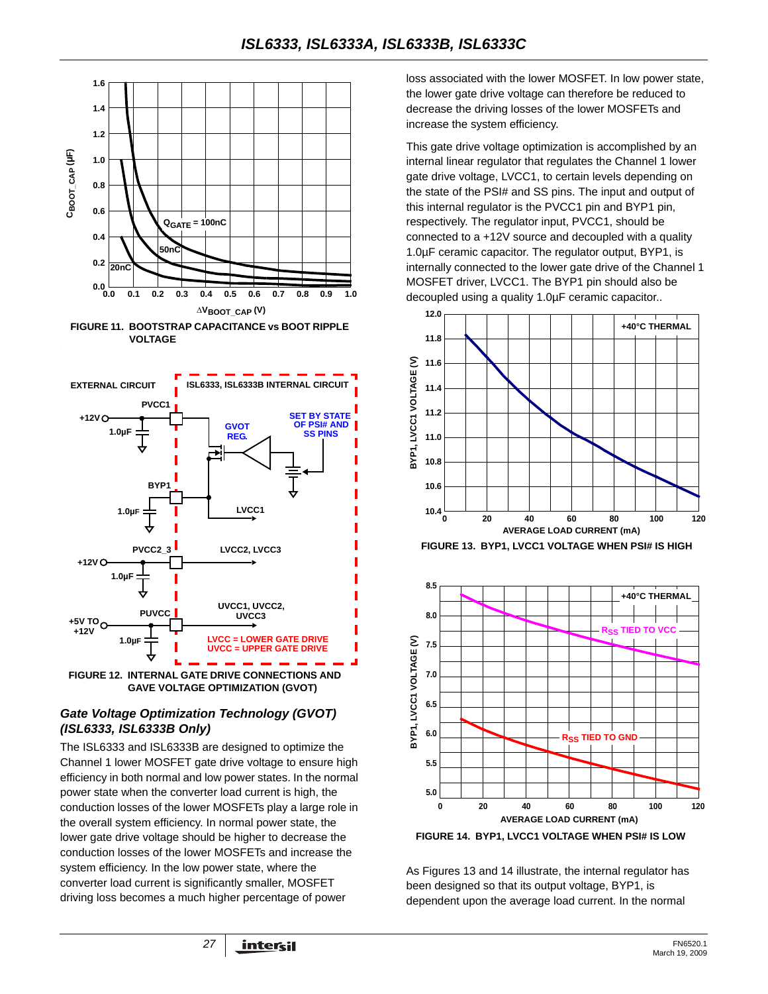



**GAVE VOLTAGE OPTIMIZATION (GVOT)**

#### <span id="page-26-0"></span>*Gate Voltage Optimization Technology (GVOT) (ISL6333, ISL6333B Only)*

The ISL6333 and ISL6333B are designed to optimize the Channel 1 lower MOSFET gate drive voltage to ensure high efficiency in both normal and low power states. In the normal power state when the converter load current is high, the conduction losses of the lower MOSFETs play a large role in the overall system efficiency. In normal power state, the lower gate drive voltage should be higher to decrease the conduction losses of the lower MOSFETs and increase the system efficiency. In the low power state, where the converter load current is significantly smaller, MOSFET driving loss becomes a much higher percentage of power

loss associated with the lower MOSFET. In low power state, the lower gate drive voltage can therefore be reduced to decrease the driving losses of the lower MOSFETs and increase the system efficiency.

This gate drive voltage optimization is accomplished by an internal linear regulator that regulates the Channel 1 lower gate drive voltage, LVCC1, to certain levels depending on the state of the PSI# and SS pins. The input and output of this internal regulator is the PVCC1 pin and BYP1 pin, respectively. The regulator input, PVCC1, should be connected to a +12V source and decoupled with a quality 1.0µF ceramic capacitor. The regulator output, BYP1, is internally connected to the lower gate drive of the Channel 1 MOSFET driver, LVCC1. The BYP1 pin should also be decoupled using a quality 1.0µF ceramic capacitor..



<span id="page-26-1"></span>



<span id="page-26-2"></span>As Figures [13](#page-26-1) and [14](#page-26-2) illustrate, the internal regulator has been designed so that its output voltage, BYP1, is dependent upon the average load current. In the normal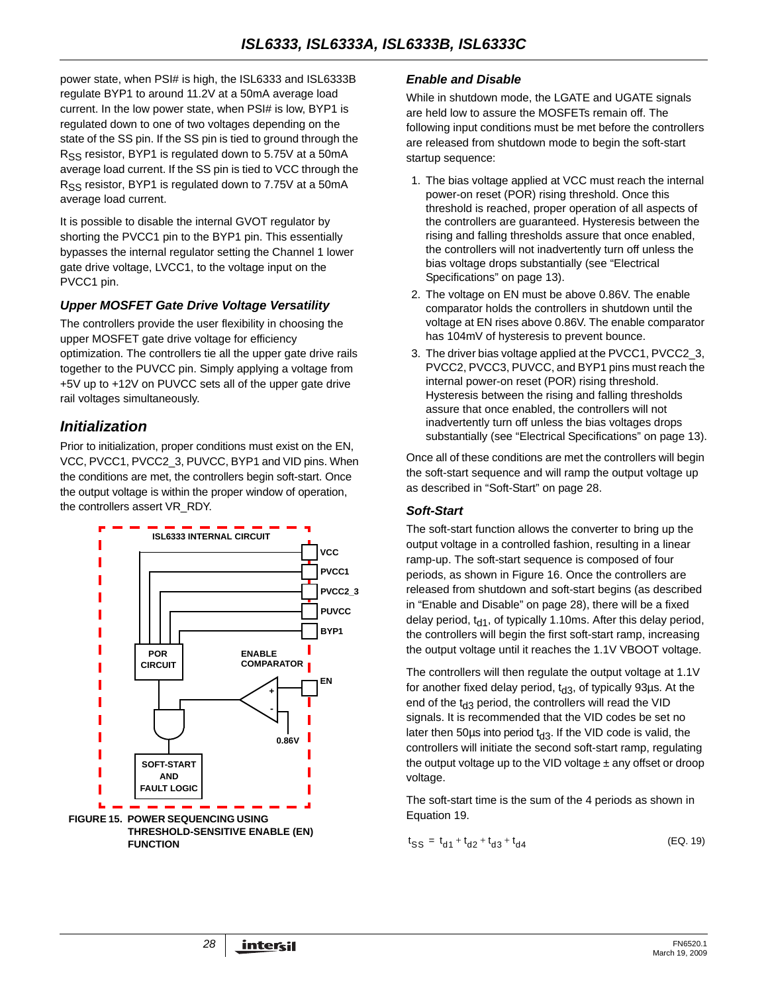power state, when PSI# is high, the ISL6333 and ISL6333B regulate BYP1 to around 11.2V at a 50mA average load current. In the low power state, when PSI# is low, BYP1 is regulated down to one of two voltages depending on the state of the SS pin. If the SS pin is tied to ground through the  $R_{SS}$  resistor, BYP1 is regulated down to 5.75V at a 50mA average load current. If the SS pin is tied to VCC through the R<sub>SS</sub> resistor, BYP1 is regulated down to 7.75V at a 50mA average load current.

It is possible to disable the internal GVOT regulator by shorting the PVCC1 pin to the BYP1 pin. This essentially bypasses the internal regulator setting the Channel 1 lower gate drive voltage, LVCC1, to the voltage input on the PVCC1 pin.

### *Upper MOSFET Gate Drive Voltage Versatility*

The controllers provide the user flexibility in choosing the upper MOSFET gate drive voltage for efficiency optimization. The controllers tie all the upper gate drive rails together to the PUVCC pin. Simply applying a voltage from +5V up to +12V on PUVCC sets all of the upper gate drive rail voltages simultaneously.

## *Initialization*

Prior to initialization, proper conditions must exist on the EN, VCC, PVCC1, PVCC2\_3, PUVCC, BYP1 and VID pins. When the conditions are met, the controllers begin soft-start. Once the output voltage is within the proper window of operation, the controllers assert VR\_RDY.



### <span id="page-27-1"></span>*Enable and Disable*

While in shutdown mode, the LGATE and UGATE signals are held low to assure the MOSFETs remain off. The following input conditions must be met before the controllers are released from shutdown mode to begin the soft-start startup sequence:

- 1. The bias voltage applied at VCC must reach the internal power-on reset (POR) rising threshold. Once this threshold is reached, proper operation of all aspects of the controllers are guaranteed. Hysteresis between the rising and falling thresholds assure that once enabled, the controllers will not inadvertently turn off unless the bias voltage drops substantially (see "Electrical Specifications" on page [13\)](#page-12-3).
- 2. The voltage on EN must be above 0.86V. The enable comparator holds the controllers in shutdown until the voltage at EN rises above 0.86V. The enable comparator has 104mV of hysteresis to prevent bounce.
- 3. The driver bias voltage applied at the PVCC1, PVCC2\_3, PVCC2, PVCC3, PUVCC, and BYP1 pins must reach the internal power-on reset (POR) rising threshold. Hysteresis between the rising and falling thresholds assure that once enabled, the controllers will not inadvertently turn off unless the bias voltages drops substantially (see "Electrical Specifications" on page [13\)](#page-12-2).

Once all of these conditions are met the controllers will begin the soft-start sequence and will ramp the output voltage up as described in ["Soft-Start" on page 28.](#page-27-0)

## <span id="page-27-0"></span>*Soft-Start*

The soft-start function allows the converter to bring up the output voltage in a controlled fashion, resulting in a linear ramp-up. The soft-start sequence is composed of four periods, as shown in Figure 16. Once the controllers are released from shutdown and soft-start begins (as described in ["Enable and Disable" on page 28\)](#page-27-1), there will be a fixed delay period,  $t_{d1}$ , of typically 1.10ms. After this delay period, the controllers will begin the first soft-start ramp, increasing the output voltage until it reaches the 1.1V VBOOT voltage.

The controllers will then regulate the output voltage at 1.1V for another fixed delay period,  $t_{d3}$ , of typically 93µs. At the end of the  $t_{d3}$  period, the controllers will read the VID signals. It is recommended that the VID codes be set no later then 50 $\mu$ s into period  $t_{d3}$ . If the VID code is valid, the controllers will initiate the second soft-start ramp, regulating the output voltage up to the VID voltage  $\pm$  any offset or droop voltage.

The soft-start time is the sum of the 4 periods as shown in

$$
t_{SS} = t_{d1} + t_{d2} + t_{d3} + t_{d4}
$$
 (EQ. 19)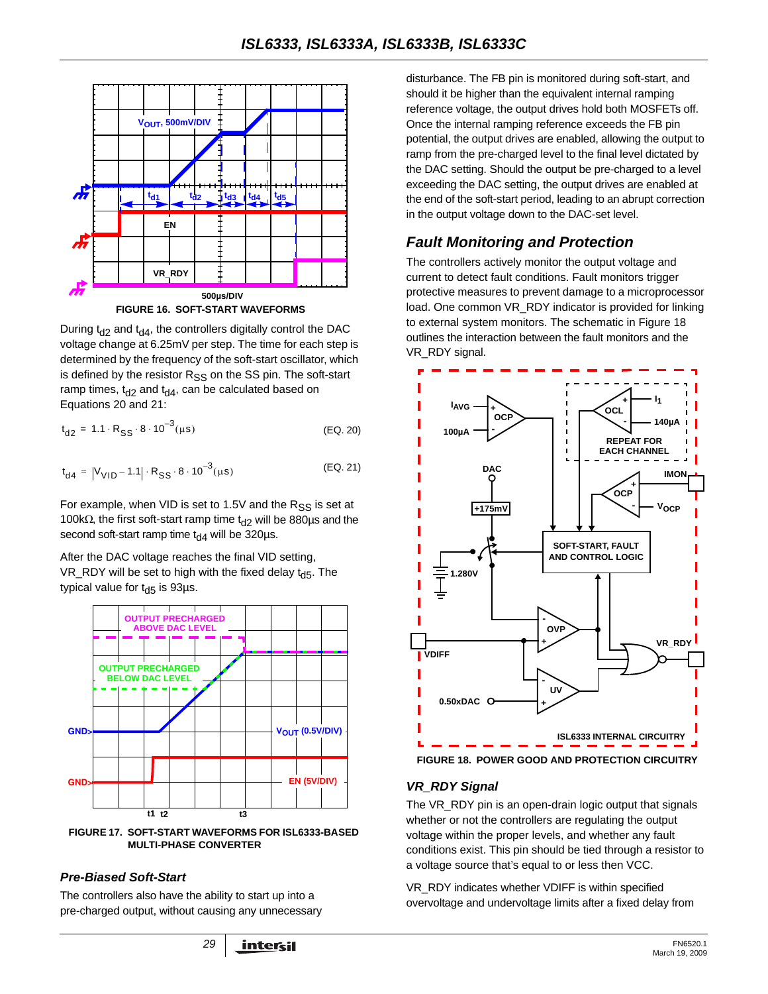

During  $t_{d2}$  and  $t_{d4}$ , the controllers digitally control the DAC voltage change at 6.25mV per step. The time for each step is determined by the frequency of the soft-start oscillator, which is defined by the resistor  $R_{SS}$  on the SS pin. The soft-start ramp times,  $t_{d2}$  and  $t_{d4}$ , can be calculated based on Equations 20 and 21:

$$
t_{d2} = 1.1 \cdot R_{SS} \cdot 8 \cdot 10^{-3} (\mu s) \tag{Eq. 20}
$$

$$
t_{d4} = |V_{VID} - 1.1| \cdot R_{SS} \cdot 8 \cdot 10^{-3} (\mu s)
$$
 (EQ. 21)

For example, when VID is set to 1.5V and the  $R_{SS}$  is set at 100kΩ, the first soft-start ramp time t<sub>d2</sub> will be 880µs and the second soft-start ramp time  $t_{d4}$  will be 320µs.

After the DAC voltage reaches the final VID setting, VR\_RDY will be set to high with the fixed delay  $t_{\text{d5}}$ . The typical value for  $t_{d5}$  is 93µs.



**FIGURE 17. SOFT-START WAVEFORMS FOR ISL6333-BASED MULTI-PHASE CONVERTER**

#### *Pre-Biased Soft-Start*

The controllers also have the ability to start up into a pre-charged output, without causing any unnecessary

disturbance. The FB pin is monitored during soft-start, and should it be higher than the equivalent internal ramping reference voltage, the output drives hold both MOSFETs off. Once the internal ramping reference exceeds the FB pin potential, the output drives are enabled, allowing the output to ramp from the pre-charged level to the final level dictated by the DAC setting. Should the output be pre-charged to a level exceeding the DAC setting, the output drives are enabled at the end of the soft-start period, leading to an abrupt correction in the output voltage down to the DAC-set level.

## *Fault Monitoring and Protection*

The controllers actively monitor the output voltage and current to detect fault conditions. Fault monitors trigger protective measures to prevent damage to a microprocessor load. One common VR\_RDY indicator is provided for linking to external system monitors. The schematic in Figure 18 outlines the interaction between the fault monitors and the VR\_RDY signal.



#### *VR\_RDY Signal*

The VR, RDY pin is an open-drain logic output that signals whether or not the controllers are regulating the output voltage within the proper levels, and whether any fault conditions exist. This pin should be tied through a resistor to a voltage source that's equal to or less then VCC.

VR\_RDY indicates whether VDIFF is within specified overvoltage and undervoltage limits after a fixed delay from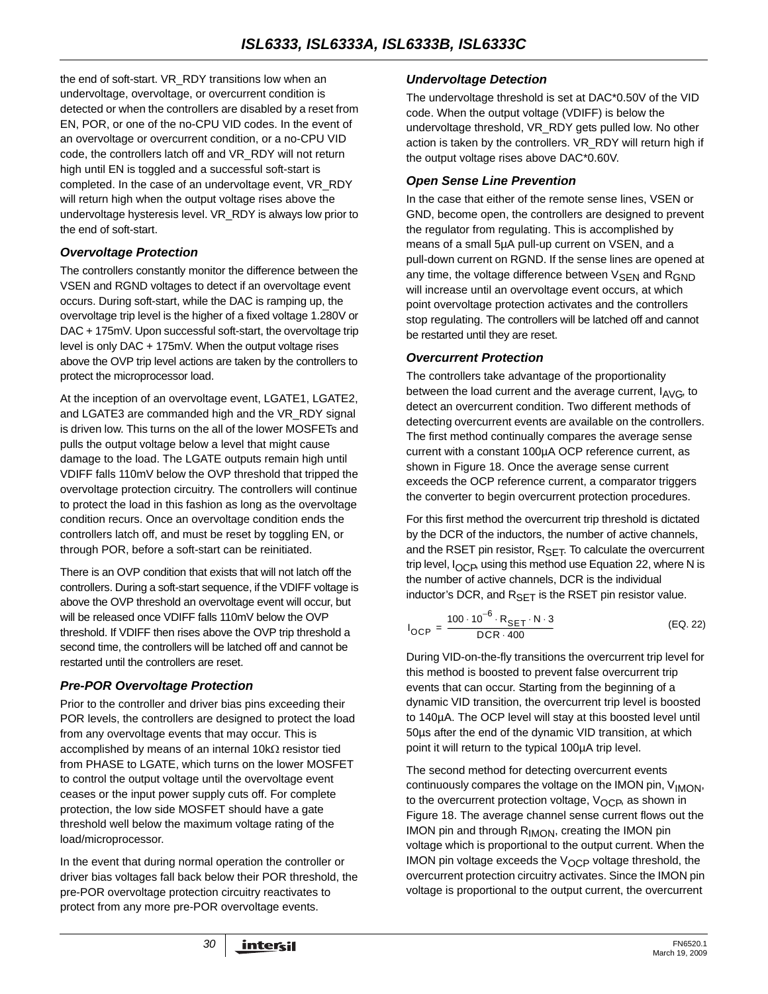the end of soft-start. VR\_RDY transitions low when an undervoltage, overvoltage, or overcurrent condition is detected or when the controllers are disabled by a reset from EN, POR, or one of the no-CPU VID codes. In the event of an overvoltage or overcurrent condition, or a no-CPU VID code, the controllers latch off and VR\_RDY will not return high until EN is toggled and a successful soft-start is completed. In the case of an undervoltage event, VR\_RDY will return high when the output voltage rises above the undervoltage hysteresis level. VR\_RDY is always low prior to the end of soft-start.

#### *Overvoltage Protection*

The controllers constantly monitor the difference between the VSEN and RGND voltages to detect if an overvoltage event occurs. During soft-start, while the DAC is ramping up, the overvoltage trip level is the higher of a fixed voltage 1.280V or DAC + 175mV. Upon successful soft-start, the overvoltage trip level is only DAC + 175mV. When the output voltage rises above the OVP trip level actions are taken by the controllers to protect the microprocessor load.

At the inception of an overvoltage event, LGATE1, LGATE2, and LGATE3 are commanded high and the VR\_RDY signal is driven low. This turns on the all of the lower MOSFETs and pulls the output voltage below a level that might cause damage to the load. The LGATE outputs remain high until VDIFF falls 110mV below the OVP threshold that tripped the overvoltage protection circuitry. The controllers will continue to protect the load in this fashion as long as the overvoltage condition recurs. Once an overvoltage condition ends the controllers latch off, and must be reset by toggling EN, or through POR, before a soft-start can be reinitiated.

There is an OVP condition that exists that will not latch off the controllers. During a soft-start sequence, if the VDIFF voltage is above the OVP threshold an overvoltage event will occur, but will be released once VDIFF falls 110mV below the OVP threshold. If VDIFF then rises above the OVP trip threshold a second time, the controllers will be latched off and cannot be restarted until the controllers are reset.

#### *Pre-POR Overvoltage Protection*

Prior to the controller and driver bias pins exceeding their POR levels, the controllers are designed to protect the load from any overvoltage events that may occur. This is accomplished by means of an internal 10kΩ resistor tied from PHASE to LGATE, which turns on the lower MOSFET to control the output voltage until the overvoltage event ceases or the input power supply cuts off. For complete protection, the low side MOSFET should have a gate threshold well below the maximum voltage rating of the load/microprocessor.

In the event that during normal operation the controller or driver bias voltages fall back below their POR threshold, the pre-POR overvoltage protection circuitry reactivates to protect from any more pre-POR overvoltage events.

#### *Undervoltage Detection*

The undervoltage threshold is set at DAC\*0.50V of the VID code. When the output voltage (VDIFF) is below the undervoltage threshold, VR\_RDY gets pulled low. No other action is taken by the controllers. VR\_RDY will return high if the output voltage rises above DAC\*0.60V.

#### *Open Sense Line Prevention*

In the case that either of the remote sense lines, VSEN or GND, become open, the controllers are designed to prevent the regulator from regulating. This is accomplished by means of a small 5µA pull-up current on VSEN, and a pull-down current on RGND. If the sense lines are opened at any time, the voltage difference between VSEN and RGND will increase until an overvoltage event occurs, at which point overvoltage protection activates and the controllers stop regulating. The controllers will be latched off and cannot be restarted until they are reset.

#### *Overcurrent Protection*

The controllers take advantage of the proportionality between the load current and the average current,  $I_{AVG}$ , to detect an overcurrent condition. Two different methods of detecting overcurrent events are available on the controllers. The first method continually compares the average sense current with a constant 100µA OCP reference current, as shown in Figure 18. Once the average sense current exceeds the OCP reference current, a comparator triggers the converter to begin overcurrent protection procedures.

For this first method the overcurrent trip threshold is dictated by the DCR of the inductors, the number of active channels, and the RSET pin resistor,  $R_{\text{SET}}$ . To calculate the overcurrent trip level,  $I_{OCP}$ , using this method use Equation 22, where N is the number of active channels, DCR is the individual inductor's DCR, and  $R_{SFT}$  is the RSET pin resistor value.

$$
I_{OCP} = \frac{100 \cdot 10^{-6} \cdot R_{SET} \cdot N \cdot 3}{DCR \cdot 400}
$$
 (EQ. 22)

During VID-on-the-fly transitions the overcurrent trip level for this method is boosted to prevent false overcurrent trip events that can occur. Starting from the beginning of a dynamic VID transition, the overcurrent trip level is boosted to 140µA. The OCP level will stay at this boosted level until 50µs after the end of the dynamic VID transition, at which point it will return to the typical 100µA trip level.

The second method for detecting overcurrent events continuously compares the voltage on the IMON pin, V<sub>IMON</sub>, to the overcurrent protection voltage,  $V_{OCP}$ , as shown in Figure 18. The average channel sense current flows out the IMON pin and through  $R_{IMON}$ , creating the IMON pin voltage which is proportional to the output current. When the IMON pin voltage exceeds the  $V_{\Omega}$  voltage threshold, the overcurrent protection circuitry activates. Since the IMON pin voltage is proportional to the output current, the overcurrent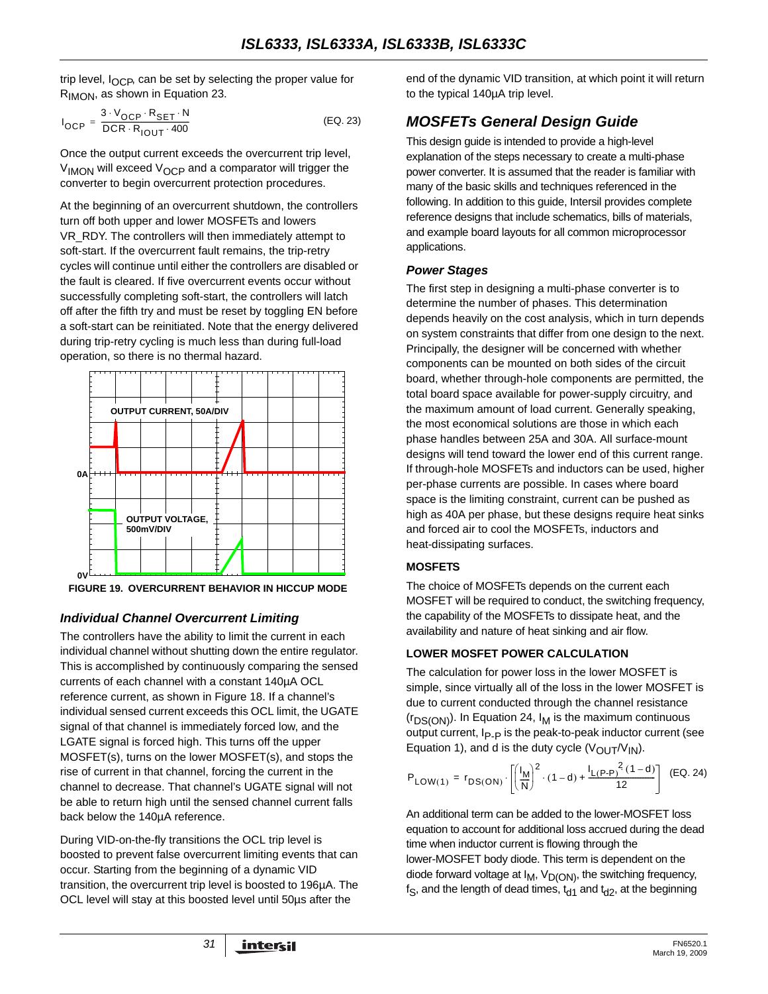trip level,  $I_{OCP}$ , can be set by selecting the proper value for RIMON, as shown in Equation 23.

$$
I_{OCP} = \frac{3 \cdot V_{OCP} \cdot R_{SET} \cdot N}{DCR \cdot R_{IOUT} \cdot 400}
$$
 (EQ. 23)

Once the output current exceeds the overcurrent trip level,  $V_{\text{IMON}}$  will exceed  $V_{\text{OCP}}$  and a comparator will trigger the converter to begin overcurrent protection procedures.

At the beginning of an overcurrent shutdown, the controllers turn off both upper and lower MOSFETs and lowers VR\_RDY. The controllers will then immediately attempt to soft-start. If the overcurrent fault remains, the trip-retry cycles will continue until either the controllers are disabled or the fault is cleared. If five overcurrent events occur without successfully completing soft-start, the controllers will latch off after the fifth try and must be reset by toggling EN before a soft-start can be reinitiated. Note that the energy delivered during trip-retry cycling is much less than during full-load operation, so there is no thermal hazard.



**FIGURE 19. OVERCURRENT BEHAVIOR IN HICCUP MODE**

## *Individual Channel Overcurrent Limiting*

The controllers have the ability to limit the current in each individual channel without shutting down the entire regulator. This is accomplished by continuously comparing the sensed currents of each channel with a constant 140µA OCL reference current, as shown in Figure 18. If a channel's individual sensed current exceeds this OCL limit, the UGATE signal of that channel is immediately forced low, and the LGATE signal is forced high. This turns off the upper MOSFET(s), turns on the lower MOSFET(s), and stops the rise of current in that channel, forcing the current in the channel to decrease. That channel's UGATE signal will not be able to return high until the sensed channel current falls back below the 140µA reference.

During VID-on-the-fly transitions the OCL trip level is boosted to prevent false overcurrent limiting events that can occur. Starting from the beginning of a dynamic VID transition, the overcurrent trip level is boosted to 196µA. The OCL level will stay at this boosted level until 50µs after the

end of the dynamic VID transition, at which point it will return to the typical 140µA trip level.

## <span id="page-30-0"></span>*MOSFETs General Design Guide*

This design guide is intended to provide a high-level explanation of the steps necessary to create a multi-phase power converter. It is assumed that the reader is familiar with many of the basic skills and techniques referenced in the following. In addition to this guide, Intersil provides complete reference designs that include schematics, bills of materials, and example board layouts for all common microprocessor applications.

#### *Power Stages*

The first step in designing a multi-phase converter is to determine the number of phases. This determination depends heavily on the cost analysis, which in turn depends on system constraints that differ from one design to the next. Principally, the designer will be concerned with whether components can be mounted on both sides of the circuit board, whether through-hole components are permitted, the total board space available for power-supply circuitry, and the maximum amount of load current. Generally speaking, the most economical solutions are those in which each phase handles between 25A and 30A. All surface-mount designs will tend toward the lower end of this current range. If through-hole MOSFETs and inductors can be used, higher per-phase currents are possible. In cases where board space is the limiting constraint, current can be pushed as high as 40A per phase, but these designs require heat sinks and forced air to cool the MOSFETs, inductors and heat-dissipating surfaces.

#### **MOSFETS**

The choice of MOSFETs depends on the current each MOSFET will be required to conduct, the switching frequency, the capability of the MOSFETs to dissipate heat, and the availability and nature of heat sinking and air flow.

#### **LOWER MOSFET POWER CALCULATION**

The calculation for power loss in the lower MOSFET is simple, since virtually all of the loss in the lower MOSFET is due to current conducted through the channel resistance  $(r_{DS(ON)})$ . In Equation 24,  $I_M$  is the maximum continuous output current, I<sub>P-P</sub> is the peak-to-peak inductor current (see Equation 1), and d is the duty cycle  $(V_{\text{OUT}}/V_{\text{IN}})$ .

$$
P_{LOW(1)} = r_{DS(ON)} \cdot \left[ \left( \frac{I_M}{N} \right)^2 \cdot (1-d) + \frac{I_{L(P-P)}^2(1-d)}{12} \right] \tag{EQ.24}
$$

An additional term can be added to the lower-MOSFET loss equation to account for additional loss accrued during the dead time when inductor current is flowing through the lower-MOSFET body diode. This term is dependent on the diode forward voltage at  $I_M$ ,  $V_{D(ON)}$ , the switching frequency,  $f_S$ , and the length of dead times,  $t_{d1}$  and  $t_{d2}$ , at the beginning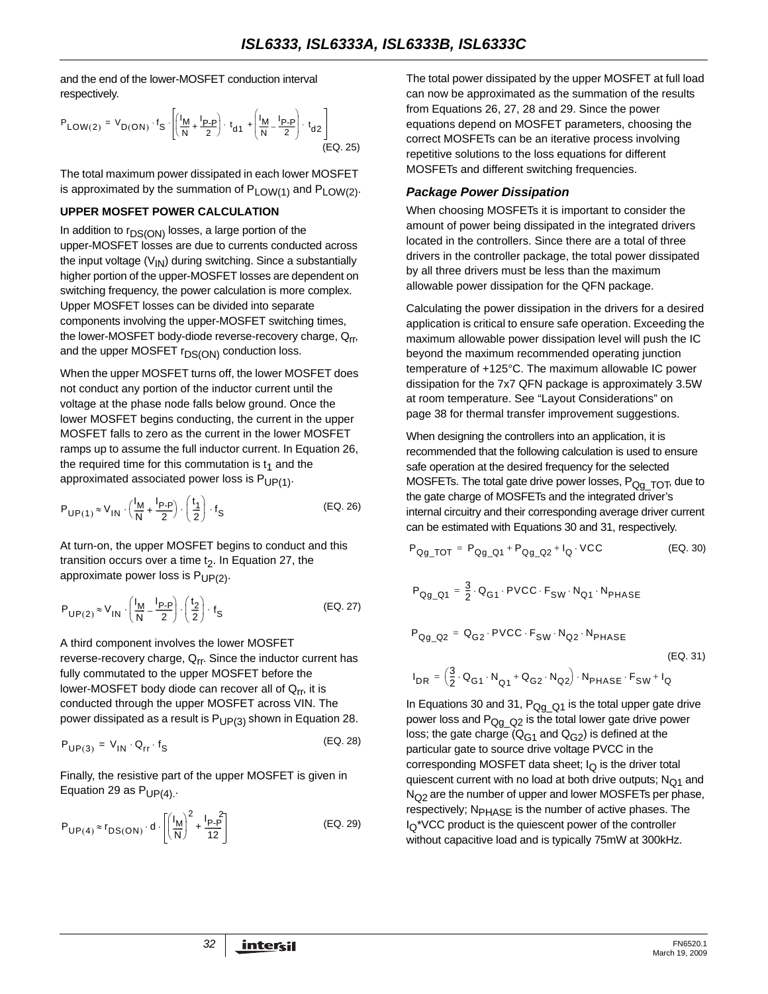and the end of the lower-MOSFET conduction interval respectively.

$$
P_{LOW(2)} = V_{D(ON)} \cdot f_S \cdot \left[ \left( \frac{I_M}{N} + \frac{I_{P-P}}{2} \right) \cdot t_{d1} + \left( \frac{I_M}{N} - \frac{I_{P-P}}{2} \right) \cdot t_{d2} \right]
$$
\n(EQ. 25)

The total maximum power dissipated in each lower MOSFET is approximated by the summation of  $P_{LOW(1)}$  and  $P_{LOW(2)}$ .

#### **UPPER MOSFET POWER CALCULATION**

In addition to  $r_{DS(ON)}$  losses, a large portion of the upper-MOSFET losses are due to currents conducted across the input voltage  $(V_{1N})$  during switching. Since a substantially higher portion of the upper-MOSFET losses are dependent on switching frequency, the power calculation is more complex. Upper MOSFET losses can be divided into separate components involving the upper-MOSFET switching times, the lower-MOSFET body-diode reverse-recovery charge, Q<sub>rr</sub>, and the upper MOSFET  $r_{DS(ON)}$  conduction loss.

When the upper MOSFET turns off, the lower MOSFET does not conduct any portion of the inductor current until the voltage at the phase node falls below ground. Once the lower MOSFET begins conducting, the current in the upper MOSFET falls to zero as the current in the lower MOSFET ramps up to assume the full inductor current. In Equation 26, the required time for this commutation is  $t_1$  and the approximated associated power loss is  $P_{UP(1)}$ .

$$
P_{UP(1)} \approx V_{IN} \cdot \left(\frac{l_M}{N} + \frac{l_{P-P}}{2}\right) \cdot \left(\frac{t_1}{2}\right) \cdot f_S
$$
 (EQ. 26)

At turn-on, the upper MOSFET begins to conduct and this transition occurs over a time  $t<sub>2</sub>$ . In Equation 27, the approximate power loss is  $P_{UP(2)}$ .

$$
P_{UP(2)} \approx V_{1N} \cdot \left(\frac{I_M}{N} - \frac{I_{P-P}}{2}\right) \cdot \left(\frac{t_2}{2}\right) \cdot f_S
$$
 (EQ. 27)

A third component involves the lower MOSFET reverse-recovery charge,  $Q_{rr}$ . Since the inductor current has fully commutated to the upper MOSFET before the lower-MOSFET body diode can recover all of  $Q_{rr}$ , it is conducted through the upper MOSFET across VIN. The power dissipated as a result is  $P_{UP(3)}$  shown in Equation 28.

$$
P_{UP(3)} = V_{IN} \cdot Q_{rr} \cdot f_S
$$
 (EQ. 28)

Finally, the resistive part of the upper MOSFET is given in Equation 29 as  $P_{UP(4)}$ .

$$
P_{\mathsf{UP}(4)} \approx r_{\mathsf{DS}(\mathsf{ON})} \cdot d \cdot \left[ \left( \frac{I_{\mathsf{M}}}{\mathsf{N}} \right)^2 + \frac{I_{\mathsf{P}} \cdot P}{12} \right] \tag{EQ.29}
$$

The total power dissipated by the upper MOSFET at full load can now be approximated as the summation of the results from Equations 26, 27, 28 and 29. Since the power equations depend on MOSFET parameters, choosing the correct MOSFETs can be an iterative process involving repetitive solutions to the loss equations for different MOSFETs and different switching frequencies.

#### *Package Power Dissipation*

When choosing MOSFETs it is important to consider the amount of power being dissipated in the integrated drivers located in the controllers. Since there are a total of three drivers in the controller package, the total power dissipated by all three drivers must be less than the maximum allowable power dissipation for the QFN package.

Calculating the power dissipation in the drivers for a desired application is critical to ensure safe operation. Exceeding the maximum allowable power dissipation level will push the IC beyond the maximum recommended operating junction temperature of +125°C. The maximum allowable IC power dissipation for the 7x7 QFN package is approximately 3.5W at room temperature. See ["Layout Considerations" on](#page-37-0)  [page 38](#page-37-0) for thermal transfer improvement suggestions.

When designing the controllers into an application, it is recommended that the following calculation is used to ensure safe operation at the desired frequency for the selected MOSFETs. The total gate drive power losses, P<sub>Qg\_TOT</sub>, due to the gate charge of MOSFETs and the integrated driver's internal circuitry and their corresponding average driver current can be estimated with Equations 30 and 31, respectively.

$$
P_{Qg\_TOT} = P_{Qg\_Q1} + P_{Qg\_Q2} + I_Q \cdot VCC
$$
 (EQ. 30)

$$
\mathsf{P}_{\mathsf{Q} g\_ \mathsf{Q} 1} = \frac{3}{2} \cdot \mathsf{Q}_{\mathsf{G} 1} \cdot \mathsf{PVCC} \cdot \mathsf{F}_{\mathsf{SW}} \cdot \mathsf{N}_{\mathsf{Q} 1} \cdot \mathsf{N}_{\mathsf{PHASE}}
$$

$$
P_{Qg\_Q2} = Q_{G2} \cdot \text{PVCC} \cdot F_{SW} \cdot N_{Q2} \cdot N_{\text{PHASE}}
$$
\n
$$
(EQ. 31)
$$

$$
I_{DR} = \left(\frac{3}{2} \cdot \mathbf{Q}_{G1} \cdot \mathbf{N}_{Q1} + \mathbf{Q}_{G2} \cdot \mathbf{N}_{Q2}\right) \cdot \mathbf{N}_{PHASE} \cdot F_{SW} + I_Q
$$

In Equations 30 and 31,  $P_{QqQ}$ <sub>Q1</sub> is the total upper gate drive power loss and  $P_{QqQ}$  is the total lower gate drive power loss; the gate charge ( $Q_{C1}$  and  $Q_{C2}$ ) is defined at the particular gate to source drive voltage PVCC in the corresponding MOSFET data sheet;  $I<sub>O</sub>$  is the driver total quiescent current with no load at both drive outputs;  $N<sub>O1</sub>$  and  $N<sub>O2</sub>$  are the number of upper and lower MOSFETs per phase, respectively; N<sub>PHASE</sub> is the number of active phases. The  $I_{\Omega}$ <sup>\*</sup>VCC product is the quiescent power of the controller without capacitive load and is typically 75mW at 300kHz.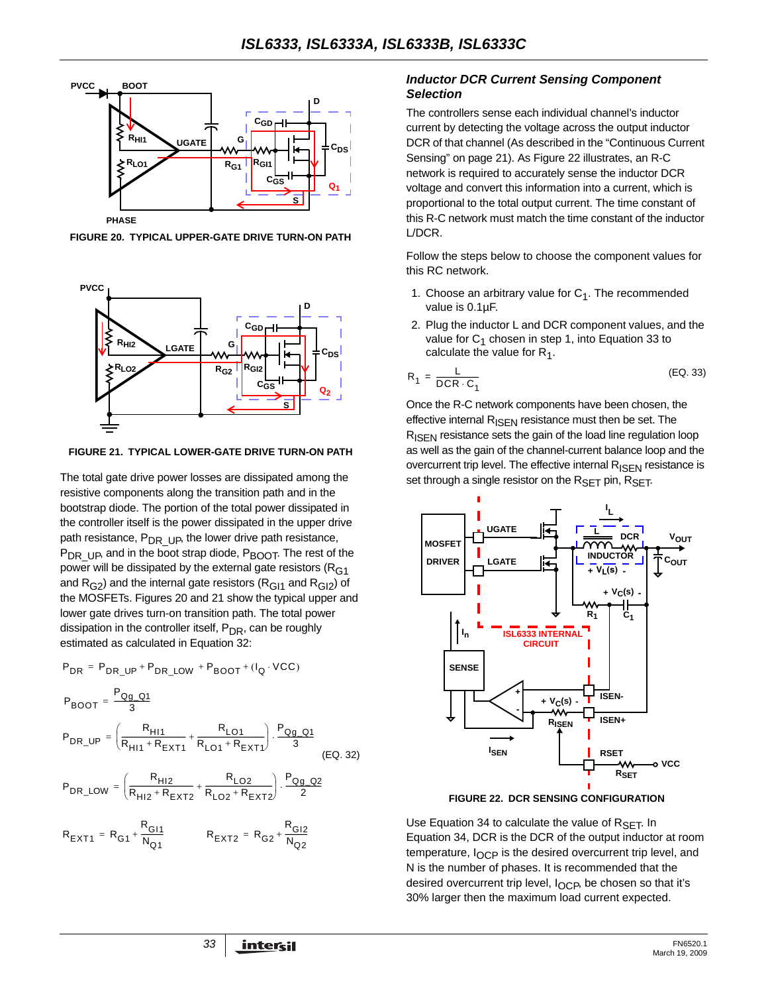

**FIGURE 20. TYPICAL UPPER-GATE DRIVE TURN-ON PATH**



**FIGURE 21. TYPICAL LOWER-GATE DRIVE TURN-ON PATH**

The total gate drive power losses are dissipated among the resistive components along the transition path and in the bootstrap diode. The portion of the total power dissipated in the controller itself is the power dissipated in the upper drive path resistance,  $P_{DR-UP}$ , the lower drive path resistance,  $P_{DR-UP}$ , and in the boot strap diode,  $P_{BOOT}$ . The rest of the power will be dissipated by the external gate resistors ( $R<sub>G1</sub>$ and  $R<sub>G2</sub>$ ) and the internal gate resistors ( $R<sub>G11</sub>$  and  $R<sub>G12</sub>$ ) of the MOSFETs. Figures 20 and 21 show the typical upper and lower gate drives turn-on transition path. The total power dissipation in the controller itself,  $P_{DR}$ , can be roughly estimated as calculated in Equation [32](#page-32-0):

$$
P_{DR} = P_{DR\_UP} + P_{DR\_LOW} + P_{BOOT} + (I_Q \cdot VCC)
$$
\n
$$
P_{BOOT} = \frac{P_{Qg\_Q1}}{3}
$$
\n
$$
P_{DR\_UP} = \left(\frac{R_{H11}}{R_{H11} + R_{EXT1}} + \frac{R_{LO1}}{R_{LO1} + R_{EXT1}}\right) \cdot \frac{P_{Qg\_Q1}}{3}
$$
\n
$$
P_{DR\_LOW} = \left(\frac{R_{H12}}{R_{H12} + R_{EXT2}} + \frac{R_{LO2}}{R_{LO2} + R_{EXT2}}\right) \cdot \frac{P_{QQ\_Q2}}{2}
$$
\n
$$
R_{EXT1} = R_{G1} + \frac{R_{GI1}}{N_{Q1}}
$$
\n
$$
R_{EXT2} = R_{G2} + \frac{R_{GI2}}{N_{Q2}}
$$

#### *Inductor DCR Current Sensing Component Selection*

The controllers sense each individual channel's inductor current by detecting the voltage across the output inductor DCR of that channel (As described in the "Continuous Current Sensing" on page 21). As Figure [22](#page-32-1) illustrates, an R-C network is required to accurately sense the inductor DCR voltage and convert this information into a current, which is proportional to the total output current. The time constant of this R-C network must match the time constant of the inductor L/DCR.

Follow the steps below to choose the component values for this RC network.

- 1. Choose an arbitrary value for  $C_1$ . The recommended value is 0.1µF.
- 2. Plug the inductor L and DCR component values, and the value for  $C_1$  chosen in step 1, into Equation 33 to calculate the value for  $R_1$ .

$$
R_1 = \frac{L}{DCR \cdot C_1}
$$
 (EQ. 33)

Once the R-C network components have been chosen, the effective internal  $R_{\text{ISEN}}$  resistance must then be set. The R<sub>ISEN</sub> resistance sets the gain of the load line regulation loop as well as the gain of the channel-current balance loop and the overcurrent trip level. The effective internal  $R_{\text{ISEN}}$  resistance is set through a single resistor on the  $R_{\text{SFT}}$  pin,  $R_{\text{SFT}}$ .



**FIGURE 22. DCR SENSING CONFIGURATION**

<span id="page-32-1"></span><span id="page-32-0"></span>Use Equation [34](#page-33-0) to calculate the value of  $R_{\text{SFT}}$ . In Equation 34, DCR is the DCR of the output inductor at room temperature,  $I_{\text{OCP}}$  is the desired overcurrent trip level, and N is the number of phases. It is recommended that the desired overcurrent trip level, I<sub>OCP</sub>, be chosen so that it's 30% larger then the maximum load current expected.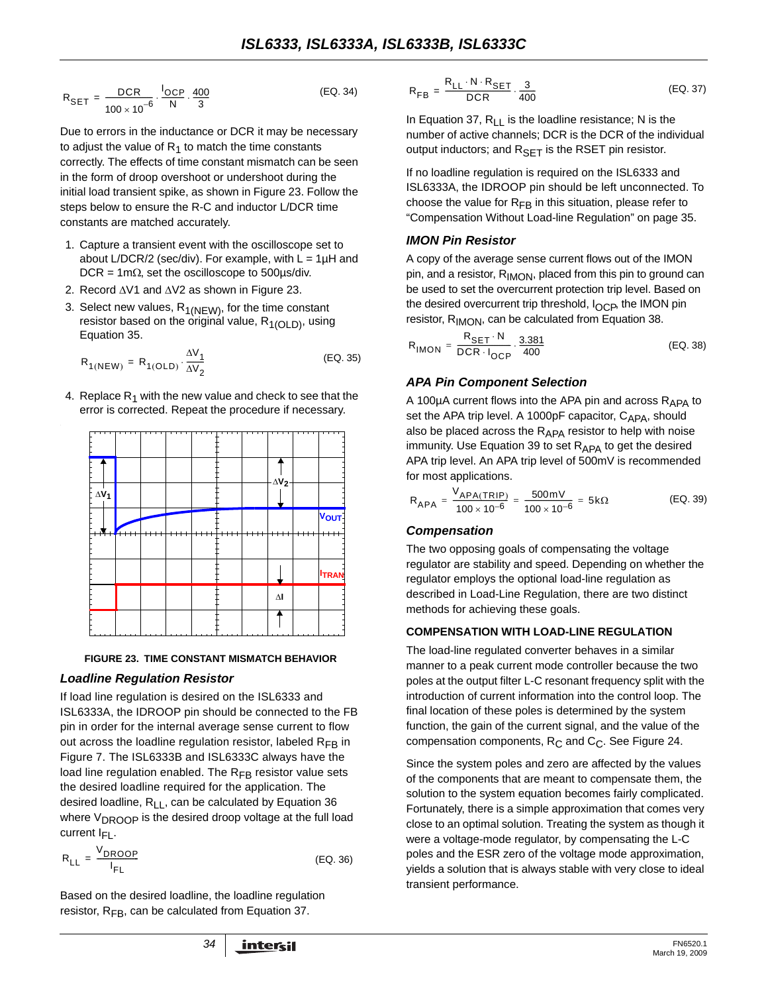$$
R_{\text{SET}} = \frac{\text{DCR}}{100 \times 10^{-6}} \cdot \frac{I_{\text{OCP}}}{N} \cdot \frac{400}{3}
$$
 (EQ. 34)

Due to errors in the inductance or DCR it may be necessary to adjust the value of  $R_1$  to match the time constants correctly. The effects of time constant mismatch can be seen in the form of droop overshoot or undershoot during the initial load transient spike, as shown in Figure 23. Follow the steps below to ensure the R-C and inductor L/DCR time constants are matched accurately.

- 1. Capture a transient event with the oscilloscope set to about L/DCR/2 (sec/div). For example, with  $L = 1\mu H$  and DCR = 1m $\Omega$ , set the oscilloscope to 500 $\mu$ s/div.
- 2. Record ΔV1 and ΔV2 as shown in Figure 23.
- 3. Select new values,  $R_{1(NEW)}$ , for the time constant resistor based on the original value,  $R_{1(OLD)}$ , using Equation 35.

$$
R_{1(NEW)} = R_{1(OLD)} \cdot \frac{\Delta V_1}{\Delta V_2}
$$
 (EQ. 35)

4. Replace  $R_1$  with the new value and check to see that the error is corrected. Repeat the procedure if necessary.



#### **FIGURE 23. TIME CONSTANT MISMATCH BEHAVIOR**

#### *Loadline Regulation Resistor*

If load line regulation is desired on the ISL6333 and ISL6333A, the IDROOP pin should be connected to the FB pin in order for the internal average sense current to flow out across the loadline regulation resistor, labeled  $R_{FR}$  in Figure [7.](#page-23-0) The ISL6333B and ISL6333C always have the load line regulation enabled. The  $R_{FR}$  resistor value sets the desired loadline required for the application. The desired loadline,  $R_{LL}$ , can be calculated by Equation 36 where V<sub>DROOP</sub> is the desired droop voltage at the full load current  $I_{FI}$ .

$$
R_{LL} = \frac{V_{DROOP}}{I_{FL}}
$$
 (EQ. 36)

Based on the desired loadline, the loadline regulation resistor,  $R_{FB}$ , can be calculated from Equation 37.

<span id="page-33-0"></span>
$$
R_{FB} = \frac{R_{LL} \cdot N \cdot R_{SET}}{DCR} \cdot \frac{3}{400}
$$
 (EQ. 37)

In Equation 37,  $R_{LL}$  is the loadline resistance; N is the number of active channels; DCR is the DCR of the individual output inductors; and  $R_{\text{SET}}$  is the RSET pin resistor.

If no loadline regulation is required on the ISL6333 and ISL6333A, the IDROOP pin should be left unconnected. To choose the value for  $R_{FR}$  in this situation, please refer to "Compensation Without Load-line Regulation" on page 35.

#### *IMON Pin Resistor*

A copy of the average sense current flows out of the IMON pin, and a resistor, R<sub>IMON</sub>, placed from this pin to ground can be used to set the overcurrent protection trip level. Based on the desired overcurrent trip threshold,  $I_{\text{OCP}}$ , the IMON pin resistor, R<sub>IMON</sub>, can be calculated from Equation 38.

$$
R_{\text{IMON}} = \frac{R_{\text{SET}} \cdot N}{\text{DCR} \cdot I_{\text{OCP}}} \cdot \frac{3.381}{400}
$$
 (EQ. 38)

#### *APA Pin Component Selection*

A 100 $\mu$ A current flows into the APA pin and across  $R_{APA}$  to set the APA trip level. A 1000pF capacitor,  $C_{APA}$ , should also be placed across the  $R_{APA}$  resistor to help with noise immunity. Use Equation [39](#page-33-1) to set  $R_{APA}$  to get the desired APA trip level. An APA trip level of 500mV is recommended for most applications.

<span id="page-33-1"></span>
$$
R_{APA} = \frac{V_{APA(TRIP)}}{100 \times 10^{-6}} = \frac{500 \text{ mV}}{100 \times 10^{-6}} = 5 \text{k}\Omega
$$
 (EQ. 39)

#### *Compensation*

The two opposing goals of compensating the voltage regulator are stability and speed. Depending on whether the regulator employs the optional load-line regulation as described in Load-Line Regulation, there are two distinct methods for achieving these goals.

#### **COMPENSATION WITH LOAD-LINE REGULATION**

The load-line regulated converter behaves in a similar manner to a peak current mode controller because the two poles at the output filter L-C resonant frequency split with the introduction of current information into the control loop. The final location of these poles is determined by the system function, the gain of the current signal, and the value of the compensation components,  $R_C$  and  $C_C$ . See Figure 24.

Since the system poles and zero are affected by the values of the components that are meant to compensate them, the solution to the system equation becomes fairly complicated. Fortunately, there is a simple approximation that comes very close to an optimal solution. Treating the system as though it were a voltage-mode regulator, by compensating the L-C poles and the ESR zero of the voltage mode approximation, yields a solution that is always stable with very close to ideal transient performance.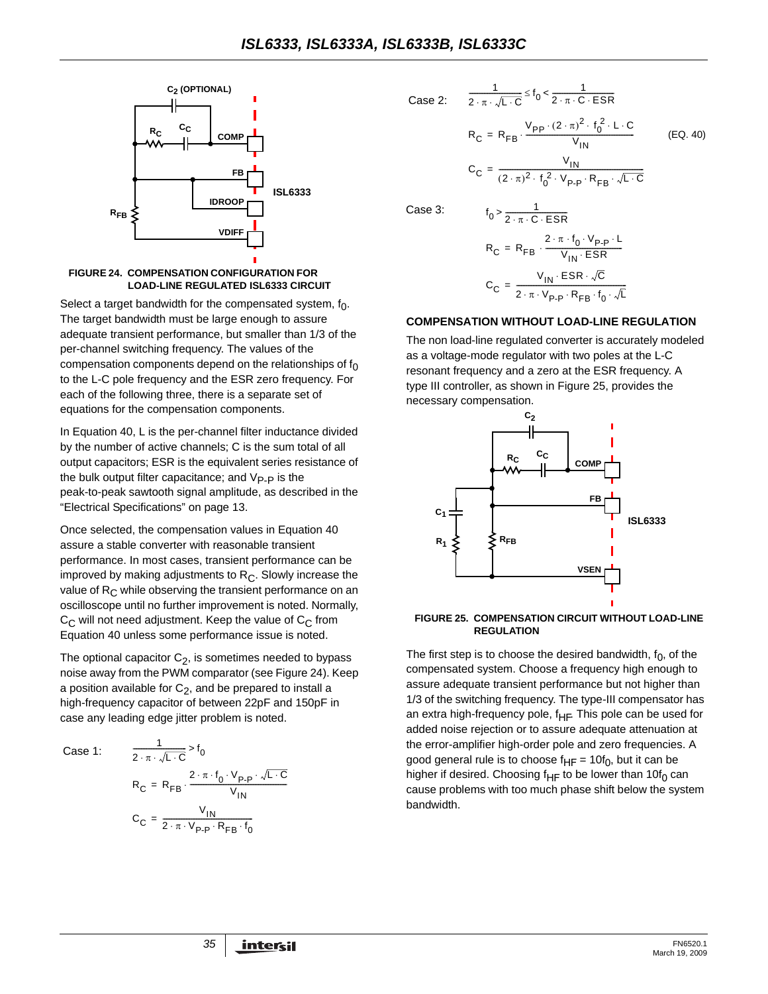

#### **FIGURE 24. COMPENSATION CONFIGURATION FOR LOAD-LINE REGULATED ISL6333 CIRCUIT**

Select a target bandwidth for the compensated system,  $f_0$ . The target bandwidth must be large enough to assure adequate transient performance, but smaller than 1/3 of the per-channel switching frequency. The values of the compensation components depend on the relationships of  $f_0$ to the L-C pole frequency and the ESR zero frequency. For each of the following three, there is a separate set of equations for the compensation components.

In Equation 40, L is the per-channel filter inductance divided by the number of active channels; C is the sum total of all output capacitors; ESR is the equivalent series resistance of the bulk output filter capacitance; and  $V_{\text{P-P}}$  is the peak-to-peak sawtooth signal amplitude, as described in the "Electrical Specifications" on [page 13](#page-12-4).

Once selected, the compensation values in Equation 40 assure a stable converter with reasonable transient performance. In most cases, transient performance can be improved by making adjustments to  $R<sub>C</sub>$ . Slowly increase the value of  $R_C$  while observing the transient performance on an oscilloscope until no further improvement is noted. Normally,  $C_{\text{C}}$  will not need adjustment. Keep the value of  $C_{\text{C}}$  from Equation 40 unless some performance issue is noted.

The optional capacitor  $C_2$ , is sometimes needed to bypass noise away from the PWM comparator (see Figure 24). Keep a position available for  $C_2$ , and be prepared to install a high-frequency capacitor of between 22pF and 150pF in case any leading edge jitter problem is noted.

Case 1:

$$
\frac{1}{2 \cdot \pi \cdot \sqrt{L \cdot C}} > f_0
$$
  
R<sub>C</sub> = R<sub>FB</sub> 
$$
\frac{2 \cdot \pi \cdot f_0 \cdot V_{p.p} \cdot \sqrt{L \cdot C}}{V_{IN}}
$$
  
C<sub>C</sub> = 
$$
\frac{V_{IN}}{2 \cdot \pi \cdot V_{p.p} \cdot R_{FB} \cdot f_0}
$$

1

2. 
$$
\frac{1}{2 \cdot \pi \cdot \sqrt{L \cdot C}} \le f_0 < \frac{1}{2 \cdot \pi \cdot C \cdot ESR}
$$

$$
R_C = R_{FB} \cdot \frac{V_{PP} \cdot (2 \cdot \pi)^2 \cdot f_0^2 \cdot L \cdot C}{V_{IM}}
$$

$$
C_C = \frac{V_{IN}}{(2 \cdot \pi)^2 \cdot f_0^2 \cdot V_{P-P} \cdot R_{FB} \cdot \sqrt{L \cdot C}}
$$

(EQ. 40)

Case 3:

Case

$$
f_0 > \frac{1}{2 \cdot \pi \cdot C \cdot ESR}
$$
  
\n
$$
R_C = R_{FB} \cdot \frac{2 \cdot \pi \cdot f_0 \cdot V_{P\cdot P} \cdot L}{V_{IN} \cdot ESR}
$$
  
\n
$$
C_C = \frac{V_{IN} \cdot ESR \cdot \sqrt{C}}{2 \cdot \pi \cdot V_{P\cdot P} \cdot R_{FB} \cdot f_0 \cdot \sqrt{L}}
$$

#### **COMPENSATION WITHOUT LOAD-LINE REGULATION**

The non load-line regulated converter is accurately modeled as a voltage-mode regulator with two poles at the L-C resonant frequency and a zero at the ESR frequency. A type III controller, as shown in Figure [25,](#page-34-0) provides the necessary compensation.



#### <span id="page-34-0"></span>**FIGURE 25. COMPENSATION CIRCUIT WITHOUT LOAD-LINE REGULATION**

The first step is to choose the desired bandwidth,  $f_0$ , of the compensated system. Choose a frequency high enough to assure adequate transient performance but not higher than 1/3 of the switching frequency. The type-III compensator has an extra high-frequency pole,  $f_{HF}$ . This pole can be used for added noise rejection or to assure adequate attenuation at the error-amplifier high-order pole and zero frequencies. A good general rule is to choose  $f_{HF} = 10f_0$ , but it can be higher if desired. Choosing f<sub>HF</sub> to be lower than 10f<sub>0</sub> can cause problems with too much phase shift below the system bandwidth.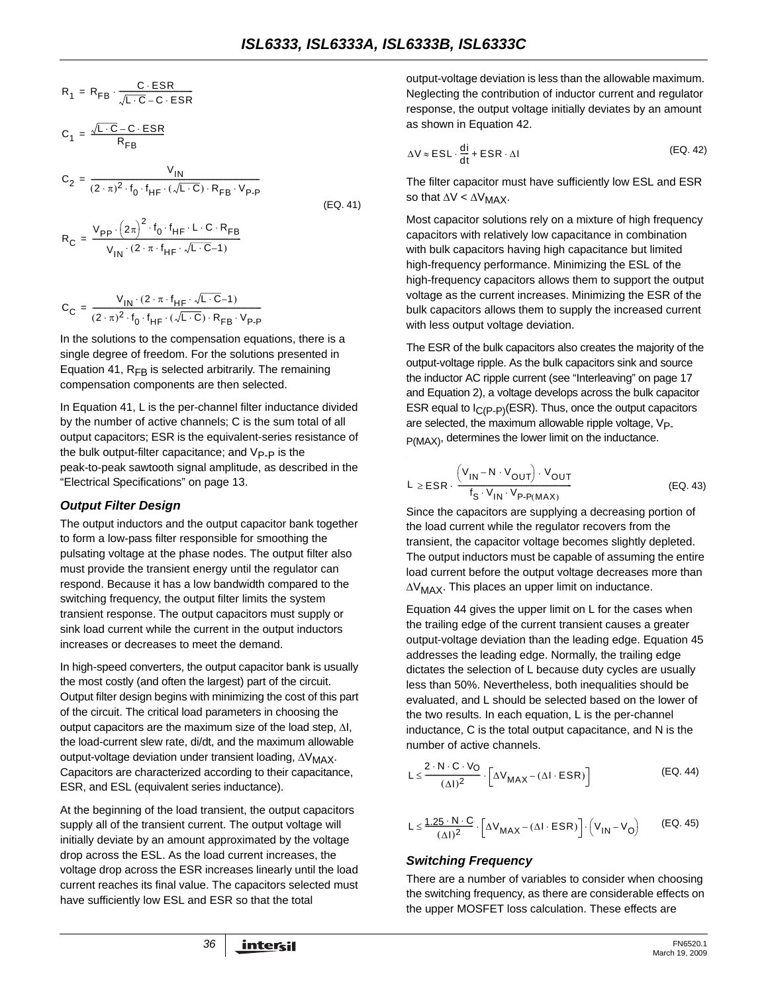$$
R_1 = R_{FB} \cdot \frac{C \cdot ESR}{\sqrt{L \cdot C} - C \cdot ESR}
$$

$$
C_1 = \frac{\sqrt{L \cdot C} - C \cdot ESR}{R_{FB}}
$$

$$
C_2 = \frac{V_{IN}}{(2 \cdot \pi)^2 \cdot f_0 \cdot f_{HF} \cdot (\sqrt{L \cdot C}) \cdot R_{FB} \cdot V_{P\cdot P}}
$$
\n(EQ. 41)

$$
R_C = \frac{V_{pp} \cdot (2\pi)^2 \cdot f_0 \cdot f_{HF} \cdot L \cdot C \cdot R_{FB}}{V_{IN} \cdot (2 \cdot \pi \cdot f_{HF} \cdot \sqrt{L \cdot C} - 1)}
$$

$$
C_C = \frac{V_{IN} \cdot (2 \cdot \pi \cdot f_{HF} \cdot \sqrt{L \cdot C} - 1)}{(2 \cdot \pi)^2 \cdot f_0 \cdot f_{HF} \cdot (\sqrt{L \cdot C}) \cdot R_{FB} \cdot V_{P\cdot P}}
$$

In the solutions to the compensation equations, there is a single degree of freedom. For the solutions presented in Equation [41](#page-35-0),  $R_{FB}$  is selected arbitrarily. The remaining compensation components are then selected.

In Equation [41,](#page-35-0) L is the per-channel filter inductance divided by the number of active channels; C is the sum total of all output capacitors; ESR is the equivalent-series resistance of the bulk output-filter capacitance; and  $V_{\text{P-P}}$  is the peak-to-peak sawtooth signal amplitude, as described in the "Electrical Specifications" on [page 13](#page-12-4).

#### *Output Filter Design*

The output inductors and the output capacitor bank together to form a low-pass filter responsible for smoothing the pulsating voltage at the phase nodes. The output filter also must provide the transient energy until the regulator can respond. Because it has a low bandwidth compared to the switching frequency, the output filter limits the system transient response. The output capacitors must supply or sink load current while the current in the output inductors increases or decreases to meet the demand.

In high-speed converters, the output capacitor bank is usually the most costly (and often the largest) part of the circuit. Output filter design begins with minimizing the cost of this part of the circuit. The critical load parameters in choosing the output capacitors are the maximum size of the load step, ΔI, the load-current slew rate, di/dt, and the maximum allowable output-voltage deviation under transient loading, ΔV<sub>MAX</sub>. Capacitors are characterized according to their capacitance, ESR, and ESL (equivalent series inductance).

At the beginning of the load transient, the output capacitors supply all of the transient current. The output voltage will initially deviate by an amount approximated by the voltage drop across the ESL. As the load current increases, the voltage drop across the ESR increases linearly until the load current reaches its final value. The capacitors selected must have sufficiently low ESL and ESR so that the total

output-voltage deviation is less than the allowable maximum. Neglecting the contribution of inductor current and regulator response, the output voltage initially deviates by an amount as shown in Equation [42.](#page-35-1)

<span id="page-35-1"></span>
$$
\Delta V \approx ESL \cdot \frac{di}{dt} + ESR \cdot \Delta I
$$
 (EQ. 42)

The filter capacitor must have sufficiently low ESL and ESR so that  $\Delta V < \Delta V_{MAX}$ .

<span id="page-35-0"></span>Most capacitor solutions rely on a mixture of high frequency capacitors with relatively low capacitance in combination with bulk capacitors having high capacitance but limited high-frequency performance. Minimizing the ESL of the high-frequency capacitors allows them to support the output voltage as the current increases. Minimizing the ESR of the bulk capacitors allows them to supply the increased current with less output voltage deviation.

The ESR of the bulk capacitors also creates the majority of the output-voltage ripple. As the bulk capacitors sink and source the inductor AC ripple current (see "Interleaving" on page 17 and Equation 2), a voltage develops across the bulk capacitor ESR equal to  $I_{\text{C}}(P-P)(ESR)$ . Thus, once the output capacitors are selected, the maximum allowable ripple voltage,  $V_{\text{P}}$ P(MAX), determines the lower limit on the inductance.

$$
L \geq ESR \cdot \frac{\left(V_{IN} - N \cdot V_{OUT}\right) \cdot V_{OUT}}{f_S \cdot V_{IN} \cdot V_{P\cdot P(MAX)}} \tag{Eq. 43}
$$

Since the capacitors are supplying a decreasing portion of the load current while the regulator recovers from the transient, the capacitor voltage becomes slightly depleted. The output inductors must be capable of assuming the entire load current before the output voltage decreases more than  $\Delta V_{MAX}$ . This places an upper limit on inductance.

Equation 44 gives the upper limit on L for the cases when the trailing edge of the current transient causes a greater output-voltage deviation than the leading edge. Equation 45 addresses the leading edge. Normally, the trailing edge dictates the selection of L because duty cycles are usually less than 50%. Nevertheless, both inequalities should be evaluated, and L should be selected based on the lower of the two results. In each equation, L is the per-channel inductance, C is the total output capacitance, and N is the number of active channels.

$$
L \leq \frac{2 \cdot N \cdot C \cdot V_O}{(\Delta I)^2} \cdot \left[ \Delta V_{MAX} - (\Delta I \cdot ESR) \right]
$$
 (EQ. 44)

$$
L \leq \frac{1.25 \cdot N \cdot C}{(\Delta I)^2} \cdot \left[ \Delta V_{MAX} - (\Delta I \cdot ESR) \right] \cdot \left( V_{IN} - V_O \right) \qquad (EQ. 45)
$$

#### *Switching Frequency*

There are a number of variables to consider when choosing the switching frequency, as there are considerable effects on the upper MOSFET loss calculation. These effects are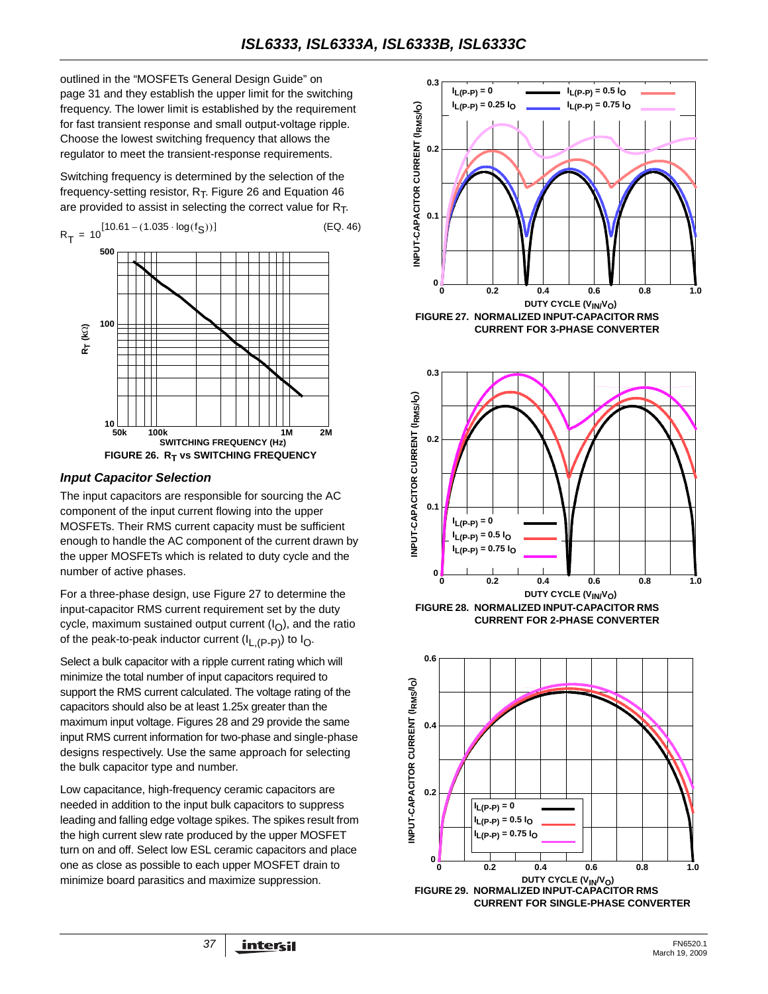outlined in the ["MOSFETs General Design Guide" on](#page-30-0)  [page 31](#page-30-0) and they establish the upper limit for the switching frequency. The lower limit is established by the requirement for fast transient response and small output-voltage ripple. Choose the lowest switching frequency that allows the regulator to meet the transient-response requirements.

Switching frequency is determined by the selection of the frequency-setting resistor,  $R_T$ . Figure 26 and Equation 46 are provided to assist in selecting the correct value for  $R_T$ .



#### *Input Capacitor Selection*

The input capacitors are responsible for sourcing the AC component of the input current flowing into the upper MOSFETs. Their RMS current capacity must be sufficient enough to handle the AC component of the current drawn by the upper MOSFETs which is related to duty cycle and the number of active phases.

For a three-phase design, use Figure [27](#page-36-0) to determine the input-capacitor RMS current requirement set by the duty cycle, maximum sustained output current  $(I<sub>O</sub>)$ , and the ratio of the peak-to-peak inductor current  $(I_{L,(P-P)})$  to  $I_{O}$ .

Select a bulk capacitor with a ripple current rating which will minimize the total number of input capacitors required to support the RMS current calculated. The voltage rating of the capacitors should also be at least 1.25x greater than the maximum input voltage. Figures [28](#page-36-1) and [29](#page-36-2) provide the same input RMS current information for two-phase and single-phase designs respectively. Use the same approach for selecting the bulk capacitor type and number.

Low capacitance, high-frequency ceramic capacitors are needed in addition to the input bulk capacitors to suppress leading and falling edge voltage spikes. The spikes result from the high current slew rate produced by the upper MOSFET turn on and off. Select low ESL ceramic capacitors and place one as close as possible to each upper MOSFET drain to minimize board parasitics and maximize suppression.





<span id="page-36-0"></span>

<span id="page-36-2"></span><span id="page-36-1"></span>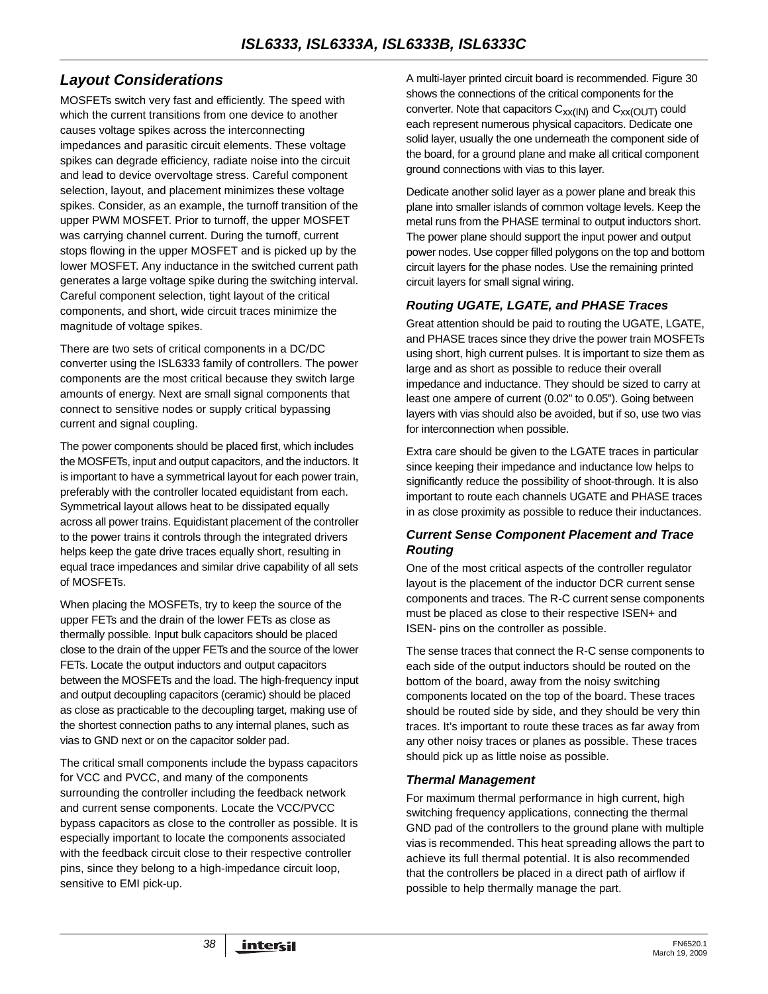## <span id="page-37-0"></span>*Layout Considerations*

MOSFETs switch very fast and efficiently. The speed with which the current transitions from one device to another causes voltage spikes across the interconnecting impedances and parasitic circuit elements. These voltage spikes can degrade efficiency, radiate noise into the circuit and lead to device overvoltage stress. Careful component selection, layout, and placement minimizes these voltage spikes. Consider, as an example, the turnoff transition of the upper PWM MOSFET. Prior to turnoff, the upper MOSFET was carrying channel current. During the turnoff, current stops flowing in the upper MOSFET and is picked up by the lower MOSFET. Any inductance in the switched current path generates a large voltage spike during the switching interval. Careful component selection, tight layout of the critical components, and short, wide circuit traces minimize the magnitude of voltage spikes.

There are two sets of critical components in a DC/DC converter using the ISL6333 family of controllers. The power components are the most critical because they switch large amounts of energy. Next are small signal components that connect to sensitive nodes or supply critical bypassing current and signal coupling.

The power components should be placed first, which includes the MOSFETs, input and output capacitors, and the inductors. It is important to have a symmetrical layout for each power train, preferably with the controller located equidistant from each. Symmetrical layout allows heat to be dissipated equally across all power trains. Equidistant placement of the controller to the power trains it controls through the integrated drivers helps keep the gate drive traces equally short, resulting in equal trace impedances and similar drive capability of all sets of MOSFETs.

When placing the MOSFETs, try to keep the source of the upper FETs and the drain of the lower FETs as close as thermally possible. Input bulk capacitors should be placed close to the drain of the upper FETs and the source of the lower FETs. Locate the output inductors and output capacitors between the MOSFETs and the load. The high-frequency input and output decoupling capacitors (ceramic) should be placed as close as practicable to the decoupling target, making use of the shortest connection paths to any internal planes, such as vias to GND next or on the capacitor solder pad.

The critical small components include the bypass capacitors for VCC and PVCC, and many of the components surrounding the controller including the feedback network and current sense components. Locate the VCC/PVCC bypass capacitors as close to the controller as possible. It is especially important to locate the components associated with the feedback circuit close to their respective controller pins, since they belong to a high-impedance circuit loop, sensitive to EMI pick-up.

A multi-layer printed circuit board is recommended. Figure 30 shows the connections of the critical components for the converter. Note that capacitors  $C_{XX(IN)}$  and  $C_{XX(OUT)}$  could each represent numerous physical capacitors. Dedicate one solid layer, usually the one underneath the component side of the board, for a ground plane and make all critical component ground connections with vias to this layer.

Dedicate another solid layer as a power plane and break this plane into smaller islands of common voltage levels. Keep the metal runs from the PHASE terminal to output inductors short. The power plane should support the input power and output power nodes. Use copper filled polygons on the top and bottom circuit layers for the phase nodes. Use the remaining printed circuit layers for small signal wiring.

#### *Routing UGATE, LGATE, and PHASE Traces*

Great attention should be paid to routing the UGATE, LGATE, and PHASE traces since they drive the power train MOSFETs using short, high current pulses. It is important to size them as large and as short as possible to reduce their overall impedance and inductance. They should be sized to carry at least one ampere of current (0.02" to 0.05"). Going between layers with vias should also be avoided, but if so, use two vias for interconnection when possible.

Extra care should be given to the LGATE traces in particular since keeping their impedance and inductance low helps to significantly reduce the possibility of shoot-through. It is also important to route each channels UGATE and PHASE traces in as close proximity as possible to reduce their inductances.

#### *Current Sense Component Placement and Trace Routing*

One of the most critical aspects of the controller regulator layout is the placement of the inductor DCR current sense components and traces. The R-C current sense components must be placed as close to their respective ISEN+ and ISEN- pins on the controller as possible.

The sense traces that connect the R-C sense components to each side of the output inductors should be routed on the bottom of the board, away from the noisy switching components located on the top of the board. These traces should be routed side by side, and they should be very thin traces. It's important to route these traces as far away from any other noisy traces or planes as possible. These traces should pick up as little noise as possible.

#### *Thermal Management*

For maximum thermal performance in high current, high switching frequency applications, connecting the thermal GND pad of the controllers to the ground plane with multiple vias is recommended. This heat spreading allows the part to achieve its full thermal potential. It is also recommended that the controllers be placed in a direct path of airflow if possible to help thermally manage the part.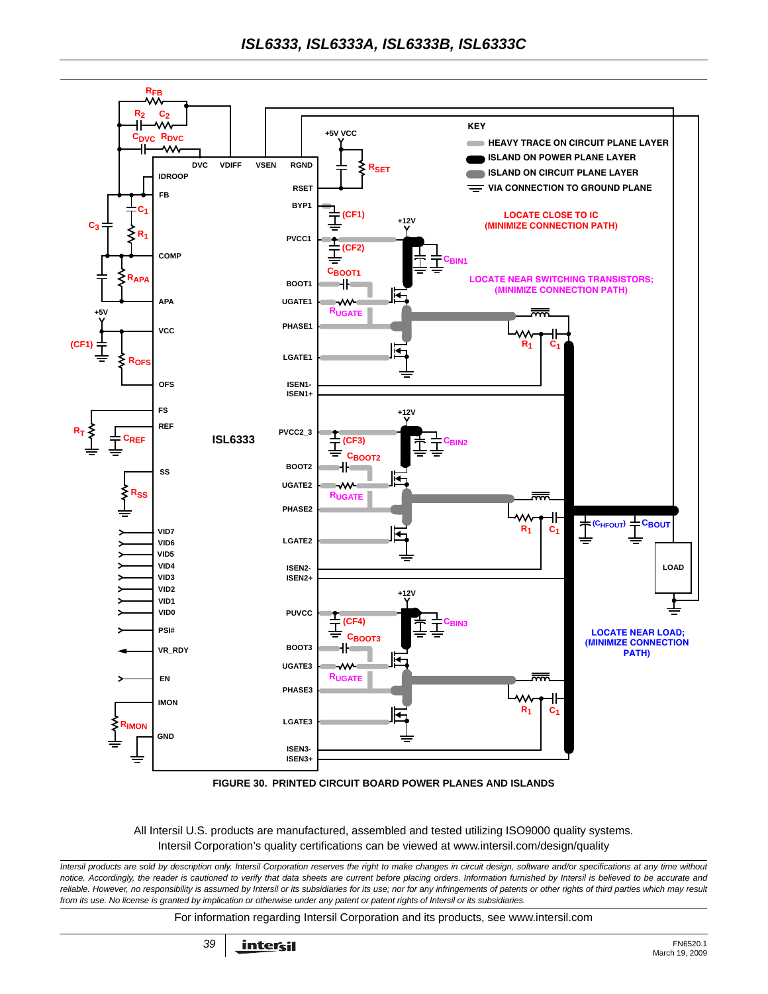

**FIGURE 30. PRINTED CIRCUIT BOARD POWER PLANES AND ISLANDS**

All Intersil U.S. products are manufactured, assembled and tested utilizing ISO9000 quality systems. Intersil Corporation's quality certifications can be viewed at www.intersil.com/design/quality

*Intersil products are sold by description only. Intersil Corporation reserves the right to make changes in circuit design, software and/or specifications at any time without notice. Accordingly, the reader is cautioned to verify that data sheets are current before placing orders. Information furnished by Intersil is believed to be accurate and* reliable. However, no responsibility is assumed by Intersil or its subsidiaries for its use; nor for any infringements of patents or other rights of third parties which may result *from its use. No license is granted by implication or otherwise under any patent or patent rights of Intersil or its subsidiaries.*

For information regarding Intersil Corporation and its products, see www.intersil.com